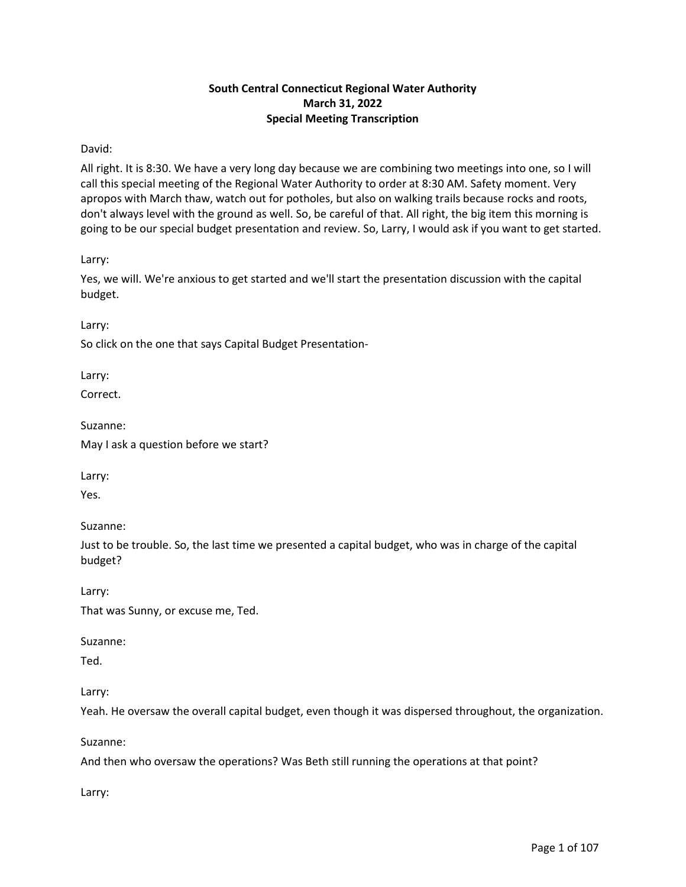# **South Central Connecticut Regional Water Authority March 31, 2022 Special Meeting Transcription**

## David:

All right. It is 8:30. We have a very long day because we are combining two meetings into one, so I will call this special meeting of the Regional Water Authority to order at 8:30 AM. Safety moment. Very apropos with March thaw, watch out for potholes, but also on walking trails because rocks and roots, don't always level with the ground as well. So, be careful of that. All right, the big item this morning is going to be our special budget presentation and review. So, Larry, I would ask if you want to get started.

Larry:

Yes, we will. We're anxious to get started and we'll start the presentation discussion with the capital budget.

Larry:

So click on the one that says Capital Budget Presentation-

Larry:

Correct.

Suzanne:

May I ask a question before we start?

Larry:

Yes.

Suzanne:

Just to be trouble. So, the last time we presented a capital budget, who was in charge of the capital budget?

Larry:

That was Sunny, or excuse me, Ted.

Suzanne:

Ted.

Larry:

Yeah. He oversaw the overall capital budget, even though it was dispersed throughout, the organization.

Suzanne:

And then who oversaw the operations? Was Beth still running the operations at that point?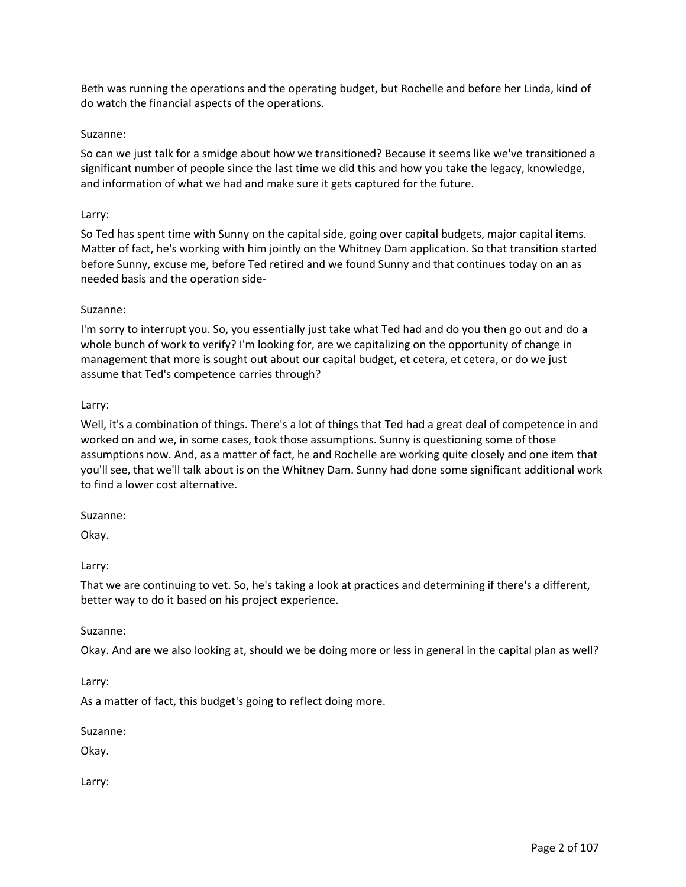Beth was running the operations and the operating budget, but Rochelle and before her Linda, kind of do watch the financial aspects of the operations.

### Suzanne:

So can we just talk for a smidge about how we transitioned? Because it seems like we've transitioned a significant number of people since the last time we did this and how you take the legacy, knowledge, and information of what we had and make sure it gets captured for the future.

#### Larry:

So Ted has spent time with Sunny on the capital side, going over capital budgets, major capital items. Matter of fact, he's working with him jointly on the Whitney Dam application. So that transition started before Sunny, excuse me, before Ted retired and we found Sunny and that continues today on an as needed basis and the operation side-

### Suzanne:

I'm sorry to interrupt you. So, you essentially just take what Ted had and do you then go out and do a whole bunch of work to verify? I'm looking for, are we capitalizing on the opportunity of change in management that more is sought out about our capital budget, et cetera, et cetera, or do we just assume that Ted's competence carries through?

### Larry:

Well, it's a combination of things. There's a lot of things that Ted had a great deal of competence in and worked on and we, in some cases, took those assumptions. Sunny is questioning some of those assumptions now. And, as a matter of fact, he and Rochelle are working quite closely and one item that you'll see, that we'll talk about is on the Whitney Dam. Sunny had done some significant additional work to find a lower cost alternative.

#### Suzanne:

Okay.

#### Larry:

That we are continuing to vet. So, he's taking a look at practices and determining if there's a different, better way to do it based on his project experience.

#### Suzanne:

Okay. And are we also looking at, should we be doing more or less in general in the capital plan as well?

Larry:

As a matter of fact, this budget's going to reflect doing more.

Suzanne:

Okay.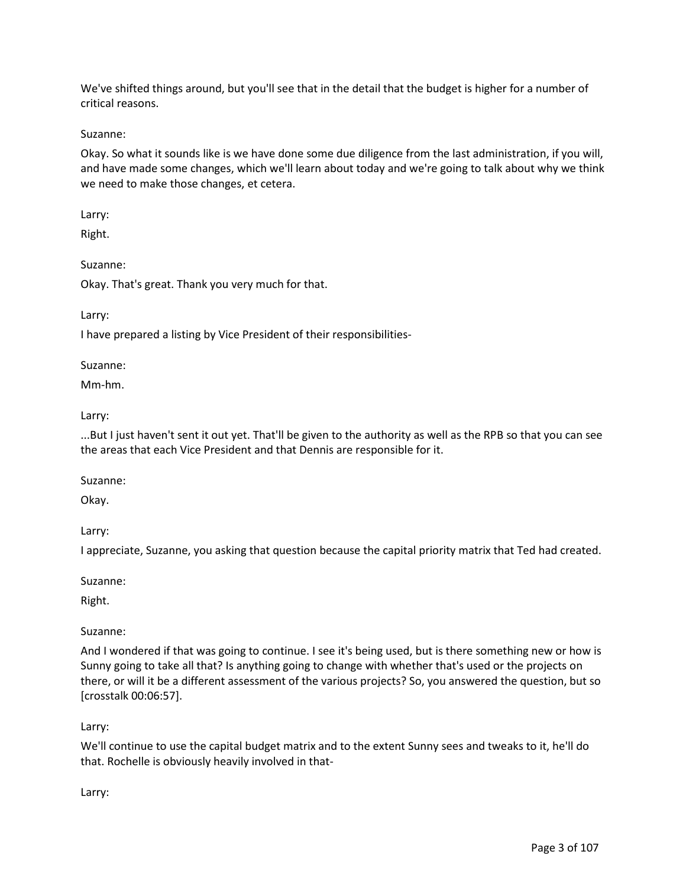We've shifted things around, but you'll see that in the detail that the budget is higher for a number of critical reasons.

Suzanne:

Okay. So what it sounds like is we have done some due diligence from the last administration, if you will, and have made some changes, which we'll learn about today and we're going to talk about why we think we need to make those changes, et cetera.

Larry:

Right.

Suzanne:

Okay. That's great. Thank you very much for that.

Larry:

I have prepared a listing by Vice President of their responsibilities-

Suzanne:

Mm-hm.

Larry:

...But I just haven't sent it out yet. That'll be given to the authority as well as the RPB so that you can see the areas that each Vice President and that Dennis are responsible for it.

Suzanne:

Okay.

Larry:

I appreciate, Suzanne, you asking that question because the capital priority matrix that Ted had created.

Suzanne:

Right.

Suzanne:

And I wondered if that was going to continue. I see it's being used, but is there something new or how is Sunny going to take all that? Is anything going to change with whether that's used or the projects on there, or will it be a different assessment of the various projects? So, you answered the question, but so [crosstalk 00:06:57].

Larry:

We'll continue to use the capital budget matrix and to the extent Sunny sees and tweaks to it, he'll do that. Rochelle is obviously heavily involved in that-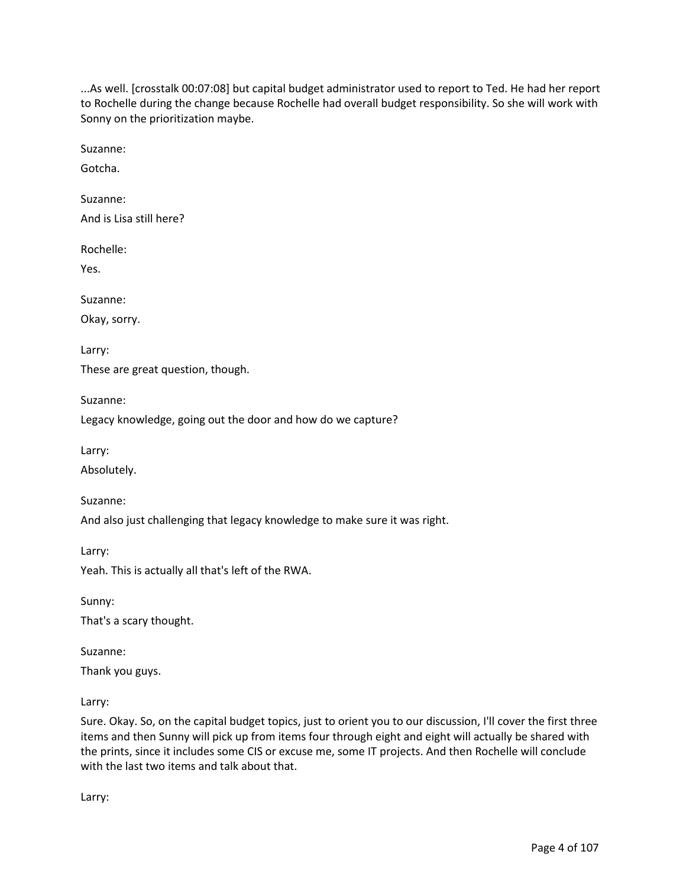...As well. [crosstalk 00:07:08] but capital budget administrator used to report to Ted. He had her report to Rochelle during the change because Rochelle had overall budget responsibility. So she will work with Sonny on the prioritization maybe.

Suzanne:

Gotcha.

Suzanne: And is Lisa still here?

Rochelle:

Yes.

Suzanne:

Okay, sorry.

Larry:

These are great question, though.

Suzanne:

Legacy knowledge, going out the door and how do we capture?

Larry:

Absolutely.

Suzanne:

And also just challenging that legacy knowledge to make sure it was right.

Larry:

Yeah. This is actually all that's left of the RWA.

Sunny:

That's a scary thought.

Suzanne:

Thank you guys.

Larry:

Sure. Okay. So, on the capital budget topics, just to orient you to our discussion, I'll cover the first three items and then Sunny will pick up from items four through eight and eight will actually be shared with the prints, since it includes some CIS or excuse me, some IT projects. And then Rochelle will conclude with the last two items and talk about that.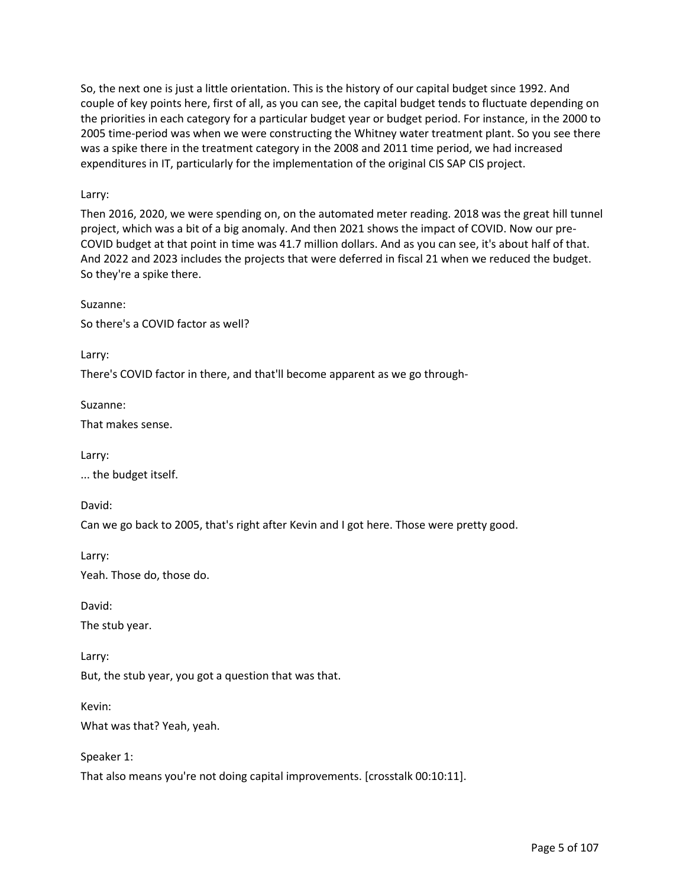So, the next one is just a little orientation. This is the history of our capital budget since 1992. And couple of key points here, first of all, as you can see, the capital budget tends to fluctuate depending on the priorities in each category for a particular budget year or budget period. For instance, in the 2000 to 2005 time-period was when we were constructing the Whitney water treatment plant. So you see there was a spike there in the treatment category in the 2008 and 2011 time period, we had increased expenditures in IT, particularly for the implementation of the original CIS SAP CIS project.

### Larry:

Then 2016, 2020, we were spending on, on the automated meter reading. 2018 was the great hill tunnel project, which was a bit of a big anomaly. And then 2021 shows the impact of COVID. Now our pre-COVID budget at that point in time was 41.7 million dollars. And as you can see, it's about half of that. And 2022 and 2023 includes the projects that were deferred in fiscal 21 when we reduced the budget. So they're a spike there.

Suzanne:

So there's a COVID factor as well?

Larry:

There's COVID factor in there, and that'll become apparent as we go through-

Suzanne:

That makes sense.

Larry:

... the budget itself.

David:

Can we go back to 2005, that's right after Kevin and I got here. Those were pretty good.

Larry:

Yeah. Those do, those do.

David:

The stub year.

Larry: But, the stub year, you got a question that was that.

Kevin: What was that? Yeah, yeah.

Speaker 1: That also means you're not doing capital improvements. [crosstalk 00:10:11].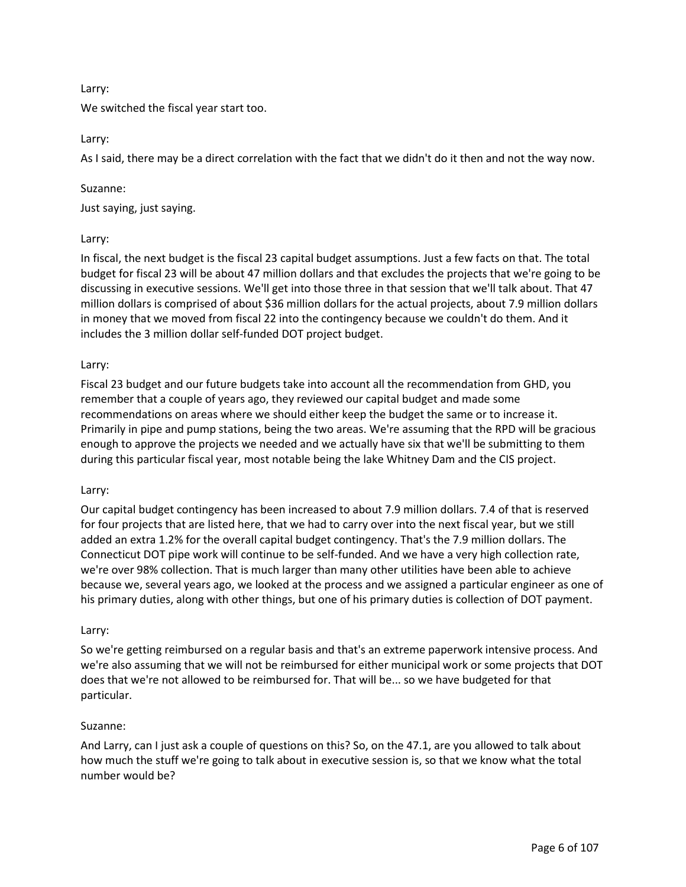## Larry:

We switched the fiscal year start too.

### Larry:

As I said, there may be a direct correlation with the fact that we didn't do it then and not the way now.

## Suzanne:

Just saying, just saying.

## Larry:

In fiscal, the next budget is the fiscal 23 capital budget assumptions. Just a few facts on that. The total budget for fiscal 23 will be about 47 million dollars and that excludes the projects that we're going to be discussing in executive sessions. We'll get into those three in that session that we'll talk about. That 47 million dollars is comprised of about \$36 million dollars for the actual projects, about 7.9 million dollars in money that we moved from fiscal 22 into the contingency because we couldn't do them. And it includes the 3 million dollar self-funded DOT project budget.

## Larry:

Fiscal 23 budget and our future budgets take into account all the recommendation from GHD, you remember that a couple of years ago, they reviewed our capital budget and made some recommendations on areas where we should either keep the budget the same or to increase it. Primarily in pipe and pump stations, being the two areas. We're assuming that the RPD will be gracious enough to approve the projects we needed and we actually have six that we'll be submitting to them during this particular fiscal year, most notable being the lake Whitney Dam and the CIS project.

## Larry:

Our capital budget contingency has been increased to about 7.9 million dollars. 7.4 of that is reserved for four projects that are listed here, that we had to carry over into the next fiscal year, but we still added an extra 1.2% for the overall capital budget contingency. That's the 7.9 million dollars. The Connecticut DOT pipe work will continue to be self-funded. And we have a very high collection rate, we're over 98% collection. That is much larger than many other utilities have been able to achieve because we, several years ago, we looked at the process and we assigned a particular engineer as one of his primary duties, along with other things, but one of his primary duties is collection of DOT payment.

## Larry:

So we're getting reimbursed on a regular basis and that's an extreme paperwork intensive process. And we're also assuming that we will not be reimbursed for either municipal work or some projects that DOT does that we're not allowed to be reimbursed for. That will be... so we have budgeted for that particular.

#### Suzanne:

And Larry, can I just ask a couple of questions on this? So, on the 47.1, are you allowed to talk about how much the stuff we're going to talk about in executive session is, so that we know what the total number would be?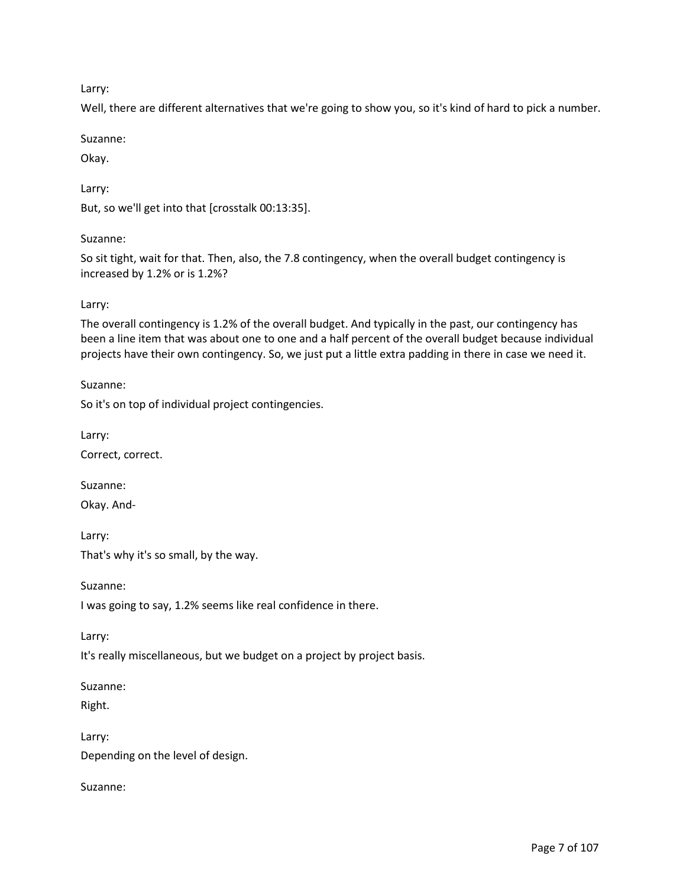Larry:

Well, there are different alternatives that we're going to show you, so it's kind of hard to pick a number.

Suzanne:

Okay.

Larry:

But, so we'll get into that [crosstalk 00:13:35].

## Suzanne:

So sit tight, wait for that. Then, also, the 7.8 contingency, when the overall budget contingency is increased by 1.2% or is 1.2%?

## Larry:

The overall contingency is 1.2% of the overall budget. And typically in the past, our contingency has been a line item that was about one to one and a half percent of the overall budget because individual projects have their own contingency. So, we just put a little extra padding in there in case we need it.

Suzanne:

So it's on top of individual project contingencies.

Larry:

Correct, correct.

Suzanne:

Okay. And-

Larry: That's why it's so small, by the way.

Suzanne:

I was going to say, 1.2% seems like real confidence in there.

Larry:

It's really miscellaneous, but we budget on a project by project basis.

Suzanne:

Right.

Larry: Depending on the level of design.

Suzanne: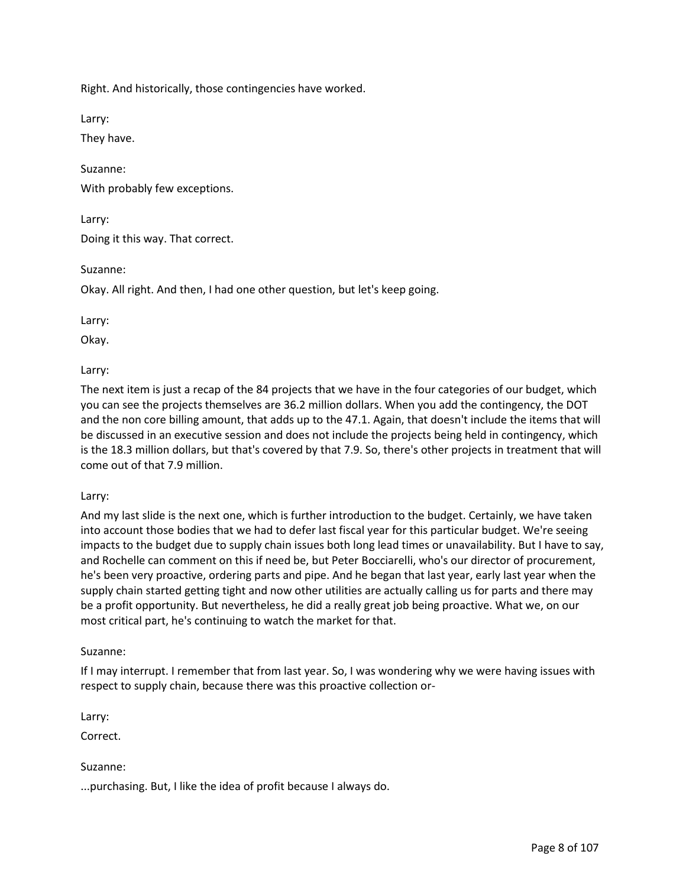Right. And historically, those contingencies have worked.

Larry:

They have.

Suzanne: With probably few exceptions.

Larry:

Doing it this way. That correct.

Suzanne:

Okay. All right. And then, I had one other question, but let's keep going.

Larry:

Okay.

Larry:

The next item is just a recap of the 84 projects that we have in the four categories of our budget, which you can see the projects themselves are 36.2 million dollars. When you add the contingency, the DOT and the non core billing amount, that adds up to the 47.1. Again, that doesn't include the items that will be discussed in an executive session and does not include the projects being held in contingency, which is the 18.3 million dollars, but that's covered by that 7.9. So, there's other projects in treatment that will come out of that 7.9 million.

#### Larry:

And my last slide is the next one, which is further introduction to the budget. Certainly, we have taken into account those bodies that we had to defer last fiscal year for this particular budget. We're seeing impacts to the budget due to supply chain issues both long lead times or unavailability. But I have to say, and Rochelle can comment on this if need be, but Peter Bocciarelli, who's our director of procurement, he's been very proactive, ordering parts and pipe. And he began that last year, early last year when the supply chain started getting tight and now other utilities are actually calling us for parts and there may be a profit opportunity. But nevertheless, he did a really great job being proactive. What we, on our most critical part, he's continuing to watch the market for that.

#### Suzanne:

If I may interrupt. I remember that from last year. So, I was wondering why we were having issues with respect to supply chain, because there was this proactive collection or-

Larry:

Correct.

Suzanne:

...purchasing. But, I like the idea of profit because I always do.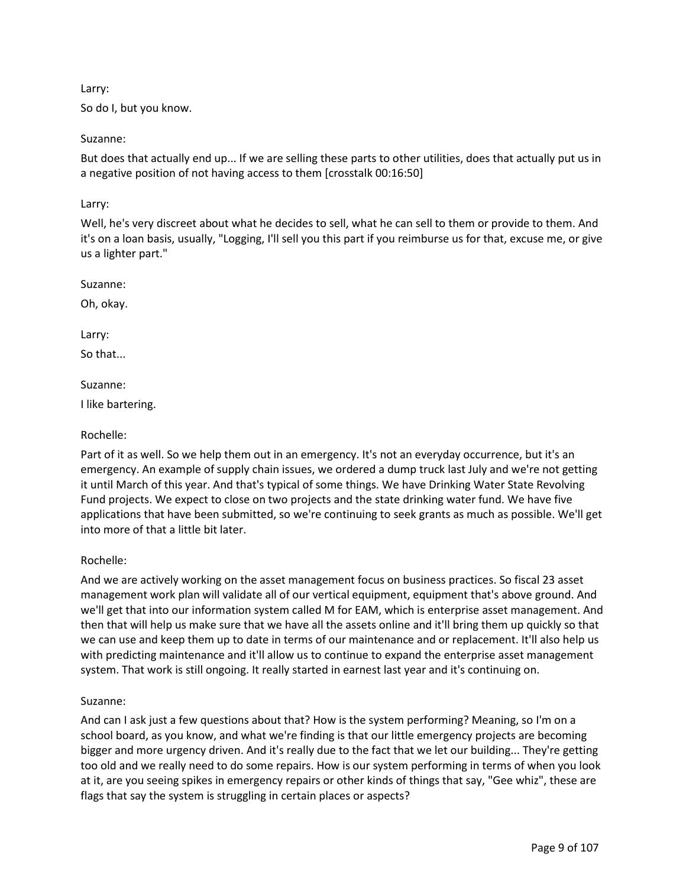### Larry:

So do I, but you know.

## Suzanne:

But does that actually end up... If we are selling these parts to other utilities, does that actually put us in a negative position of not having access to them [crosstalk 00:16:50]

## Larry:

Well, he's very discreet about what he decides to sell, what he can sell to them or provide to them. And it's on a loan basis, usually, "Logging, I'll sell you this part if you reimburse us for that, excuse me, or give us a lighter part."

Suzanne:

Oh, okay.

Larry:

So that...

Suzanne:

I like bartering.

## Rochelle:

Part of it as well. So we help them out in an emergency. It's not an everyday occurrence, but it's an emergency. An example of supply chain issues, we ordered a dump truck last July and we're not getting it until March of this year. And that's typical of some things. We have Drinking Water State Revolving Fund projects. We expect to close on two projects and the state drinking water fund. We have five applications that have been submitted, so we're continuing to seek grants as much as possible. We'll get into more of that a little bit later.

## Rochelle:

And we are actively working on the asset management focus on business practices. So fiscal 23 asset management work plan will validate all of our vertical equipment, equipment that's above ground. And we'll get that into our information system called M for EAM, which is enterprise asset management. And then that will help us make sure that we have all the assets online and it'll bring them up quickly so that we can use and keep them up to date in terms of our maintenance and or replacement. It'll also help us with predicting maintenance and it'll allow us to continue to expand the enterprise asset management system. That work is still ongoing. It really started in earnest last year and it's continuing on.

#### Suzanne:

And can I ask just a few questions about that? How is the system performing? Meaning, so I'm on a school board, as you know, and what we're finding is that our little emergency projects are becoming bigger and more urgency driven. And it's really due to the fact that we let our building... They're getting too old and we really need to do some repairs. How is our system performing in terms of when you look at it, are you seeing spikes in emergency repairs or other kinds of things that say, "Gee whiz", these are flags that say the system is struggling in certain places or aspects?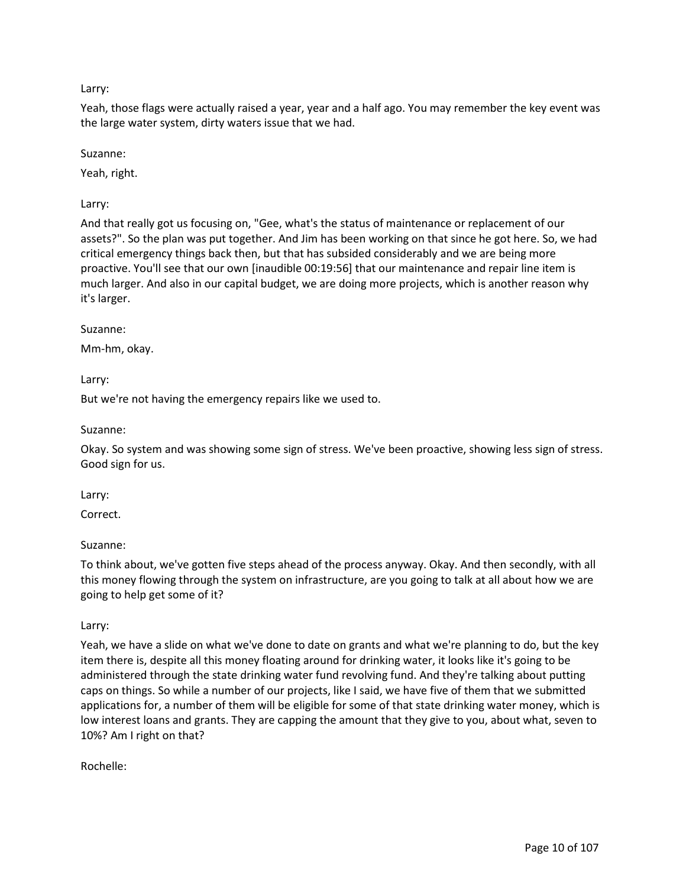# Larry:

Yeah, those flags were actually raised a year, year and a half ago. You may remember the key event was the large water system, dirty waters issue that we had.

## Suzanne:

Yeah, right.

# Larry:

And that really got us focusing on, "Gee, what's the status of maintenance or replacement of our assets?". So the plan was put together. And Jim has been working on that since he got here. So, we had critical emergency things back then, but that has subsided considerably and we are being more proactive. You'll see that our own [inaudible 00:19:56] that our maintenance and repair line item is much larger. And also in our capital budget, we are doing more projects, which is another reason why it's larger.

## Suzanne:

Mm-hm, okay.

## Larry:

But we're not having the emergency repairs like we used to.

### Suzanne:

Okay. So system and was showing some sign of stress. We've been proactive, showing less sign of stress. Good sign for us.

## Larry:

Correct.

## Suzanne:

To think about, we've gotten five steps ahead of the process anyway. Okay. And then secondly, with all this money flowing through the system on infrastructure, are you going to talk at all about how we are going to help get some of it?

## Larry:

Yeah, we have a slide on what we've done to date on grants and what we're planning to do, but the key item there is, despite all this money floating around for drinking water, it looks like it's going to be administered through the state drinking water fund revolving fund. And they're talking about putting caps on things. So while a number of our projects, like I said, we have five of them that we submitted applications for, a number of them will be eligible for some of that state drinking water money, which is low interest loans and grants. They are capping the amount that they give to you, about what, seven to 10%? Am I right on that?

Rochelle: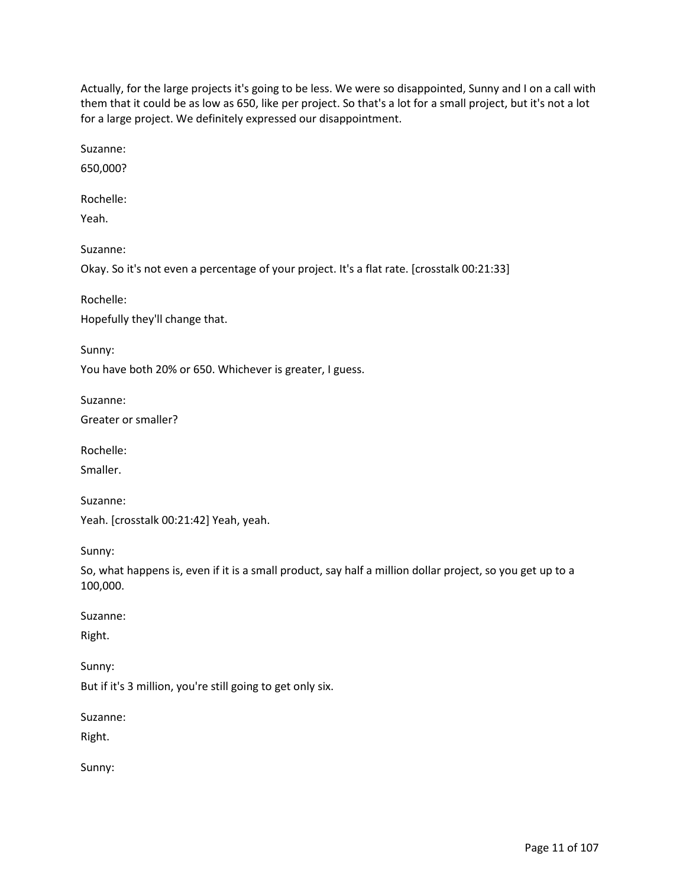Actually, for the large projects it's going to be less. We were so disappointed, Sunny and I on a call with them that it could be as low as 650, like per project. So that's a lot for a small project, but it's not a lot for a large project. We definitely expressed our disappointment.

Suzanne:

650,000?

Rochelle:

Yeah.

Suzanne:

Okay. So it's not even a percentage of your project. It's a flat rate. [crosstalk 00:21:33]

Rochelle:

Hopefully they'll change that.

Sunny:

You have both 20% or 650. Whichever is greater, I guess.

Suzanne:

Greater or smaller?

Rochelle:

Smaller.

Suzanne: Yeah. [crosstalk 00:21:42] Yeah, yeah.

Sunny:

So, what happens is, even if it is a small product, say half a million dollar project, so you get up to a 100,000.

Suzanne:

Right.

Sunny:

But if it's 3 million, you're still going to get only six.

Suzanne:

Right.

Sunny: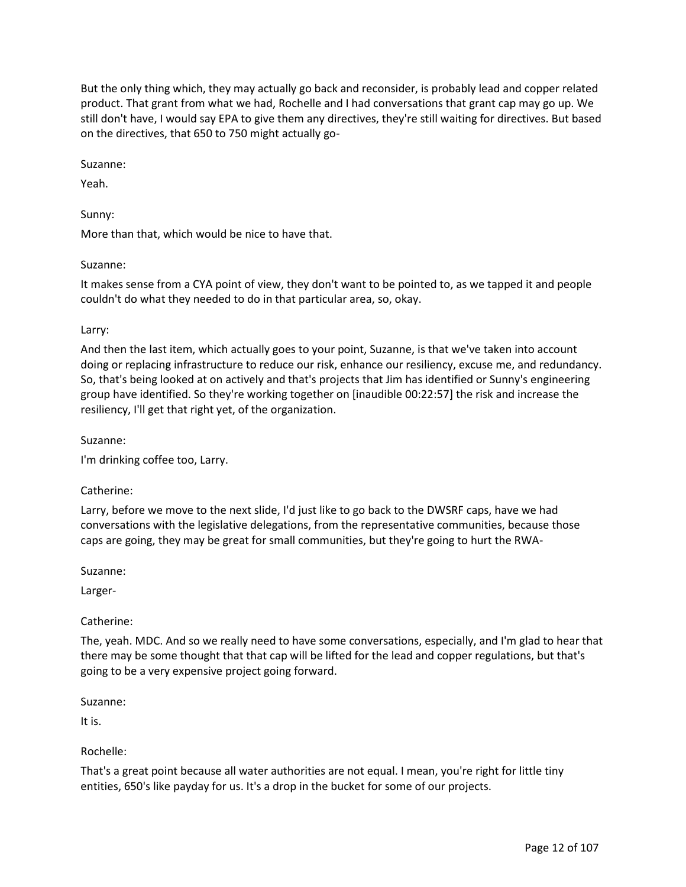But the only thing which, they may actually go back and reconsider, is probably lead and copper related product. That grant from what we had, Rochelle and I had conversations that grant cap may go up. We still don't have, I would say EPA to give them any directives, they're still waiting for directives. But based on the directives, that 650 to 750 might actually go-

Suzanne:

Yeah.

Sunny:

More than that, which would be nice to have that.

### Suzanne:

It makes sense from a CYA point of view, they don't want to be pointed to, as we tapped it and people couldn't do what they needed to do in that particular area, so, okay.

### Larry:

And then the last item, which actually goes to your point, Suzanne, is that we've taken into account doing or replacing infrastructure to reduce our risk, enhance our resiliency, excuse me, and redundancy. So, that's being looked at on actively and that's projects that Jim has identified or Sunny's engineering group have identified. So they're working together on [inaudible 00:22:57] the risk and increase the resiliency, I'll get that right yet, of the organization.

### Suzanne:

I'm drinking coffee too, Larry.

#### Catherine:

Larry, before we move to the next slide, I'd just like to go back to the DWSRF caps, have we had conversations with the legislative delegations, from the representative communities, because those caps are going, they may be great for small communities, but they're going to hurt the RWA-

Suzanne:

Larger-

## Catherine:

The, yeah. MDC. And so we really need to have some conversations, especially, and I'm glad to hear that there may be some thought that that cap will be lifted for the lead and copper regulations, but that's going to be a very expensive project going forward.

#### Suzanne:

It is.

## Rochelle:

That's a great point because all water authorities are not equal. I mean, you're right for little tiny entities, 650's like payday for us. It's a drop in the bucket for some of our projects.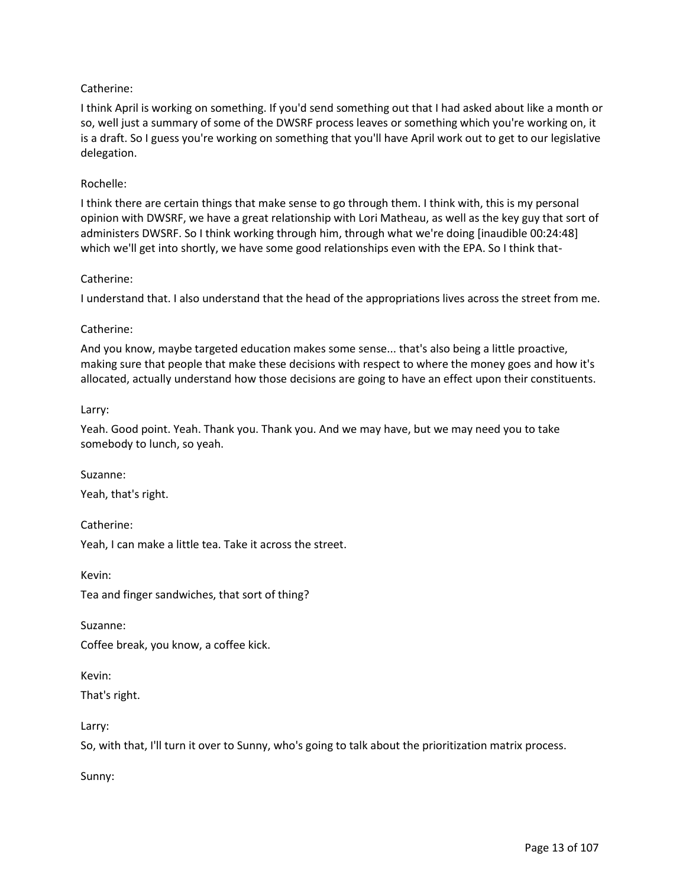# Catherine:

I think April is working on something. If you'd send something out that I had asked about like a month or so, well just a summary of some of the DWSRF process leaves or something which you're working on, it is a draft. So I guess you're working on something that you'll have April work out to get to our legislative delegation.

### Rochelle:

I think there are certain things that make sense to go through them. I think with, this is my personal opinion with DWSRF, we have a great relationship with Lori Matheau, as well as the key guy that sort of administers DWSRF. So I think working through him, through what we're doing [inaudible 00:24:48] which we'll get into shortly, we have some good relationships even with the EPA. So I think that-

### Catherine:

I understand that. I also understand that the head of the appropriations lives across the street from me.

### Catherine:

And you know, maybe targeted education makes some sense... that's also being a little proactive, making sure that people that make these decisions with respect to where the money goes and how it's allocated, actually understand how those decisions are going to have an effect upon their constituents.

### Larry:

Yeah. Good point. Yeah. Thank you. Thank you. And we may have, but we may need you to take somebody to lunch, so yeah.

Suzanne:

Yeah, that's right.

Catherine: Yeah, I can make a little tea. Take it across the street.

Kevin: Tea and finger sandwiches, that sort of thing?

Suzanne:

Coffee break, you know, a coffee kick.

Kevin:

That's right.

Larry:

So, with that, I'll turn it over to Sunny, who's going to talk about the prioritization matrix process.

Sunny: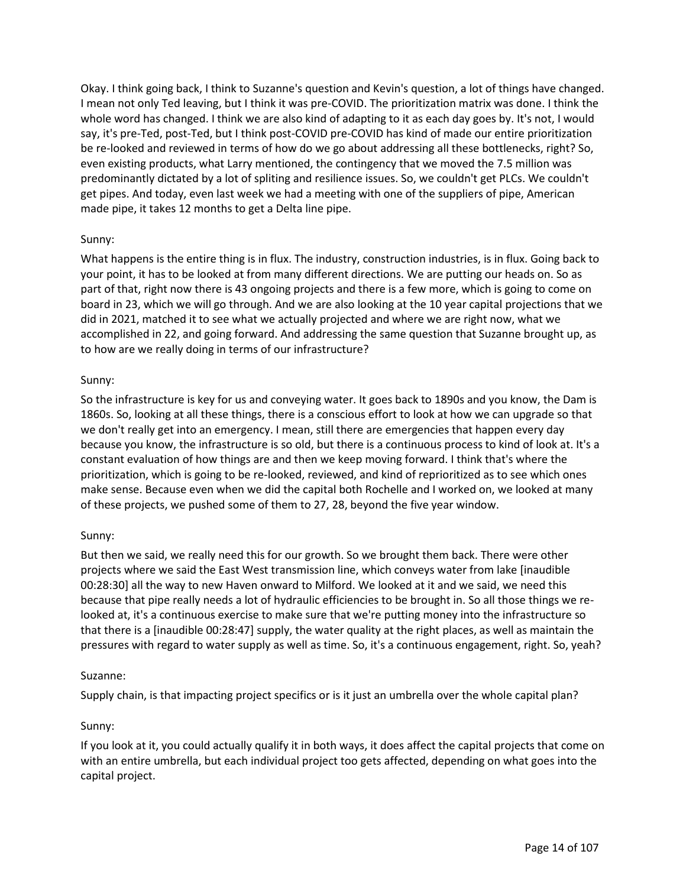Okay. I think going back, I think to Suzanne's question and Kevin's question, a lot of things have changed. I mean not only Ted leaving, but I think it was pre-COVID. The prioritization matrix was done. I think the whole word has changed. I think we are also kind of adapting to it as each day goes by. It's not, I would say, it's pre-Ted, post-Ted, but I think post-COVID pre-COVID has kind of made our entire prioritization be re-looked and reviewed in terms of how do we go about addressing all these bottlenecks, right? So, even existing products, what Larry mentioned, the contingency that we moved the 7.5 million was predominantly dictated by a lot of spliting and resilience issues. So, we couldn't get PLCs. We couldn't get pipes. And today, even last week we had a meeting with one of the suppliers of pipe, American made pipe, it takes 12 months to get a Delta line pipe.

## Sunny:

What happens is the entire thing is in flux. The industry, construction industries, is in flux. Going back to your point, it has to be looked at from many different directions. We are putting our heads on. So as part of that, right now there is 43 ongoing projects and there is a few more, which is going to come on board in 23, which we will go through. And we are also looking at the 10 year capital projections that we did in 2021, matched it to see what we actually projected and where we are right now, what we accomplished in 22, and going forward. And addressing the same question that Suzanne brought up, as to how are we really doing in terms of our infrastructure?

## Sunny:

So the infrastructure is key for us and conveying water. It goes back to 1890s and you know, the Dam is 1860s. So, looking at all these things, there is a conscious effort to look at how we can upgrade so that we don't really get into an emergency. I mean, still there are emergencies that happen every day because you know, the infrastructure is so old, but there is a continuous process to kind of look at. It's a constant evaluation of how things are and then we keep moving forward. I think that's where the prioritization, which is going to be re-looked, reviewed, and kind of reprioritized as to see which ones make sense. Because even when we did the capital both Rochelle and I worked on, we looked at many of these projects, we pushed some of them to 27, 28, beyond the five year window.

## Sunny:

But then we said, we really need this for our growth. So we brought them back. There were other projects where we said the East West transmission line, which conveys water from lake [inaudible 00:28:30] all the way to new Haven onward to Milford. We looked at it and we said, we need this because that pipe really needs a lot of hydraulic efficiencies to be brought in. So all those things we relooked at, it's a continuous exercise to make sure that we're putting money into the infrastructure so that there is a [inaudible 00:28:47] supply, the water quality at the right places, as well as maintain the pressures with regard to water supply as well as time. So, it's a continuous engagement, right. So, yeah?

## Suzanne:

Supply chain, is that impacting project specifics or is it just an umbrella over the whole capital plan?

# Sunny:

If you look at it, you could actually qualify it in both ways, it does affect the capital projects that come on with an entire umbrella, but each individual project too gets affected, depending on what goes into the capital project.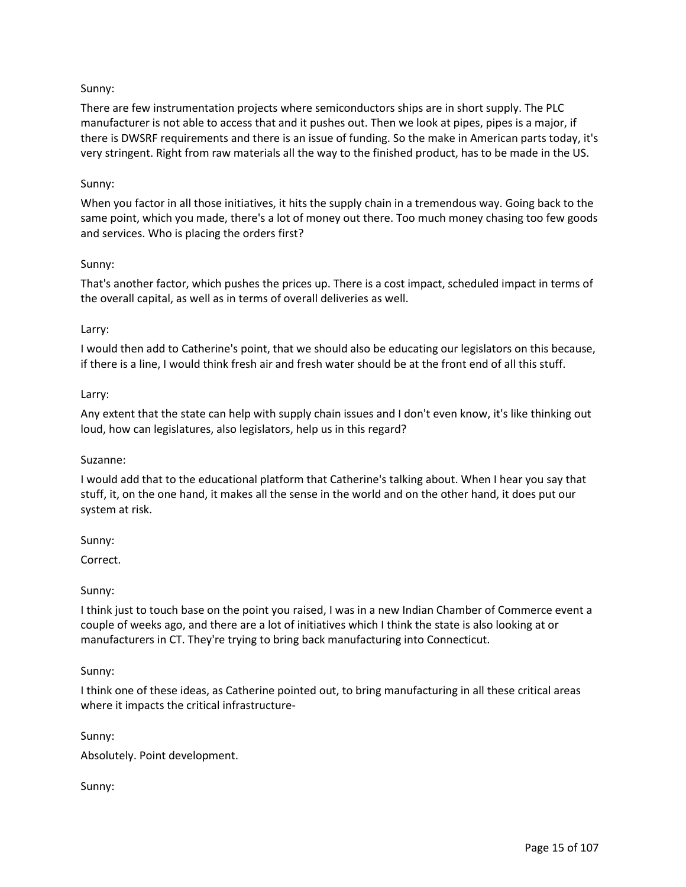# Sunny:

There are few instrumentation projects where semiconductors ships are in short supply. The PLC manufacturer is not able to access that and it pushes out. Then we look at pipes, pipes is a major, if there is DWSRF requirements and there is an issue of funding. So the make in American parts today, it's very stringent. Right from raw materials all the way to the finished product, has to be made in the US.

### Sunny:

When you factor in all those initiatives, it hits the supply chain in a tremendous way. Going back to the same point, which you made, there's a lot of money out there. Too much money chasing too few goods and services. Who is placing the orders first?

### Sunny:

That's another factor, which pushes the prices up. There is a cost impact, scheduled impact in terms of the overall capital, as well as in terms of overall deliveries as well.

### Larry:

I would then add to Catherine's point, that we should also be educating our legislators on this because, if there is a line, I would think fresh air and fresh water should be at the front end of all this stuff.

### Larry:

Any extent that the state can help with supply chain issues and I don't even know, it's like thinking out loud, how can legislatures, also legislators, help us in this regard?

#### Suzanne:

I would add that to the educational platform that Catherine's talking about. When I hear you say that stuff, it, on the one hand, it makes all the sense in the world and on the other hand, it does put our system at risk.

Sunny:

Correct.

## Sunny:

I think just to touch base on the point you raised, I was in a new Indian Chamber of Commerce event a couple of weeks ago, and there are a lot of initiatives which I think the state is also looking at or manufacturers in CT. They're trying to bring back manufacturing into Connecticut.

#### Sunny:

I think one of these ideas, as Catherine pointed out, to bring manufacturing in all these critical areas where it impacts the critical infrastructure-

#### Sunny:

Absolutely. Point development.

Sunny: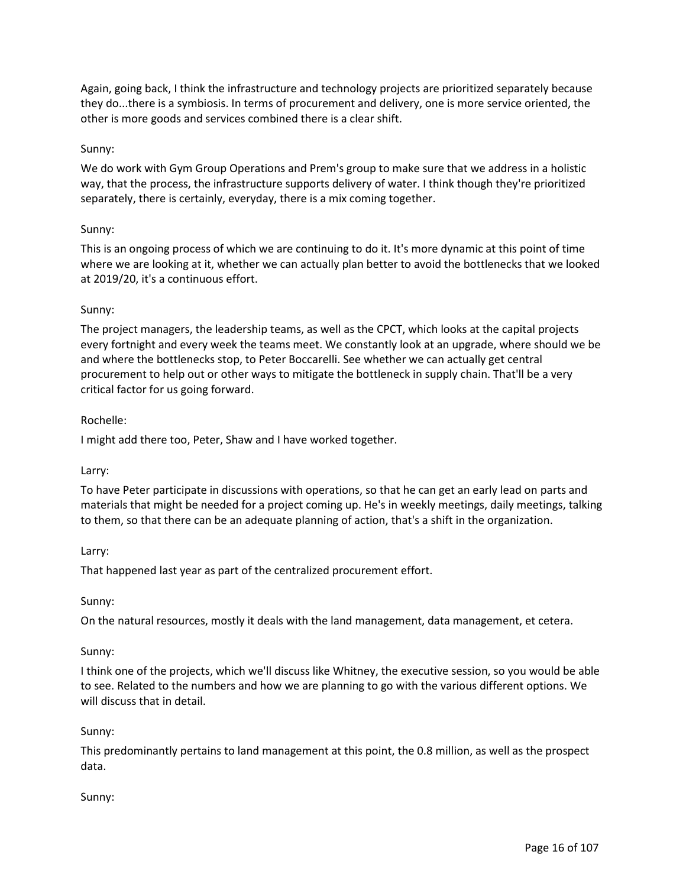Again, going back, I think the infrastructure and technology projects are prioritized separately because they do...there is a symbiosis. In terms of procurement and delivery, one is more service oriented, the other is more goods and services combined there is a clear shift.

### Sunny:

We do work with Gym Group Operations and Prem's group to make sure that we address in a holistic way, that the process, the infrastructure supports delivery of water. I think though they're prioritized separately, there is certainly, everyday, there is a mix coming together.

### Sunny:

This is an ongoing process of which we are continuing to do it. It's more dynamic at this point of time where we are looking at it, whether we can actually plan better to avoid the bottlenecks that we looked at 2019/20, it's a continuous effort.

### Sunny:

The project managers, the leadership teams, as well as the CPCT, which looks at the capital projects every fortnight and every week the teams meet. We constantly look at an upgrade, where should we be and where the bottlenecks stop, to Peter Boccarelli. See whether we can actually get central procurement to help out or other ways to mitigate the bottleneck in supply chain. That'll be a very critical factor for us going forward.

### Rochelle:

I might add there too, Peter, Shaw and I have worked together.

#### Larry:

To have Peter participate in discussions with operations, so that he can get an early lead on parts and materials that might be needed for a project coming up. He's in weekly meetings, daily meetings, talking to them, so that there can be an adequate planning of action, that's a shift in the organization.

#### Larry:

That happened last year as part of the centralized procurement effort.

#### Sunny:

On the natural resources, mostly it deals with the land management, data management, et cetera.

#### Sunny:

I think one of the projects, which we'll discuss like Whitney, the executive session, so you would be able to see. Related to the numbers and how we are planning to go with the various different options. We will discuss that in detail.

#### Sunny:

This predominantly pertains to land management at this point, the 0.8 million, as well as the prospect data.

#### Sunny: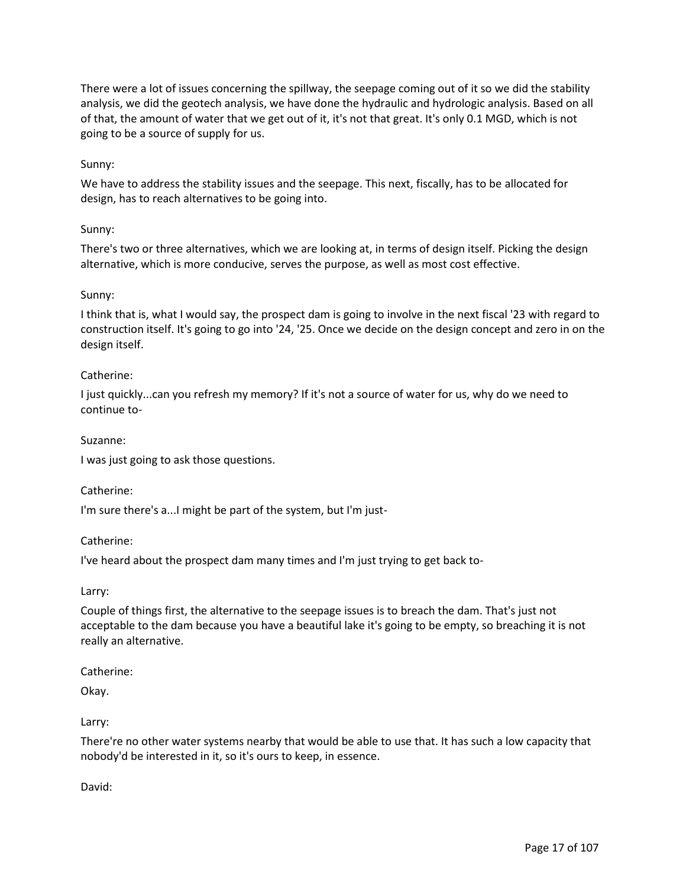There were a lot of issues concerning the spillway, the seepage coming out of it so we did the stability analysis, we did the geotech analysis, we have done the hydraulic and hydrologic analysis. Based on all of that, the amount of water that we get out of it, it's not that great. It's only 0.1 MGD, which is not going to be a source of supply for us.

## Sunny:

We have to address the stability issues and the seepage. This next, fiscally, has to be allocated for design, has to reach alternatives to be going into.

### Sunny:

There's two or three alternatives, which we are looking at, in terms of design itself. Picking the design alternative, which is more conducive, serves the purpose, as well as most cost effective.

#### Sunny:

I think that is, what I would say, the prospect dam is going to involve in the next fiscal '23 with regard to construction itself. It's going to go into '24, '25. Once we decide on the design concept and zero in on the design itself.

### Catherine:

I just quickly...can you refresh my memory? If it's not a source of water for us, why do we need to continue to-

### Suzanne:

I was just going to ask those questions.

#### Catherine:

I'm sure there's a...I might be part of the system, but I'm just-

#### Catherine:

I've heard about the prospect dam many times and I'm just trying to get back to-

#### Larry:

Couple of things first, the alternative to the seepage issues is to breach the dam. That's just not acceptable to the dam because you have a beautiful lake it's going to be empty, so breaching it is not really an alternative.

#### Catherine:

Okay.

## Larry:

There're no other water systems nearby that would be able to use that. It has such a low capacity that nobody'd be interested in it, so it's ours to keep, in essence.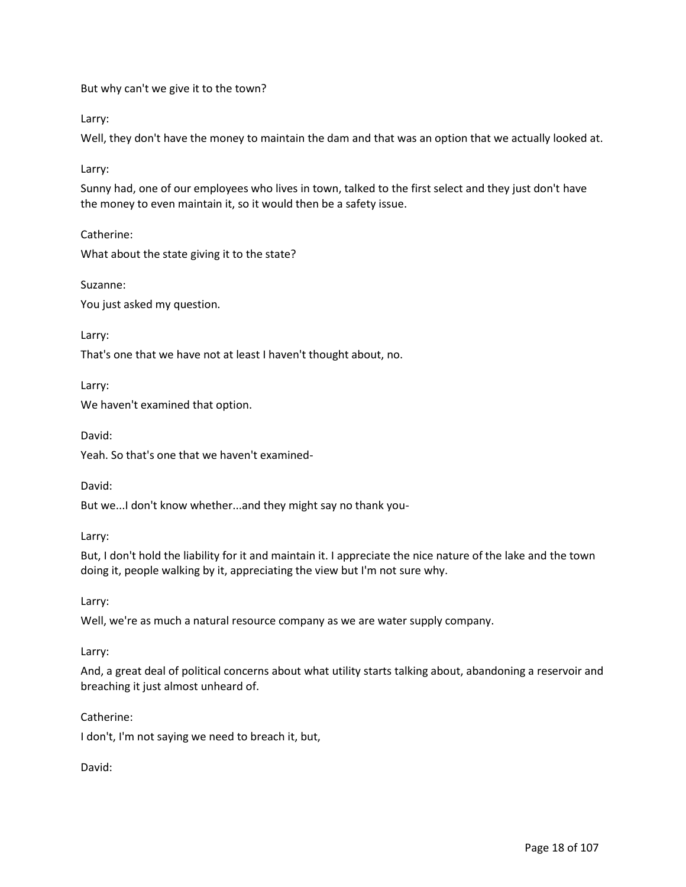But why can't we give it to the town?

Larry:

Well, they don't have the money to maintain the dam and that was an option that we actually looked at.

Larry:

Sunny had, one of our employees who lives in town, talked to the first select and they just don't have the money to even maintain it, so it would then be a safety issue.

Catherine: What about the state giving it to the state?

Suzanne: You just asked my question.

Larry:

That's one that we have not at least I haven't thought about, no.

Larry:

We haven't examined that option.

David:

Yeah. So that's one that we haven't examined-

David:

But we...I don't know whether...and they might say no thank you-

Larry:

But, I don't hold the liability for it and maintain it. I appreciate the nice nature of the lake and the town doing it, people walking by it, appreciating the view but I'm not sure why.

Larry:

Well, we're as much a natural resource company as we are water supply company.

Larry:

And, a great deal of political concerns about what utility starts talking about, abandoning a reservoir and breaching it just almost unheard of.

Catherine:

I don't, I'm not saying we need to breach it, but,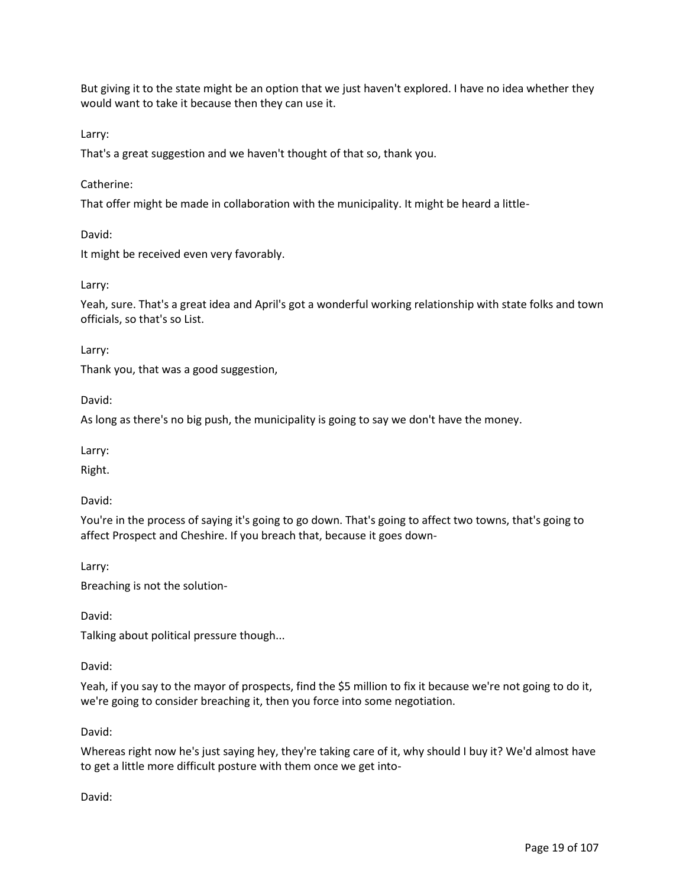But giving it to the state might be an option that we just haven't explored. I have no idea whether they would want to take it because then they can use it.

Larry:

That's a great suggestion and we haven't thought of that so, thank you.

## Catherine:

That offer might be made in collaboration with the municipality. It might be heard a little-

David:

It might be received even very favorably.

Larry:

Yeah, sure. That's a great idea and April's got a wonderful working relationship with state folks and town officials, so that's so List.

Larry:

Thank you, that was a good suggestion,

David:

As long as there's no big push, the municipality is going to say we don't have the money.

Larry:

Right.

David:

You're in the process of saying it's going to go down. That's going to affect two towns, that's going to affect Prospect and Cheshire. If you breach that, because it goes down-

Larry:

Breaching is not the solution-

David:

Talking about political pressure though...

David:

Yeah, if you say to the mayor of prospects, find the \$5 million to fix it because we're not going to do it, we're going to consider breaching it, then you force into some negotiation.

David:

Whereas right now he's just saying hey, they're taking care of it, why should I buy it? We'd almost have to get a little more difficult posture with them once we get into-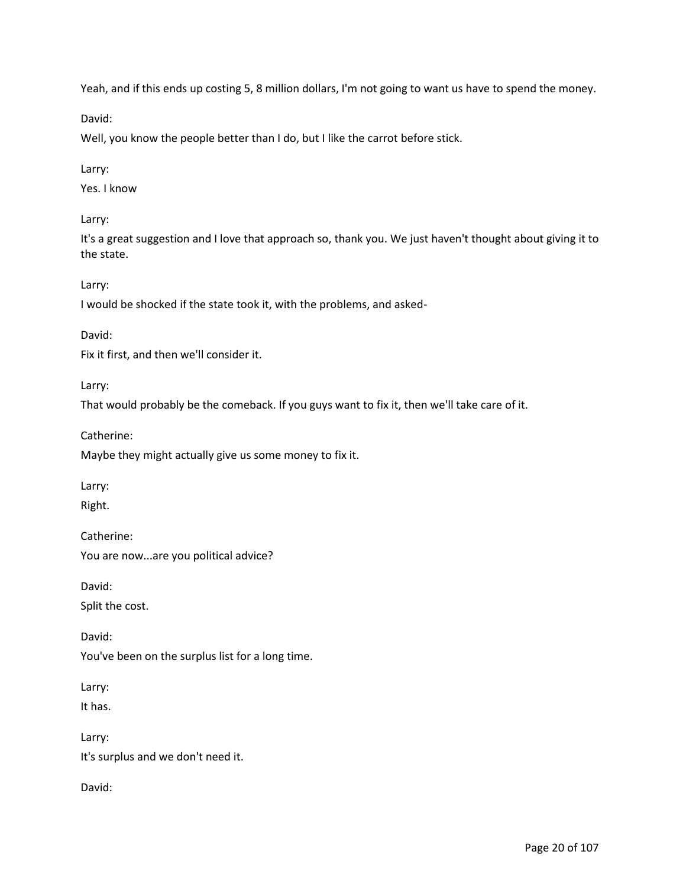Yeah, and if this ends up costing 5, 8 million dollars, I'm not going to want us have to spend the money.

David:

Well, you know the people better than I do, but I like the carrot before stick.

## Larry:

Yes. I know

Larry:

It's a great suggestion and I love that approach so, thank you. We just haven't thought about giving it to the state.

Larry:

I would be shocked if the state took it, with the problems, and asked-

David:

Fix it first, and then we'll consider it.

Larry:

That would probably be the comeback. If you guys want to fix it, then we'll take care of it.

Catherine:

Maybe they might actually give us some money to fix it.

Larry:

Right.

Catherine:

You are now...are you political advice?

David:

Split the cost.

David: You've been on the surplus list for a long time.

Larry:

It has.

Larry: It's surplus and we don't need it.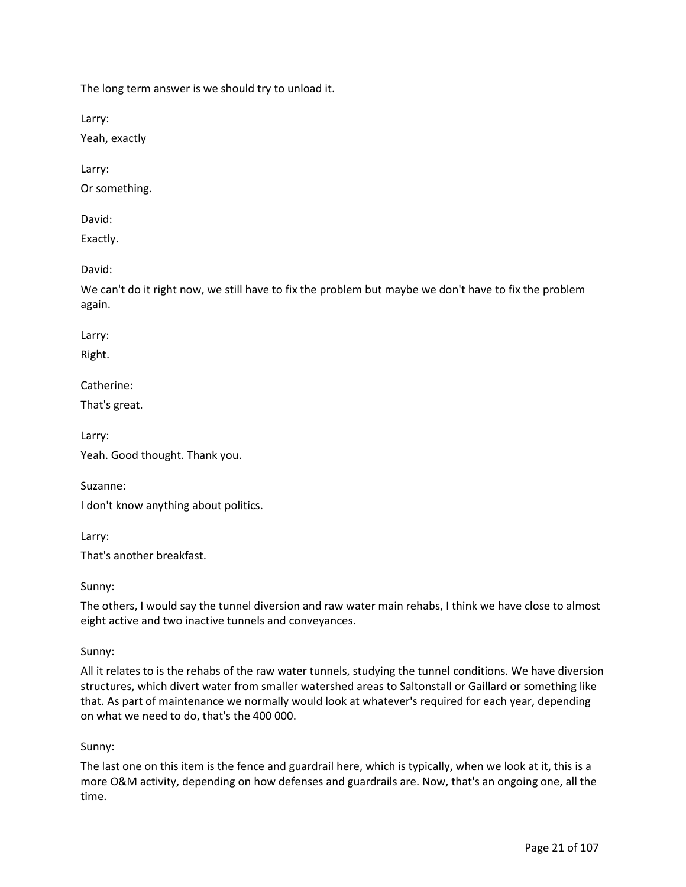The long term answer is we should try to unload it.

Larry:

Yeah, exactly

Larry:

Or something.

David:

Exactly.

David:

We can't do it right now, we still have to fix the problem but maybe we don't have to fix the problem again.

Larry:

Right.

Catherine:

That's great.

Larry: Yeah. Good thought. Thank you.

Suzanne: I don't know anything about politics.

Larry: That's another breakfast.

Sunny:

The others, I would say the tunnel diversion and raw water main rehabs, I think we have close to almost eight active and two inactive tunnels and conveyances.

## Sunny:

All it relates to is the rehabs of the raw water tunnels, studying the tunnel conditions. We have diversion structures, which divert water from smaller watershed areas to Saltonstall or Gaillard or something like that. As part of maintenance we normally would look at whatever's required for each year, depending on what we need to do, that's the 400 000.

## Sunny:

The last one on this item is the fence and guardrail here, which is typically, when we look at it, this is a more O&M activity, depending on how defenses and guardrails are. Now, that's an ongoing one, all the time.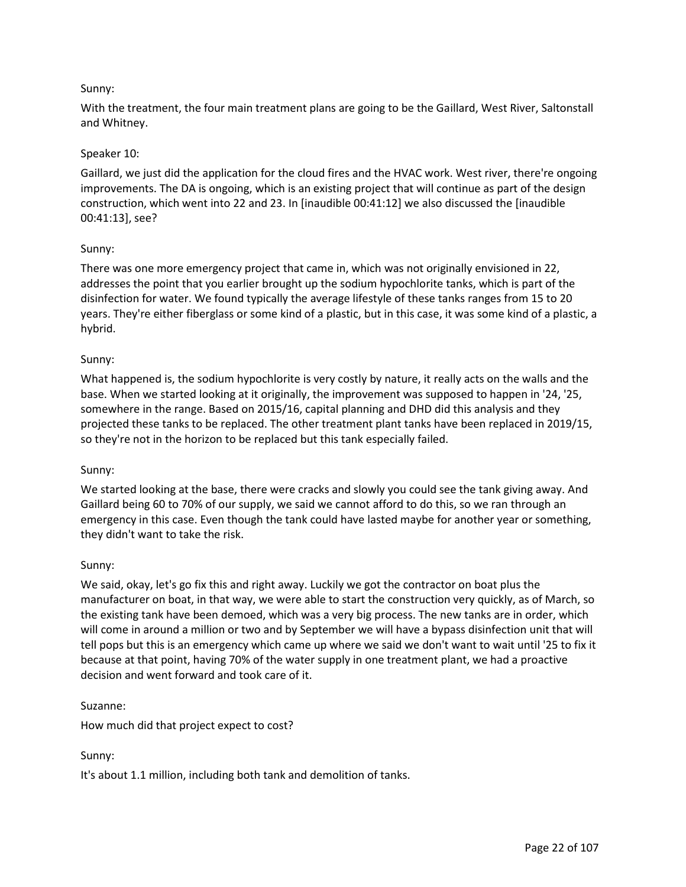# Sunny:

With the treatment, the four main treatment plans are going to be the Gaillard, West River, Saltonstall and Whitney.

## Speaker 10:

Gaillard, we just did the application for the cloud fires and the HVAC work. West river, there're ongoing improvements. The DA is ongoing, which is an existing project that will continue as part of the design construction, which went into 22 and 23. In [inaudible 00:41:12] we also discussed the [inaudible 00:41:13], see?

### Sunny:

There was one more emergency project that came in, which was not originally envisioned in 22, addresses the point that you earlier brought up the sodium hypochlorite tanks, which is part of the disinfection for water. We found typically the average lifestyle of these tanks ranges from 15 to 20 years. They're either fiberglass or some kind of a plastic, but in this case, it was some kind of a plastic, a hybrid.

### Sunny:

What happened is, the sodium hypochlorite is very costly by nature, it really acts on the walls and the base. When we started looking at it originally, the improvement was supposed to happen in '24, '25, somewhere in the range. Based on 2015/16, capital planning and DHD did this analysis and they projected these tanks to be replaced. The other treatment plant tanks have been replaced in 2019/15, so they're not in the horizon to be replaced but this tank especially failed.

#### Sunny:

We started looking at the base, there were cracks and slowly you could see the tank giving away. And Gaillard being 60 to 70% of our supply, we said we cannot afford to do this, so we ran through an emergency in this case. Even though the tank could have lasted maybe for another year or something, they didn't want to take the risk.

#### Sunny:

We said, okay, let's go fix this and right away. Luckily we got the contractor on boat plus the manufacturer on boat, in that way, we were able to start the construction very quickly, as of March, so the existing tank have been demoed, which was a very big process. The new tanks are in order, which will come in around a million or two and by September we will have a bypass disinfection unit that will tell pops but this is an emergency which came up where we said we don't want to wait until '25 to fix it because at that point, having 70% of the water supply in one treatment plant, we had a proactive decision and went forward and took care of it.

#### Suzanne:

How much did that project expect to cost?

#### Sunny:

It's about 1.1 million, including both tank and demolition of tanks.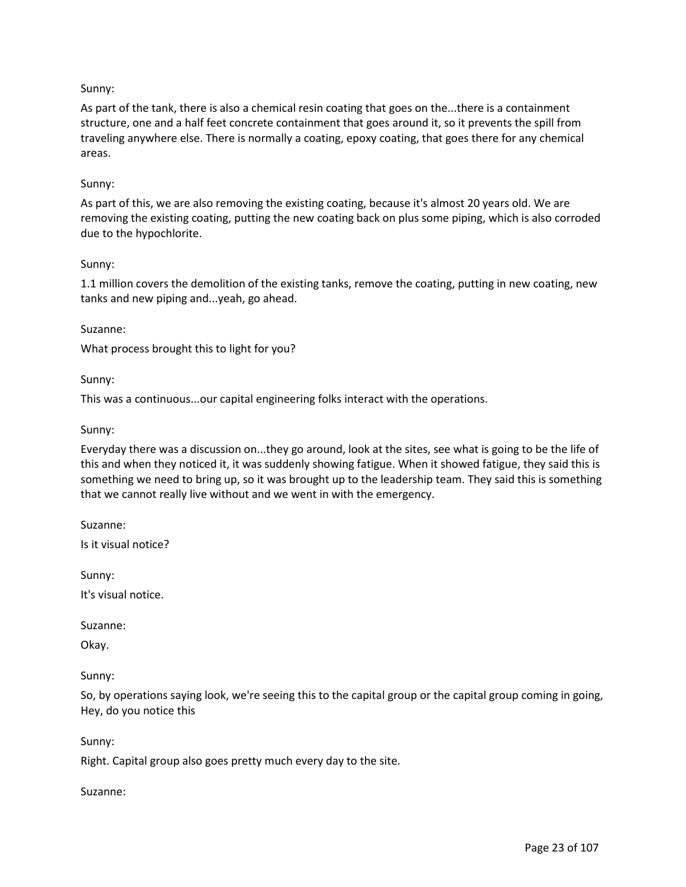## Sunny:

As part of the tank, there is also a chemical resin coating that goes on the...there is a containment structure, one and a half feet concrete containment that goes around it, so it prevents the spill from traveling anywhere else. There is normally a coating, epoxy coating, that goes there for any chemical areas.

#### Sunny:

As part of this, we are also removing the existing coating, because it's almost 20 years old. We are removing the existing coating, putting the new coating back on plus some piping, which is also corroded due to the hypochlorite.

#### Sunny:

1.1 million covers the demolition of the existing tanks, remove the coating, putting in new coating, new tanks and new piping and...yeah, go ahead.

#### Suzanne:

What process brought this to light for you?

Sunny:

This was a continuous...our capital engineering folks interact with the operations.

#### Sunny:

Everyday there was a discussion on...they go around, look at the sites, see what is going to be the life of this and when they noticed it, it was suddenly showing fatigue. When it showed fatigue, they said this is something we need to bring up, so it was brought up to the leadership team. They said this is something that we cannot really live without and we went in with the emergency.

Suzanne:

Is it visual notice?

Sunny:

It's visual notice.

Suzanne:

Okay.

Sunny:

So, by operations saying look, we're seeing this to the capital group or the capital group coming in going, Hey, do you notice this

Sunny:

Right. Capital group also goes pretty much every day to the site.

Suzanne: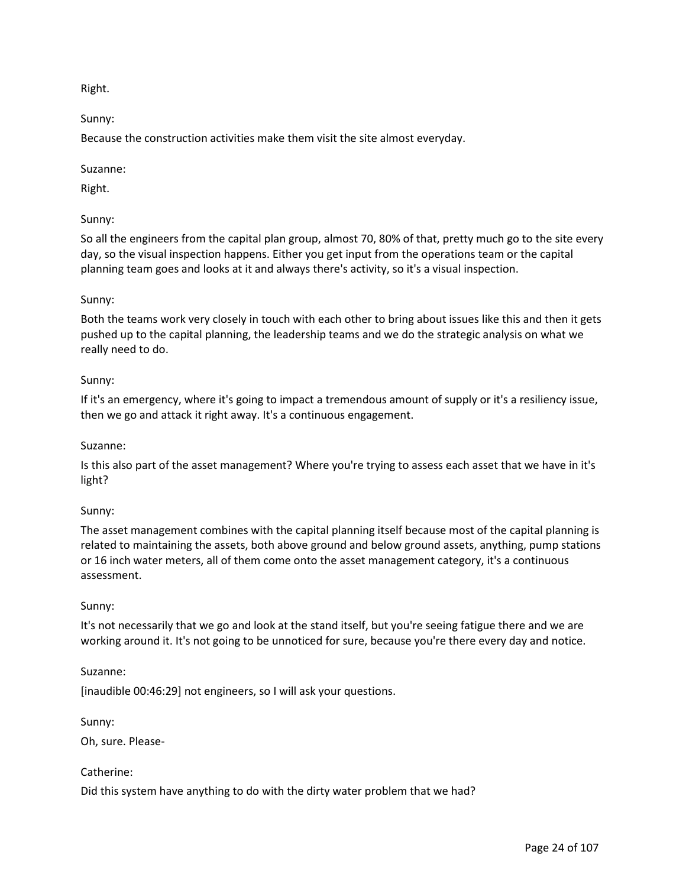Right.

Sunny:

Because the construction activities make them visit the site almost everyday.

Suzanne:

Right.

# Sunny:

So all the engineers from the capital plan group, almost 70, 80% of that, pretty much go to the site every day, so the visual inspection happens. Either you get input from the operations team or the capital planning team goes and looks at it and always there's activity, so it's a visual inspection.

## Sunny:

Both the teams work very closely in touch with each other to bring about issues like this and then it gets pushed up to the capital planning, the leadership teams and we do the strategic analysis on what we really need to do.

## Sunny:

If it's an emergency, where it's going to impact a tremendous amount of supply or it's a resiliency issue, then we go and attack it right away. It's a continuous engagement.

## Suzanne:

Is this also part of the asset management? Where you're trying to assess each asset that we have in it's light?

## Sunny:

The asset management combines with the capital planning itself because most of the capital planning is related to maintaining the assets, both above ground and below ground assets, anything, pump stations or 16 inch water meters, all of them come onto the asset management category, it's a continuous assessment.

## Sunny:

It's not necessarily that we go and look at the stand itself, but you're seeing fatigue there and we are working around it. It's not going to be unnoticed for sure, because you're there every day and notice.

## Suzanne:

[inaudible 00:46:29] not engineers, so I will ask your questions.

Sunny:

Oh, sure. Please-

## Catherine:

Did this system have anything to do with the dirty water problem that we had?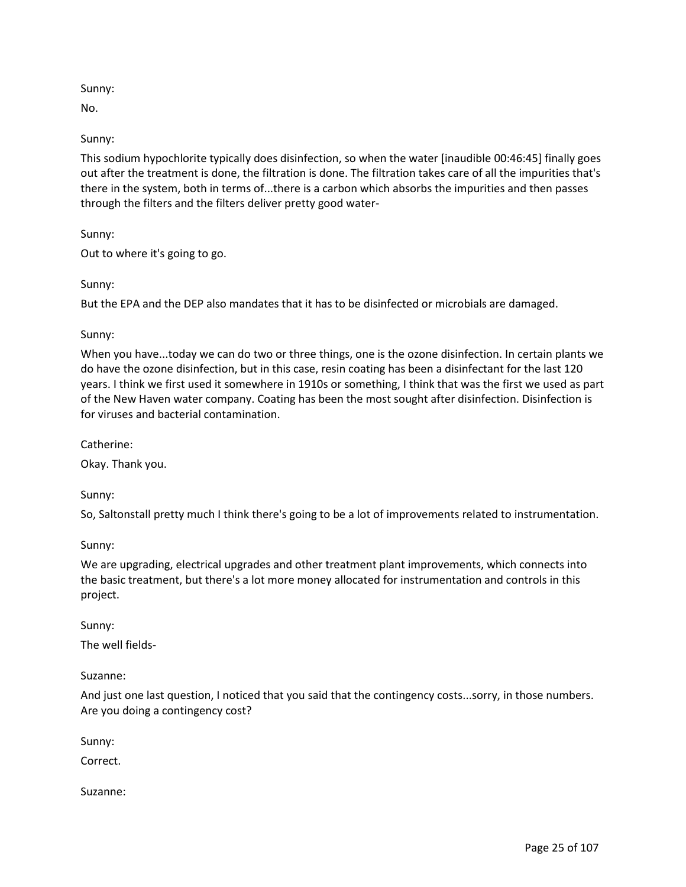# Sunny:

No.

# Sunny:

This sodium hypochlorite typically does disinfection, so when the water [inaudible 00:46:45] finally goes out after the treatment is done, the filtration is done. The filtration takes care of all the impurities that's there in the system, both in terms of...there is a carbon which absorbs the impurities and then passes through the filters and the filters deliver pretty good water-

# Sunny:

Out to where it's going to go.

# Sunny:

But the EPA and the DEP also mandates that it has to be disinfected or microbials are damaged.

# Sunny:

When you have...today we can do two or three things, one is the ozone disinfection. In certain plants we do have the ozone disinfection, but in this case, resin coating has been a disinfectant for the last 120 years. I think we first used it somewhere in 1910s or something, I think that was the first we used as part of the New Haven water company. Coating has been the most sought after disinfection. Disinfection is for viruses and bacterial contamination.

Catherine:

Okay. Thank you.

Sunny:

So, Saltonstall pretty much I think there's going to be a lot of improvements related to instrumentation.

Sunny:

We are upgrading, electrical upgrades and other treatment plant improvements, which connects into the basic treatment, but there's a lot more money allocated for instrumentation and controls in this project.

Sunny:

The well fields-

Suzanne:

And just one last question, I noticed that you said that the contingency costs...sorry, in those numbers. Are you doing a contingency cost?

Sunny:

Correct.

Suzanne: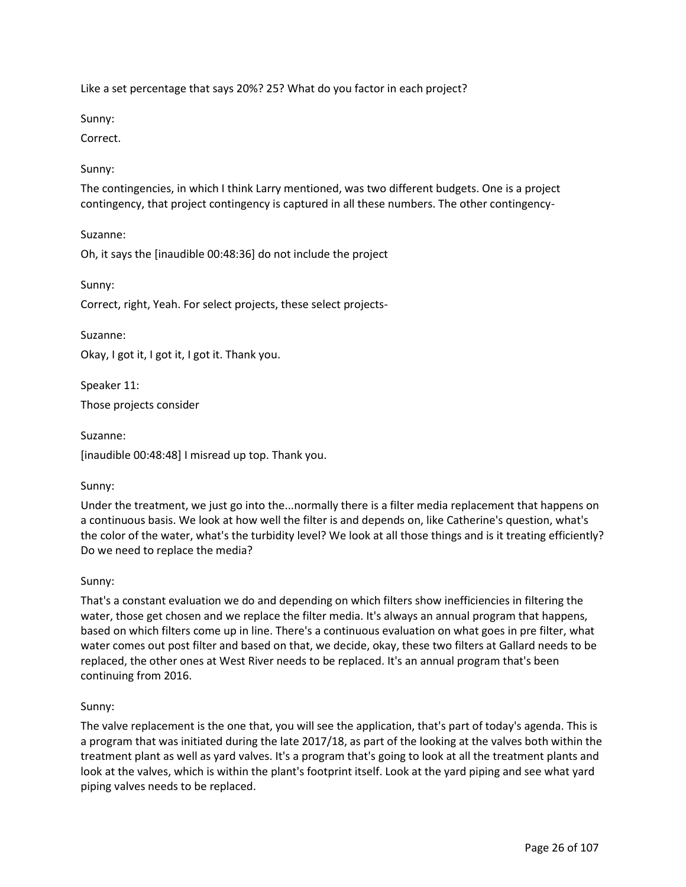Like a set percentage that says 20%? 25? What do you factor in each project?

Sunny:

Correct.

# Sunny:

The contingencies, in which I think Larry mentioned, was two different budgets. One is a project contingency, that project contingency is captured in all these numbers. The other contingency-

Suzanne:

Oh, it says the [inaudible 00:48:36] do not include the project

Sunny:

Correct, right, Yeah. For select projects, these select projects-

Suzanne:

Okay, I got it, I got it, I got it. Thank you.

Speaker 11:

Those projects consider

Suzanne:

[inaudible 00:48:48] I misread up top. Thank you.

## Sunny:

Under the treatment, we just go into the...normally there is a filter media replacement that happens on a continuous basis. We look at how well the filter is and depends on, like Catherine's question, what's the color of the water, what's the turbidity level? We look at all those things and is it treating efficiently? Do we need to replace the media?

## Sunny:

That's a constant evaluation we do and depending on which filters show inefficiencies in filtering the water, those get chosen and we replace the filter media. It's always an annual program that happens, based on which filters come up in line. There's a continuous evaluation on what goes in pre filter, what water comes out post filter and based on that, we decide, okay, these two filters at Gallard needs to be replaced, the other ones at West River needs to be replaced. It's an annual program that's been continuing from 2016.

## Sunny:

The valve replacement is the one that, you will see the application, that's part of today's agenda. This is a program that was initiated during the late 2017/18, as part of the looking at the valves both within the treatment plant as well as yard valves. It's a program that's going to look at all the treatment plants and look at the valves, which is within the plant's footprint itself. Look at the yard piping and see what yard piping valves needs to be replaced.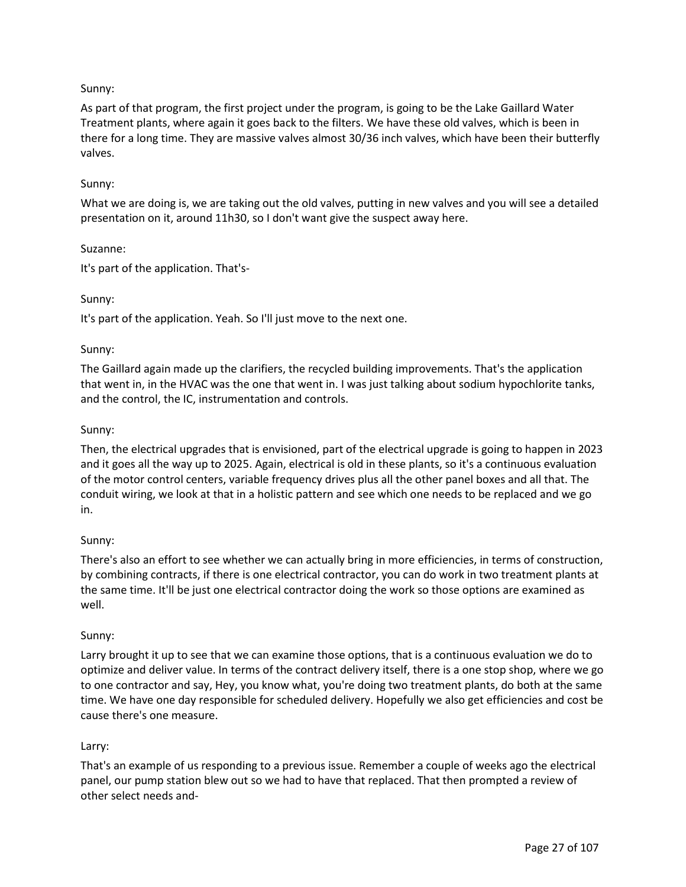# Sunny:

As part of that program, the first project under the program, is going to be the Lake Gaillard Water Treatment plants, where again it goes back to the filters. We have these old valves, which is been in there for a long time. They are massive valves almost 30/36 inch valves, which have been their butterfly valves.

### Sunny:

What we are doing is, we are taking out the old valves, putting in new valves and you will see a detailed presentation on it, around 11h30, so I don't want give the suspect away here.

### Suzanne:

It's part of the application. That's-

### Sunny:

It's part of the application. Yeah. So I'll just move to the next one.

### Sunny:

The Gaillard again made up the clarifiers, the recycled building improvements. That's the application that went in, in the HVAC was the one that went in. I was just talking about sodium hypochlorite tanks, and the control, the IC, instrumentation and controls.

### Sunny:

Then, the electrical upgrades that is envisioned, part of the electrical upgrade is going to happen in 2023 and it goes all the way up to 2025. Again, electrical is old in these plants, so it's a continuous evaluation of the motor control centers, variable frequency drives plus all the other panel boxes and all that. The conduit wiring, we look at that in a holistic pattern and see which one needs to be replaced and we go in.

#### Sunny:

There's also an effort to see whether we can actually bring in more efficiencies, in terms of construction, by combining contracts, if there is one electrical contractor, you can do work in two treatment plants at the same time. It'll be just one electrical contractor doing the work so those options are examined as well.

#### Sunny:

Larry brought it up to see that we can examine those options, that is a continuous evaluation we do to optimize and deliver value. In terms of the contract delivery itself, there is a one stop shop, where we go to one contractor and say, Hey, you know what, you're doing two treatment plants, do both at the same time. We have one day responsible for scheduled delivery. Hopefully we also get efficiencies and cost be cause there's one measure.

## Larry:

That's an example of us responding to a previous issue. Remember a couple of weeks ago the electrical panel, our pump station blew out so we had to have that replaced. That then prompted a review of other select needs and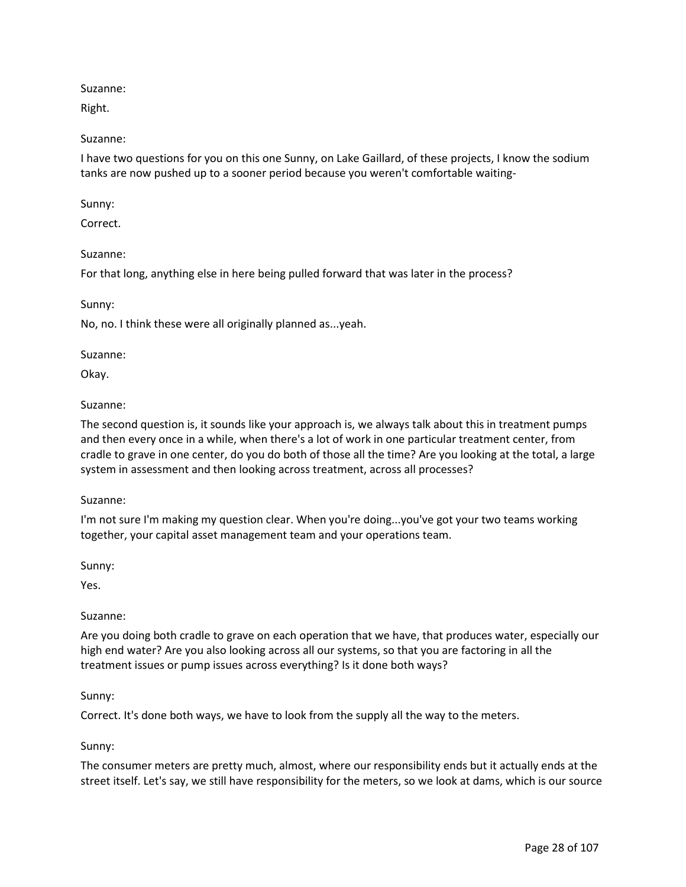Suzanne:

Right.

## Suzanne:

I have two questions for you on this one Sunny, on Lake Gaillard, of these projects, I know the sodium tanks are now pushed up to a sooner period because you weren't comfortable waiting-

Sunny:

Correct.

## Suzanne:

For that long, anything else in here being pulled forward that was later in the process?

Sunny:

No, no. I think these were all originally planned as...yeah.

## Suzanne:

Okay.

## Suzanne:

The second question is, it sounds like your approach is, we always talk about this in treatment pumps and then every once in a while, when there's a lot of work in one particular treatment center, from cradle to grave in one center, do you do both of those all the time? Are you looking at the total, a large system in assessment and then looking across treatment, across all processes?

## Suzanne:

I'm not sure I'm making my question clear. When you're doing...you've got your two teams working together, your capital asset management team and your operations team.

Sunny:

Yes.

## Suzanne:

Are you doing both cradle to grave on each operation that we have, that produces water, especially our high end water? Are you also looking across all our systems, so that you are factoring in all the treatment issues or pump issues across everything? Is it done both ways?

## Sunny:

Correct. It's done both ways, we have to look from the supply all the way to the meters.

## Sunny:

The consumer meters are pretty much, almost, where our responsibility ends but it actually ends at the street itself. Let's say, we still have responsibility for the meters, so we look at dams, which is our source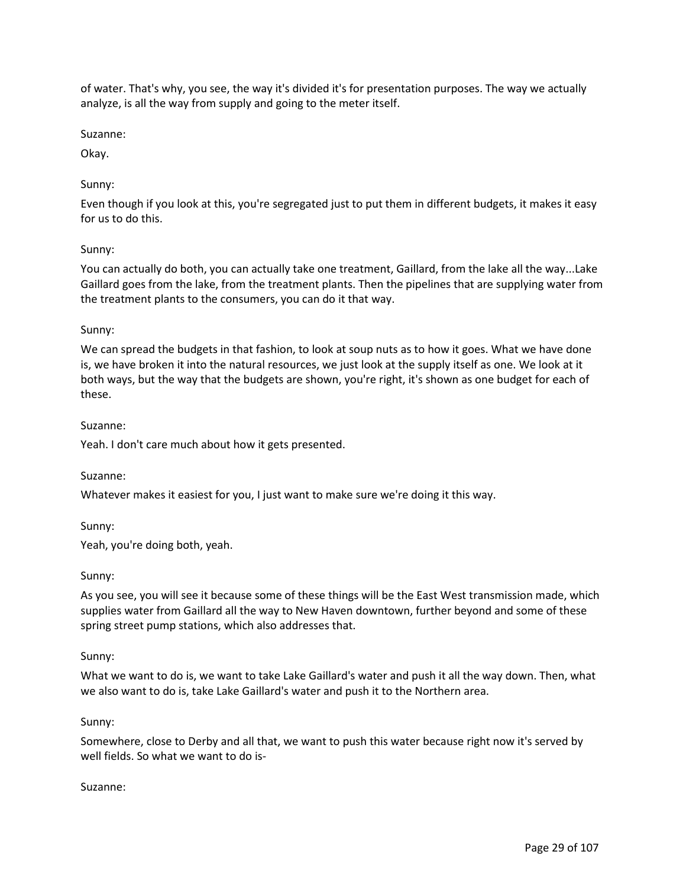of water. That's why, you see, the way it's divided it's for presentation purposes. The way we actually analyze, is all the way from supply and going to the meter itself.

Suzanne:

Okay.

## Sunny:

Even though if you look at this, you're segregated just to put them in different budgets, it makes it easy for us to do this.

### Sunny:

You can actually do both, you can actually take one treatment, Gaillard, from the lake all the way...Lake Gaillard goes from the lake, from the treatment plants. Then the pipelines that are supplying water from the treatment plants to the consumers, you can do it that way.

#### Sunny:

We can spread the budgets in that fashion, to look at soup nuts as to how it goes. What we have done is, we have broken it into the natural resources, we just look at the supply itself as one. We look at it both ways, but the way that the budgets are shown, you're right, it's shown as one budget for each of these.

#### Suzanne:

Yeah. I don't care much about how it gets presented.

#### Suzanne:

Whatever makes it easiest for you, I just want to make sure we're doing it this way.

Sunny:

Yeah, you're doing both, yeah.

#### Sunny:

As you see, you will see it because some of these things will be the East West transmission made, which supplies water from Gaillard all the way to New Haven downtown, further beyond and some of these spring street pump stations, which also addresses that.

#### Sunny:

What we want to do is, we want to take Lake Gaillard's water and push it all the way down. Then, what we also want to do is, take Lake Gaillard's water and push it to the Northern area.

#### Sunny:

Somewhere, close to Derby and all that, we want to push this water because right now it's served by well fields. So what we want to do is-

#### Suzanne: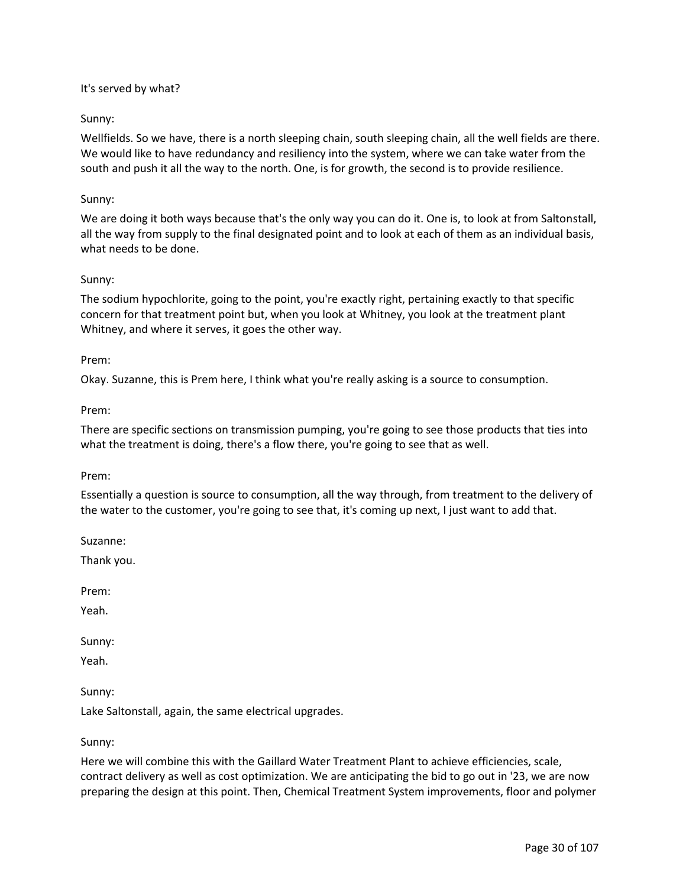### It's served by what?

### Sunny:

Wellfields. So we have, there is a north sleeping chain, south sleeping chain, all the well fields are there. We would like to have redundancy and resiliency into the system, where we can take water from the south and push it all the way to the north. One, is for growth, the second is to provide resilience.

### Sunny:

We are doing it both ways because that's the only way you can do it. One is, to look at from Saltonstall, all the way from supply to the final designated point and to look at each of them as an individual basis, what needs to be done.

### Sunny:

The sodium hypochlorite, going to the point, you're exactly right, pertaining exactly to that specific concern for that treatment point but, when you look at Whitney, you look at the treatment plant Whitney, and where it serves, it goes the other way.

#### Prem:

Okay. Suzanne, this is Prem here, I think what you're really asking is a source to consumption.

### Prem:

There are specific sections on transmission pumping, you're going to see those products that ties into what the treatment is doing, there's a flow there, you're going to see that as well.

#### Prem:

Essentially a question is source to consumption, all the way through, from treatment to the delivery of the water to the customer, you're going to see that, it's coming up next, I just want to add that.

Suzanne:

Thank you.

Prem:

Yeah.

Sunny:

Yeah.

Sunny:

Lake Saltonstall, again, the same electrical upgrades.

Sunny:

Here we will combine this with the Gaillard Water Treatment Plant to achieve efficiencies, scale, contract delivery as well as cost optimization. We are anticipating the bid to go out in '23, we are now preparing the design at this point. Then, Chemical Treatment System improvements, floor and polymer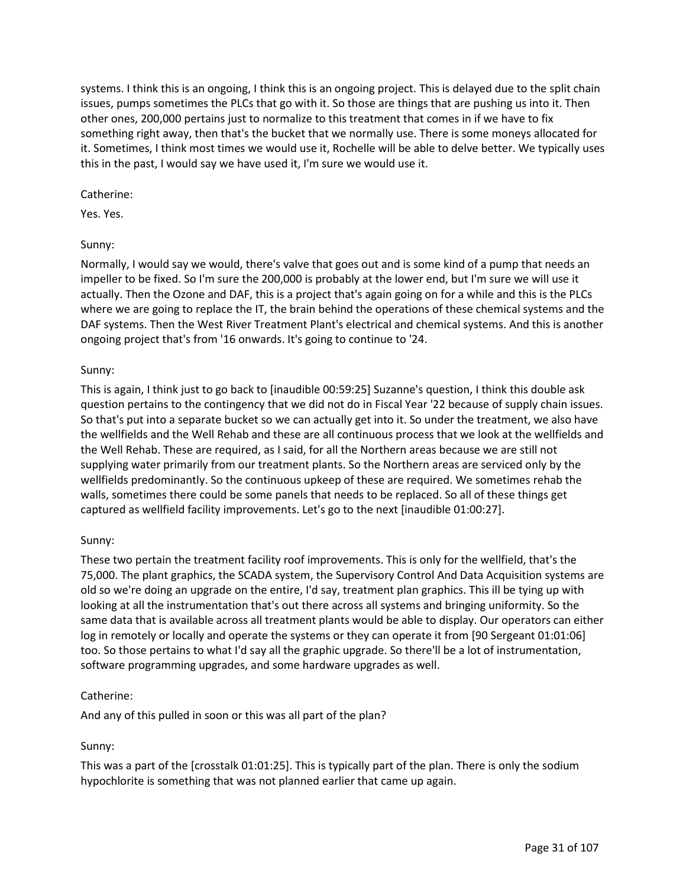systems. I think this is an ongoing, I think this is an ongoing project. This is delayed due to the split chain issues, pumps sometimes the PLCs that go with it. So those are things that are pushing us into it. Then other ones, 200,000 pertains just to normalize to this treatment that comes in if we have to fix something right away, then that's the bucket that we normally use. There is some moneys allocated for it. Sometimes, I think most times we would use it, Rochelle will be able to delve better. We typically uses this in the past, I would say we have used it, I'm sure we would use it.

## Catherine:

Yes. Yes.

# Sunny:

Normally, I would say we would, there's valve that goes out and is some kind of a pump that needs an impeller to be fixed. So I'm sure the 200,000 is probably at the lower end, but I'm sure we will use it actually. Then the Ozone and DAF, this is a project that's again going on for a while and this is the PLCs where we are going to replace the IT, the brain behind the operations of these chemical systems and the DAF systems. Then the West River Treatment Plant's electrical and chemical systems. And this is another ongoing project that's from '16 onwards. It's going to continue to '24.

# Sunny:

This is again, I think just to go back to [inaudible 00:59:25] Suzanne's question, I think this double ask question pertains to the contingency that we did not do in Fiscal Year '22 because of supply chain issues. So that's put into a separate bucket so we can actually get into it. So under the treatment, we also have the wellfields and the Well Rehab and these are all continuous process that we look at the wellfields and the Well Rehab. These are required, as I said, for all the Northern areas because we are still not supplying water primarily from our treatment plants. So the Northern areas are serviced only by the wellfields predominantly. So the continuous upkeep of these are required. We sometimes rehab the walls, sometimes there could be some panels that needs to be replaced. So all of these things get captured as wellfield facility improvements. Let's go to the next [inaudible 01:00:27].

# Sunny:

These two pertain the treatment facility roof improvements. This is only for the wellfield, that's the 75,000. The plant graphics, the SCADA system, the Supervisory Control And Data Acquisition systems are old so we're doing an upgrade on the entire, I'd say, treatment plan graphics. This ill be tying up with looking at all the instrumentation that's out there across all systems and bringing uniformity. So the same data that is available across all treatment plants would be able to display. Our operators can either log in remotely or locally and operate the systems or they can operate it from [90 Sergeant 01:01:06] too. So those pertains to what I'd say all the graphic upgrade. So there'll be a lot of instrumentation, software programming upgrades, and some hardware upgrades as well.

# Catherine:

And any of this pulled in soon or this was all part of the plan?

# Sunny:

This was a part of the [crosstalk 01:01:25]. This is typically part of the plan. There is only the sodium hypochlorite is something that was not planned earlier that came up again.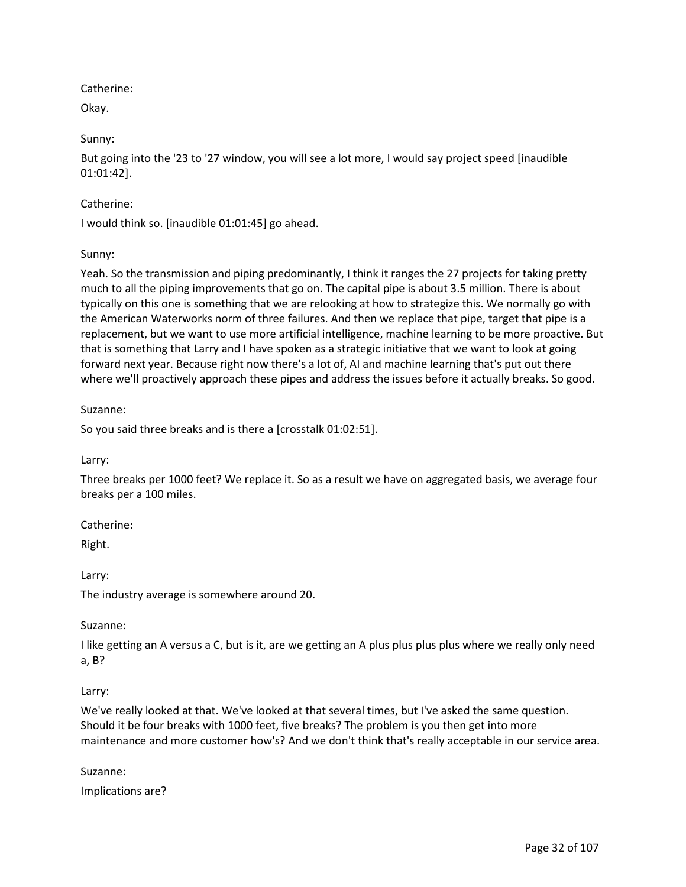Catherine:

Okay.

Sunny:

But going into the '23 to '27 window, you will see a lot more, I would say project speed [inaudible 01:01:42].

# Catherine:

I would think so. [inaudible 01:01:45] go ahead.

# Sunny:

Yeah. So the transmission and piping predominantly, I think it ranges the 27 projects for taking pretty much to all the piping improvements that go on. The capital pipe is about 3.5 million. There is about typically on this one is something that we are relooking at how to strategize this. We normally go with the American Waterworks norm of three failures. And then we replace that pipe, target that pipe is a replacement, but we want to use more artificial intelligence, machine learning to be more proactive. But that is something that Larry and I have spoken as a strategic initiative that we want to look at going forward next year. Because right now there's a lot of, AI and machine learning that's put out there where we'll proactively approach these pipes and address the issues before it actually breaks. So good.

## Suzanne:

So you said three breaks and is there a [crosstalk 01:02:51].

Larry:

Three breaks per 1000 feet? We replace it. So as a result we have on aggregated basis, we average four breaks per a 100 miles.

Catherine:

Right.

Larry:

The industry average is somewhere around 20.

## Suzanne:

I like getting an A versus a C, but is it, are we getting an A plus plus plus plus where we really only need a, B?

## Larry:

We've really looked at that. We've looked at that several times, but I've asked the same question. Should it be four breaks with 1000 feet, five breaks? The problem is you then get into more maintenance and more customer how's? And we don't think that's really acceptable in our service area.

## Suzanne:

Implications are?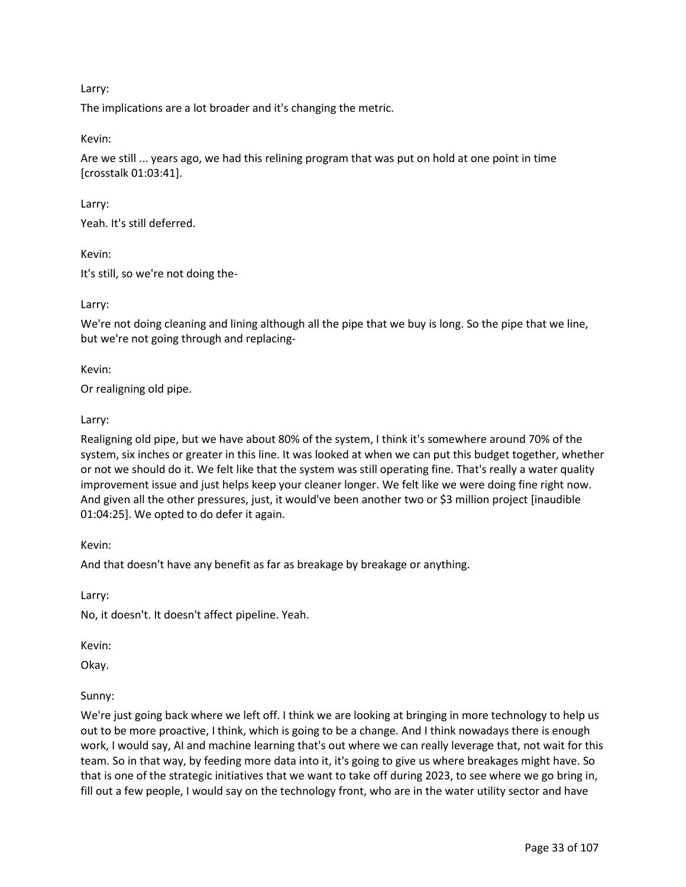Larry:

The implications are a lot broader and it's changing the metric.

Kevin:

Are we still ... years ago, we had this relining program that was put on hold at one point in time [crosstalk 01:03:41].

Larry:

Yeah. It's still deferred.

Kevin:

It's still, so we're not doing the-

Larry:

We're not doing cleaning and lining although all the pipe that we buy is long. So the pipe that we line, but we're not going through and replacing-

Kevin:

Or realigning old pipe.

Larry:

Realigning old pipe, but we have about 80% of the system, I think it's somewhere around 70% of the system, six inches or greater in this line. It was looked at when we can put this budget together, whether or not we should do it. We felt like that the system was still operating fine. That's really a water quality improvement issue and just helps keep your cleaner longer. We felt like we were doing fine right now. And given all the other pressures, just, it would've been another two or \$3 million project [inaudible 01:04:25]. We opted to do defer it again.

Kevin:

And that doesn't have any benefit as far as breakage by breakage or anything.

Larry:

No, it doesn't. It doesn't affect pipeline. Yeah.

Kevin:

Okay.

#### Sunny:

We're just going back where we left off. I think we are looking at bringing in more technology to help us out to be more proactive, I think, which is going to be a change. And I think nowadays there is enough work, I would say, AI and machine learning that's out where we can really leverage that, not wait for this team. So in that way, by feeding more data into it, it's going to give us where breakages might have. So that is one of the strategic initiatives that we want to take off during 2023, to see where we go bring in, fill out a few people, I would say on the technology front, who are in the water utility sector and have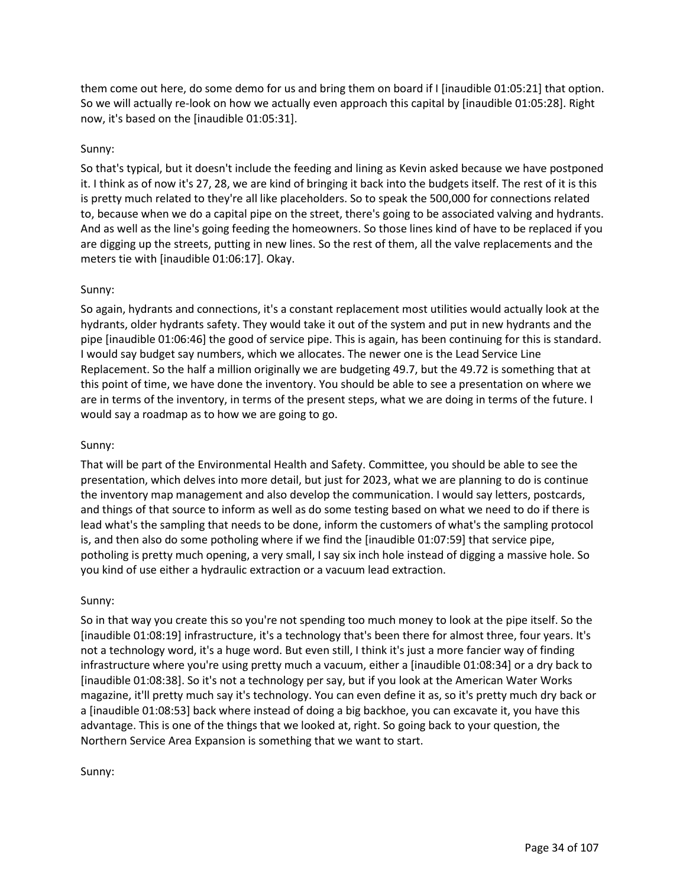them come out here, do some demo for us and bring them on board if I [inaudible 01:05:21] that option. So we will actually re-look on how we actually even approach this capital by [inaudible 01:05:28]. Right now, it's based on the [inaudible 01:05:31].

# Sunny:

So that's typical, but it doesn't include the feeding and lining as Kevin asked because we have postponed it. I think as of now it's 27, 28, we are kind of bringing it back into the budgets itself. The rest of it is this is pretty much related to they're all like placeholders. So to speak the 500,000 for connections related to, because when we do a capital pipe on the street, there's going to be associated valving and hydrants. And as well as the line's going feeding the homeowners. So those lines kind of have to be replaced if you are digging up the streets, putting in new lines. So the rest of them, all the valve replacements and the meters tie with [inaudible 01:06:17]. Okay.

## Sunny:

So again, hydrants and connections, it's a constant replacement most utilities would actually look at the hydrants, older hydrants safety. They would take it out of the system and put in new hydrants and the pipe [inaudible 01:06:46] the good of service pipe. This is again, has been continuing for this is standard. I would say budget say numbers, which we allocates. The newer one is the Lead Service Line Replacement. So the half a million originally we are budgeting 49.7, but the 49.72 is something that at this point of time, we have done the inventory. You should be able to see a presentation on where we are in terms of the inventory, in terms of the present steps, what we are doing in terms of the future. I would say a roadmap as to how we are going to go.

## Sunny:

That will be part of the Environmental Health and Safety. Committee, you should be able to see the presentation, which delves into more detail, but just for 2023, what we are planning to do is continue the inventory map management and also develop the communication. I would say letters, postcards, and things of that source to inform as well as do some testing based on what we need to do if there is lead what's the sampling that needs to be done, inform the customers of what's the sampling protocol is, and then also do some potholing where if we find the [inaudible 01:07:59] that service pipe, potholing is pretty much opening, a very small, I say six inch hole instead of digging a massive hole. So you kind of use either a hydraulic extraction or a vacuum lead extraction.

## Sunny:

So in that way you create this so you're not spending too much money to look at the pipe itself. So the [inaudible 01:08:19] infrastructure, it's a technology that's been there for almost three, four years. It's not a technology word, it's a huge word. But even still, I think it's just a more fancier way of finding infrastructure where you're using pretty much a vacuum, either a [inaudible 01:08:34] or a dry back to [inaudible 01:08:38]. So it's not a technology per say, but if you look at the American Water Works magazine, it'll pretty much say it's technology. You can even define it as, so it's pretty much dry back or a [inaudible 01:08:53] back where instead of doing a big backhoe, you can excavate it, you have this advantage. This is one of the things that we looked at, right. So going back to your question, the Northern Service Area Expansion is something that we want to start.

#### Sunny: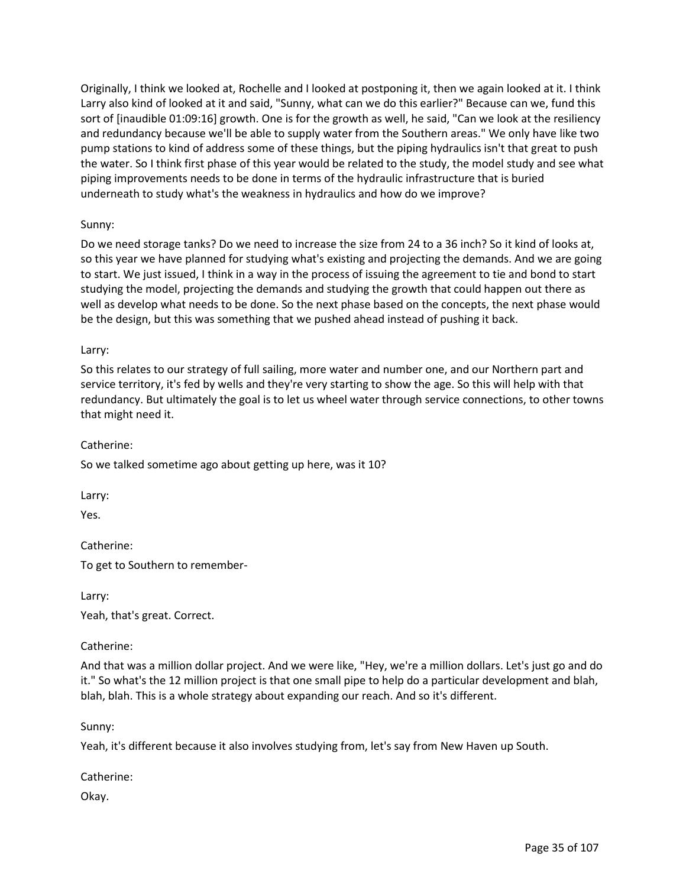Originally, I think we looked at, Rochelle and I looked at postponing it, then we again looked at it. I think Larry also kind of looked at it and said, "Sunny, what can we do this earlier?" Because can we, fund this sort of [inaudible 01:09:16] growth. One is for the growth as well, he said, "Can we look at the resiliency and redundancy because we'll be able to supply water from the Southern areas." We only have like two pump stations to kind of address some of these things, but the piping hydraulics isn't that great to push the water. So I think first phase of this year would be related to the study, the model study and see what piping improvements needs to be done in terms of the hydraulic infrastructure that is buried underneath to study what's the weakness in hydraulics and how do we improve?

## Sunny:

Do we need storage tanks? Do we need to increase the size from 24 to a 36 inch? So it kind of looks at, so this year we have planned for studying what's existing and projecting the demands. And we are going to start. We just issued, I think in a way in the process of issuing the agreement to tie and bond to start studying the model, projecting the demands and studying the growth that could happen out there as well as develop what needs to be done. So the next phase based on the concepts, the next phase would be the design, but this was something that we pushed ahead instead of pushing it back.

### Larry:

So this relates to our strategy of full sailing, more water and number one, and our Northern part and service territory, it's fed by wells and they're very starting to show the age. So this will help with that redundancy. But ultimately the goal is to let us wheel water through service connections, to other towns that might need it.

Catherine:

So we talked sometime ago about getting up here, was it 10?

Larry:

Yes.

Catherine:

To get to Southern to remember-

Larry:

Yeah, that's great. Correct.

Catherine:

And that was a million dollar project. And we were like, "Hey, we're a million dollars. Let's just go and do it." So what's the 12 million project is that one small pipe to help do a particular development and blah, blah, blah. This is a whole strategy about expanding our reach. And so it's different.

Sunny:

Yeah, it's different because it also involves studying from, let's say from New Haven up South.

Catherine:

Okay.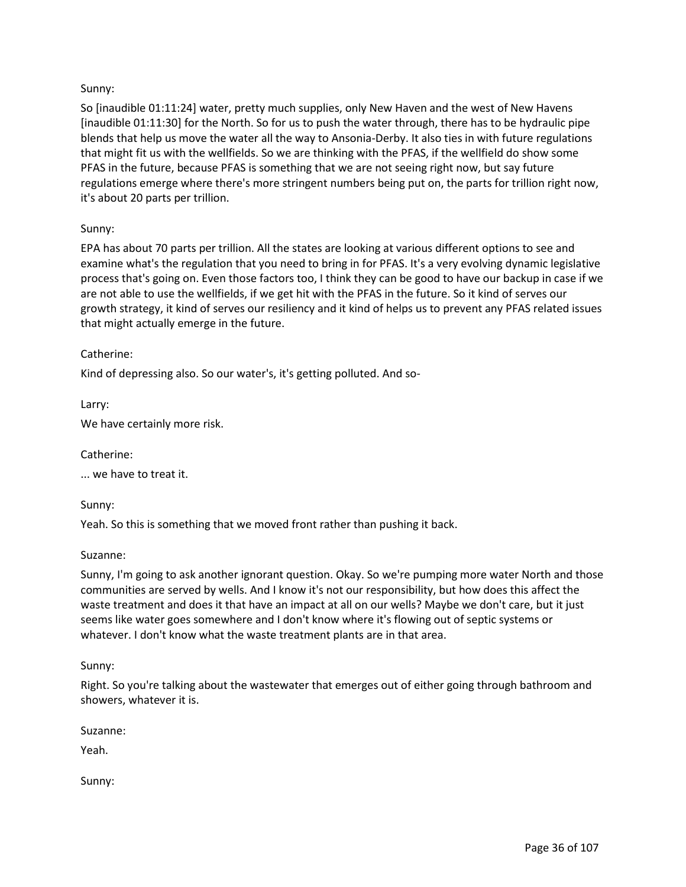# Sunny:

So [inaudible 01:11:24] water, pretty much supplies, only New Haven and the west of New Havens [inaudible 01:11:30] for the North. So for us to push the water through, there has to be hydraulic pipe blends that help us move the water all the way to Ansonia-Derby. It also ties in with future regulations that might fit us with the wellfields. So we are thinking with the PFAS, if the wellfield do show some PFAS in the future, because PFAS is something that we are not seeing right now, but say future regulations emerge where there's more stringent numbers being put on, the parts for trillion right now, it's about 20 parts per trillion.

## Sunny:

EPA has about 70 parts per trillion. All the states are looking at various different options to see and examine what's the regulation that you need to bring in for PFAS. It's a very evolving dynamic legislative process that's going on. Even those factors too, I think they can be good to have our backup in case if we are not able to use the wellfields, if we get hit with the PFAS in the future. So it kind of serves our growth strategy, it kind of serves our resiliency and it kind of helps us to prevent any PFAS related issues that might actually emerge in the future.

## Catherine:

Kind of depressing also. So our water's, it's getting polluted. And so-

Larry:

We have certainly more risk.

Catherine:

... we have to treat it.

Sunny:

Yeah. So this is something that we moved front rather than pushing it back.

#### Suzanne:

Sunny, I'm going to ask another ignorant question. Okay. So we're pumping more water North and those communities are served by wells. And I know it's not our responsibility, but how does this affect the waste treatment and does it that have an impact at all on our wells? Maybe we don't care, but it just seems like water goes somewhere and I don't know where it's flowing out of septic systems or whatever. I don't know what the waste treatment plants are in that area.

#### Sunny:

Right. So you're talking about the wastewater that emerges out of either going through bathroom and showers, whatever it is.

Suzanne:

Yeah.

Sunny: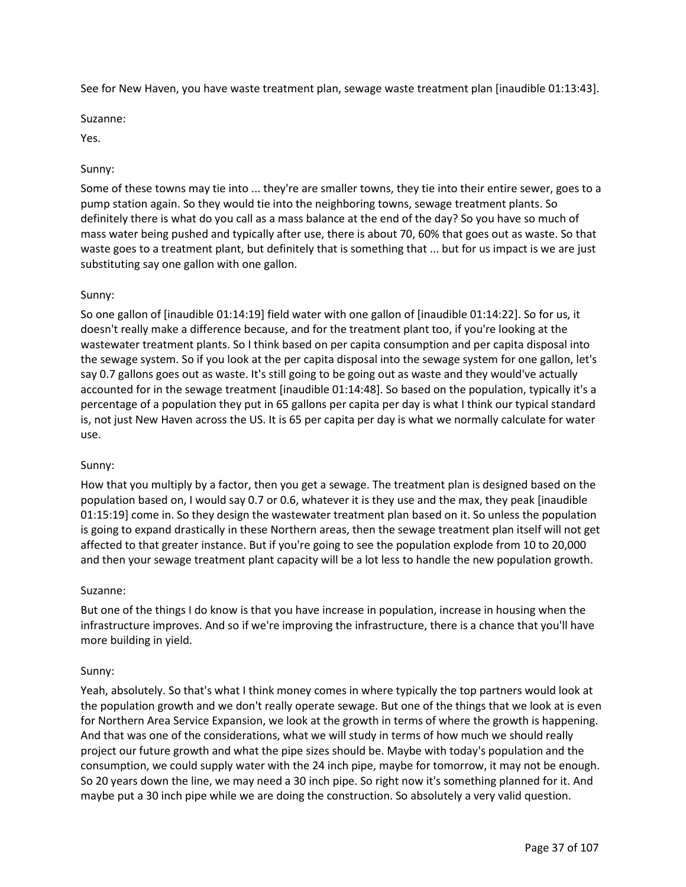See for New Haven, you have waste treatment plan, sewage waste treatment plan [inaudible 01:13:43].

Suzanne:

Yes.

### Sunny:

Some of these towns may tie into ... they're are smaller towns, they tie into their entire sewer, goes to a pump station again. So they would tie into the neighboring towns, sewage treatment plants. So definitely there is what do you call as a mass balance at the end of the day? So you have so much of mass water being pushed and typically after use, there is about 70, 60% that goes out as waste. So that waste goes to a treatment plant, but definitely that is something that ... but for us impact is we are just substituting say one gallon with one gallon.

### Sunny:

So one gallon of [inaudible 01:14:19] field water with one gallon of [inaudible 01:14:22]. So for us, it doesn't really make a difference because, and for the treatment plant too, if you're looking at the wastewater treatment plants. So I think based on per capita consumption and per capita disposal into the sewage system. So if you look at the per capita disposal into the sewage system for one gallon, let's say 0.7 gallons goes out as waste. It's still going to be going out as waste and they would've actually accounted for in the sewage treatment [inaudible 01:14:48]. So based on the population, typically it's a percentage of a population they put in 65 gallons per capita per day is what I think our typical standard is, not just New Haven across the US. It is 65 per capita per day is what we normally calculate for water use.

#### Sunny:

How that you multiply by a factor, then you get a sewage. The treatment plan is designed based on the population based on, I would say 0.7 or 0.6, whatever it is they use and the max, they peak [inaudible 01:15:19] come in. So they design the wastewater treatment plan based on it. So unless the population is going to expand drastically in these Northern areas, then the sewage treatment plan itself will not get affected to that greater instance. But if you're going to see the population explode from 10 to 20,000 and then your sewage treatment plant capacity will be a lot less to handle the new population growth.

#### Suzanne:

But one of the things I do know is that you have increase in population, increase in housing when the infrastructure improves. And so if we're improving the infrastructure, there is a chance that you'll have more building in yield.

#### Sunny:

Yeah, absolutely. So that's what I think money comes in where typically the top partners would look at the population growth and we don't really operate sewage. But one of the things that we look at is even for Northern Area Service Expansion, we look at the growth in terms of where the growth is happening. And that was one of the considerations, what we will study in terms of how much we should really project our future growth and what the pipe sizes should be. Maybe with today's population and the consumption, we could supply water with the 24 inch pipe, maybe for tomorrow, it may not be enough. So 20 years down the line, we may need a 30 inch pipe. So right now it's something planned for it. And maybe put a 30 inch pipe while we are doing the construction. So absolutely a very valid question.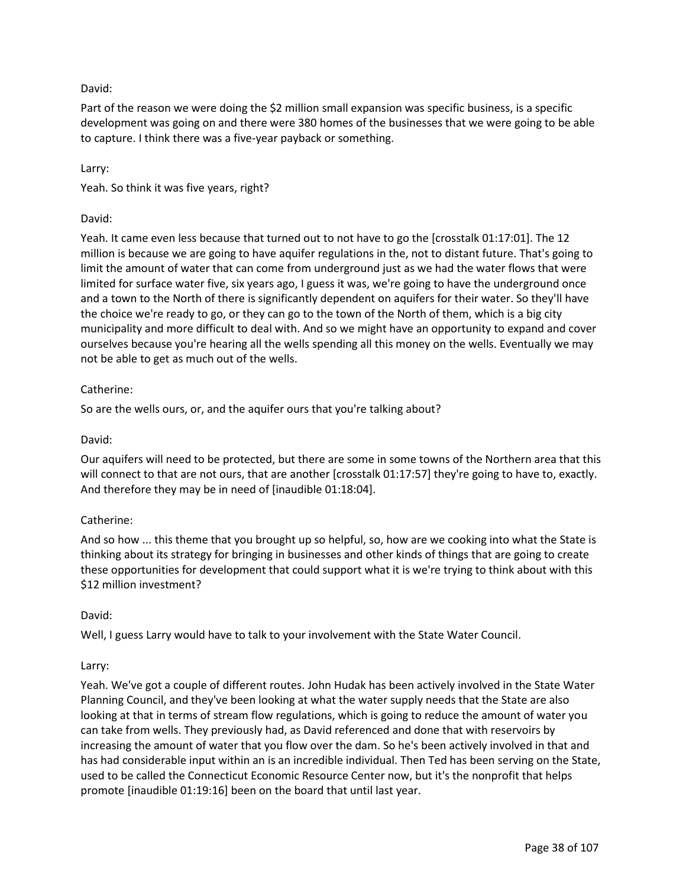# David:

Part of the reason we were doing the \$2 million small expansion was specific business, is a specific development was going on and there were 380 homes of the businesses that we were going to be able to capture. I think there was a five-year payback or something.

### Larry:

Yeah. So think it was five years, right?

## David:

Yeah. It came even less because that turned out to not have to go the [crosstalk 01:17:01]. The 12 million is because we are going to have aquifer regulations in the, not to distant future. That's going to limit the amount of water that can come from underground just as we had the water flows that were limited for surface water five, six years ago, I guess it was, we're going to have the underground once and a town to the North of there is significantly dependent on aquifers for their water. So they'll have the choice we're ready to go, or they can go to the town of the North of them, which is a big city municipality and more difficult to deal with. And so we might have an opportunity to expand and cover ourselves because you're hearing all the wells spending all this money on the wells. Eventually we may not be able to get as much out of the wells.

### Catherine:

So are the wells ours, or, and the aquifer ours that you're talking about?

#### David:

Our aquifers will need to be protected, but there are some in some towns of the Northern area that this will connect to that are not ours, that are another [crosstalk 01:17:57] they're going to have to, exactly. And therefore they may be in need of [inaudible 01:18:04].

## Catherine:

And so how ... this theme that you brought up so helpful, so, how are we cooking into what the State is thinking about its strategy for bringing in businesses and other kinds of things that are going to create these opportunities for development that could support what it is we're trying to think about with this \$12 million investment?

#### David:

Well, I guess Larry would have to talk to your involvement with the State Water Council.

#### Larry:

Yeah. We've got a couple of different routes. John Hudak has been actively involved in the State Water Planning Council, and they've been looking at what the water supply needs that the State are also looking at that in terms of stream flow regulations, which is going to reduce the amount of water you can take from wells. They previously had, as David referenced and done that with reservoirs by increasing the amount of water that you flow over the dam. So he's been actively involved in that and has had considerable input within an is an incredible individual. Then Ted has been serving on the State, used to be called the Connecticut Economic Resource Center now, but it's the nonprofit that helps promote [inaudible 01:19:16] been on the board that until last year.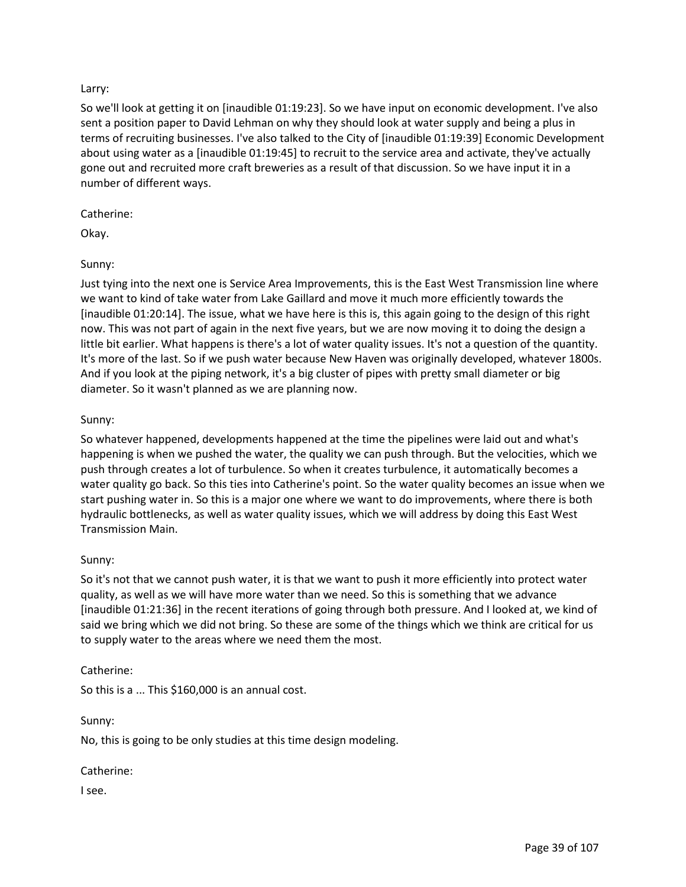## Larry:

So we'll look at getting it on [inaudible 01:19:23]. So we have input on economic development. I've also sent a position paper to David Lehman on why they should look at water supply and being a plus in terms of recruiting businesses. I've also talked to the City of [inaudible 01:19:39] Economic Development about using water as a [inaudible 01:19:45] to recruit to the service area and activate, they've actually gone out and recruited more craft breweries as a result of that discussion. So we have input it in a number of different ways.

### Catherine:

Okay.

## Sunny:

Just tying into the next one is Service Area Improvements, this is the East West Transmission line where we want to kind of take water from Lake Gaillard and move it much more efficiently towards the [inaudible 01:20:14]. The issue, what we have here is this is, this again going to the design of this right now. This was not part of again in the next five years, but we are now moving it to doing the design a little bit earlier. What happens is there's a lot of water quality issues. It's not a question of the quantity. It's more of the last. So if we push water because New Haven was originally developed, whatever 1800s. And if you look at the piping network, it's a big cluster of pipes with pretty small diameter or big diameter. So it wasn't planned as we are planning now.

## Sunny:

So whatever happened, developments happened at the time the pipelines were laid out and what's happening is when we pushed the water, the quality we can push through. But the velocities, which we push through creates a lot of turbulence. So when it creates turbulence, it automatically becomes a water quality go back. So this ties into Catherine's point. So the water quality becomes an issue when we start pushing water in. So this is a major one where we want to do improvements, where there is both hydraulic bottlenecks, as well as water quality issues, which we will address by doing this East West Transmission Main.

## Sunny:

So it's not that we cannot push water, it is that we want to push it more efficiently into protect water quality, as well as we will have more water than we need. So this is something that we advance [inaudible 01:21:36] in the recent iterations of going through both pressure. And I looked at, we kind of said we bring which we did not bring. So these are some of the things which we think are critical for us to supply water to the areas where we need them the most.

## Catherine:

So this is a ... This \$160,000 is an annual cost.

Sunny:

No, this is going to be only studies at this time design modeling.

Catherine:

I see.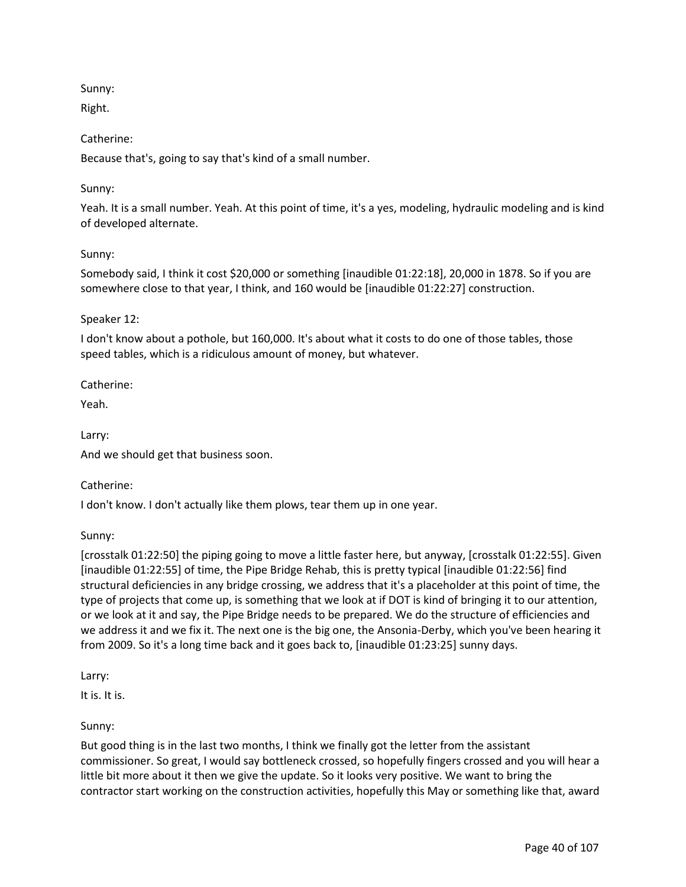Sunny:

Right.

Catherine:

Because that's, going to say that's kind of a small number.

## Sunny:

Yeah. It is a small number. Yeah. At this point of time, it's a yes, modeling, hydraulic modeling and is kind of developed alternate.

## Sunny:

Somebody said, I think it cost \$20,000 or something [inaudible 01:22:18], 20,000 in 1878. So if you are somewhere close to that year, I think, and 160 would be [inaudible 01:22:27] construction.

## Speaker 12:

I don't know about a pothole, but 160,000. It's about what it costs to do one of those tables, those speed tables, which is a ridiculous amount of money, but whatever.

Catherine:

Yeah.

Larry:

And we should get that business soon.

Catherine:

I don't know. I don't actually like them plows, tear them up in one year.

Sunny:

[crosstalk 01:22:50] the piping going to move a little faster here, but anyway, [crosstalk 01:22:55]. Given [inaudible 01:22:55] of time, the Pipe Bridge Rehab, this is pretty typical [inaudible 01:22:56] find structural deficiencies in any bridge crossing, we address that it's a placeholder at this point of time, the type of projects that come up, is something that we look at if DOT is kind of bringing it to our attention, or we look at it and say, the Pipe Bridge needs to be prepared. We do the structure of efficiencies and we address it and we fix it. The next one is the big one, the Ansonia-Derby, which you've been hearing it from 2009. So it's a long time back and it goes back to, [inaudible 01:23:25] sunny days.

Larry:

It is. It is.

## Sunny:

But good thing is in the last two months, I think we finally got the letter from the assistant commissioner. So great, I would say bottleneck crossed, so hopefully fingers crossed and you will hear a little bit more about it then we give the update. So it looks very positive. We want to bring the contractor start working on the construction activities, hopefully this May or something like that, award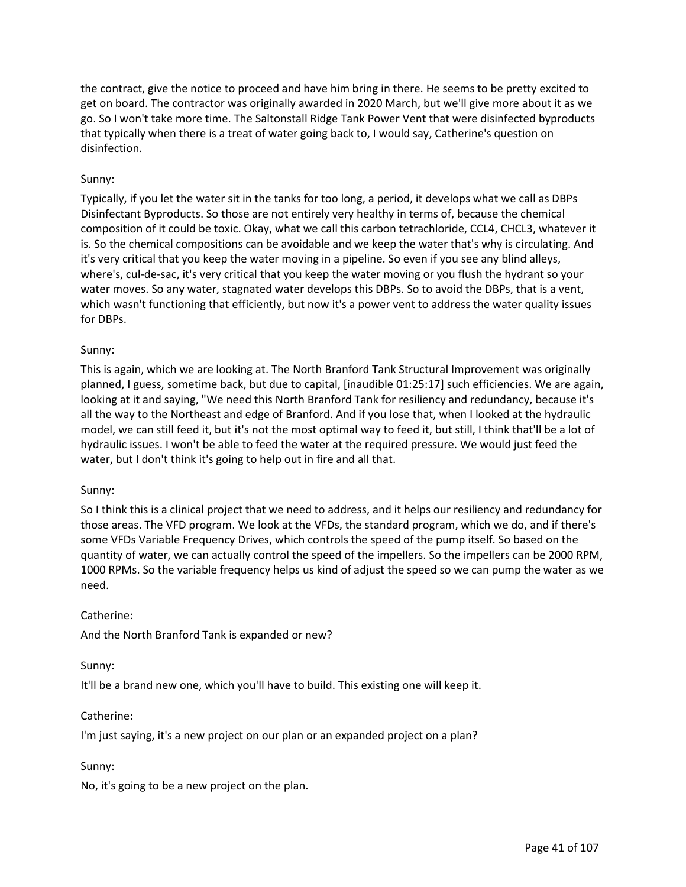the contract, give the notice to proceed and have him bring in there. He seems to be pretty excited to get on board. The contractor was originally awarded in 2020 March, but we'll give more about it as we go. So I won't take more time. The Saltonstall Ridge Tank Power Vent that were disinfected byproducts that typically when there is a treat of water going back to, I would say, Catherine's question on disinfection.

## Sunny:

Typically, if you let the water sit in the tanks for too long, a period, it develops what we call as DBPs Disinfectant Byproducts. So those are not entirely very healthy in terms of, because the chemical composition of it could be toxic. Okay, what we call this carbon tetrachloride, CCL4, CHCL3, whatever it is. So the chemical compositions can be avoidable and we keep the water that's why is circulating. And it's very critical that you keep the water moving in a pipeline. So even if you see any blind alleys, where's, cul-de-sac, it's very critical that you keep the water moving or you flush the hydrant so your water moves. So any water, stagnated water develops this DBPs. So to avoid the DBPs, that is a vent, which wasn't functioning that efficiently, but now it's a power vent to address the water quality issues for DBPs.

## Sunny:

This is again, which we are looking at. The North Branford Tank Structural Improvement was originally planned, I guess, sometime back, but due to capital, [inaudible 01:25:17] such efficiencies. We are again, looking at it and saying, "We need this North Branford Tank for resiliency and redundancy, because it's all the way to the Northeast and edge of Branford. And if you lose that, when I looked at the hydraulic model, we can still feed it, but it's not the most optimal way to feed it, but still, I think that'll be a lot of hydraulic issues. I won't be able to feed the water at the required pressure. We would just feed the water, but I don't think it's going to help out in fire and all that.

## Sunny:

So I think this is a clinical project that we need to address, and it helps our resiliency and redundancy for those areas. The VFD program. We look at the VFDs, the standard program, which we do, and if there's some VFDs Variable Frequency Drives, which controls the speed of the pump itself. So based on the quantity of water, we can actually control the speed of the impellers. So the impellers can be 2000 RPM, 1000 RPMs. So the variable frequency helps us kind of adjust the speed so we can pump the water as we need.

## Catherine:

And the North Branford Tank is expanded or new?

## Sunny:

It'll be a brand new one, which you'll have to build. This existing one will keep it.

## Catherine:

I'm just saying, it's a new project on our plan or an expanded project on a plan?

## Sunny:

No, it's going to be a new project on the plan.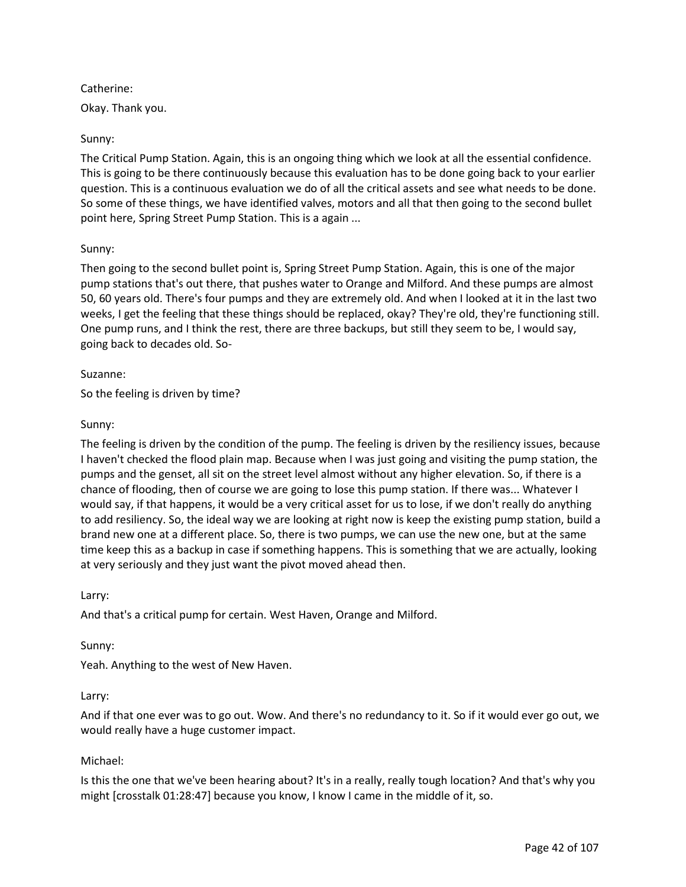## Catherine:

Okay. Thank you.

### Sunny:

The Critical Pump Station. Again, this is an ongoing thing which we look at all the essential confidence. This is going to be there continuously because this evaluation has to be done going back to your earlier question. This is a continuous evaluation we do of all the critical assets and see what needs to be done. So some of these things, we have identified valves, motors and all that then going to the second bullet point here, Spring Street Pump Station. This is a again ...

### Sunny:

Then going to the second bullet point is, Spring Street Pump Station. Again, this is one of the major pump stations that's out there, that pushes water to Orange and Milford. And these pumps are almost 50, 60 years old. There's four pumps and they are extremely old. And when I looked at it in the last two weeks, I get the feeling that these things should be replaced, okay? They're old, they're functioning still. One pump runs, and I think the rest, there are three backups, but still they seem to be, I would say, going back to decades old. So-

#### Suzanne:

So the feeling is driven by time?

### Sunny:

The feeling is driven by the condition of the pump. The feeling is driven by the resiliency issues, because I haven't checked the flood plain map. Because when I was just going and visiting the pump station, the pumps and the genset, all sit on the street level almost without any higher elevation. So, if there is a chance of flooding, then of course we are going to lose this pump station. If there was... Whatever I would say, if that happens, it would be a very critical asset for us to lose, if we don't really do anything to add resiliency. So, the ideal way we are looking at right now is keep the existing pump station, build a brand new one at a different place. So, there is two pumps, we can use the new one, but at the same time keep this as a backup in case if something happens. This is something that we are actually, looking at very seriously and they just want the pivot moved ahead then.

#### Larry:

And that's a critical pump for certain. West Haven, Orange and Milford.

#### Sunny:

Yeah. Anything to the west of New Haven.

## Larry:

And if that one ever was to go out. Wow. And there's no redundancy to it. So if it would ever go out, we would really have a huge customer impact.

## Michael:

Is this the one that we've been hearing about? It's in a really, really tough location? And that's why you might [crosstalk 01:28:47] because you know, I know I came in the middle of it, so.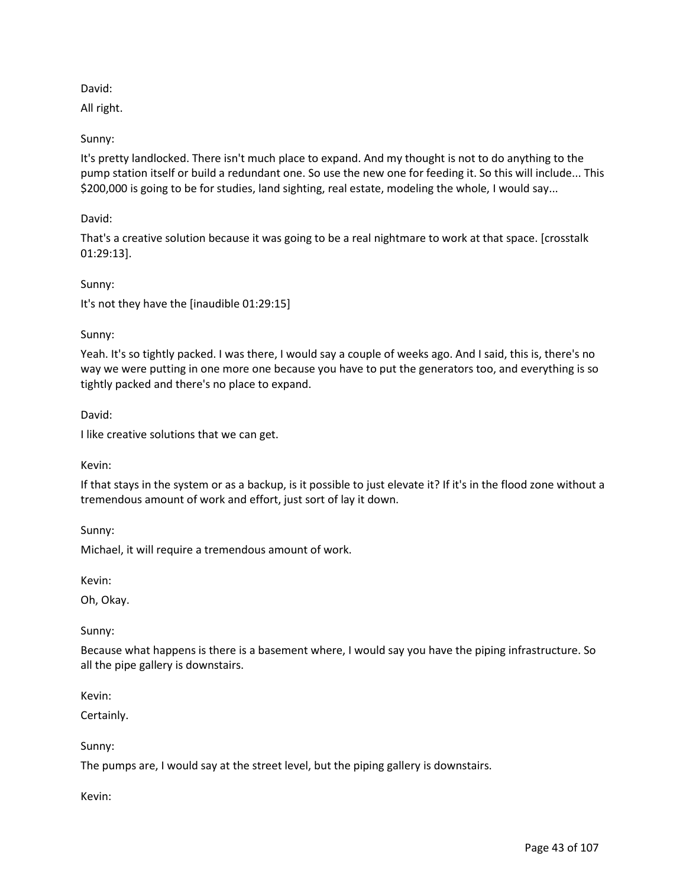# David:

All right.

# Sunny:

It's pretty landlocked. There isn't much place to expand. And my thought is not to do anything to the pump station itself or build a redundant one. So use the new one for feeding it. So this will include... This \$200,000 is going to be for studies, land sighting, real estate, modeling the whole, I would say...

# David:

That's a creative solution because it was going to be a real nightmare to work at that space. [crosstalk 01:29:13].

## Sunny:

It's not they have the [inaudible 01:29:15]

# Sunny:

Yeah. It's so tightly packed. I was there, I would say a couple of weeks ago. And I said, this is, there's no way we were putting in one more one because you have to put the generators too, and everything is so tightly packed and there's no place to expand.

David:

I like creative solutions that we can get.

## Kevin:

If that stays in the system or as a backup, is it possible to just elevate it? If it's in the flood zone without a tremendous amount of work and effort, just sort of lay it down.

Sunny:

Michael, it will require a tremendous amount of work.

Kevin:

Oh, Okay.

## Sunny:

Because what happens is there is a basement where, I would say you have the piping infrastructure. So all the pipe gallery is downstairs.

Kevin:

Certainly.

## Sunny:

The pumps are, I would say at the street level, but the piping gallery is downstairs.

## Kevin: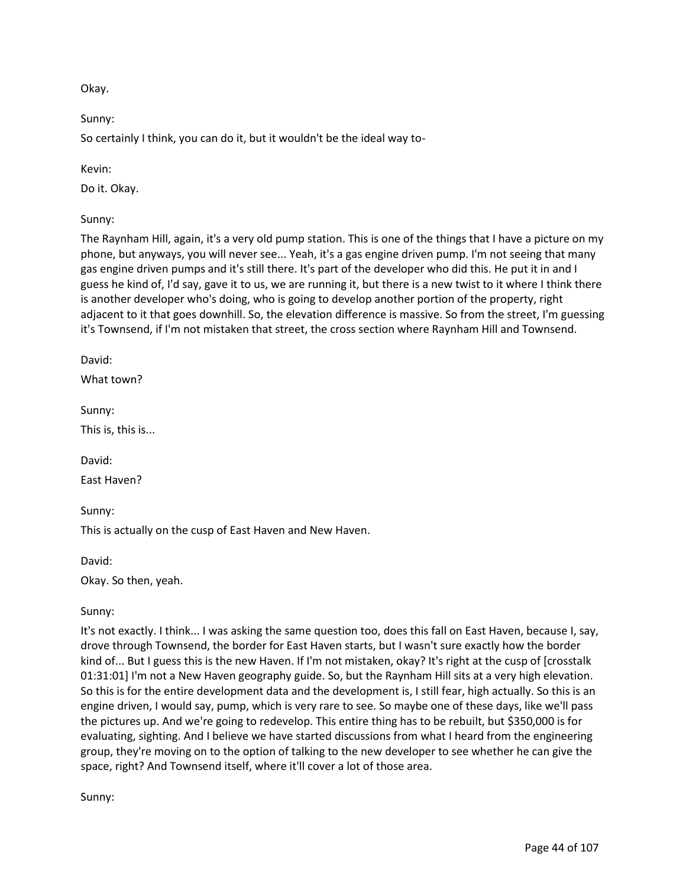Okay.

Sunny:

So certainly I think, you can do it, but it wouldn't be the ideal way to-

Kevin:

Do it. Okay.

Sunny:

The Raynham Hill, again, it's a very old pump station. This is one of the things that I have a picture on my phone, but anyways, you will never see... Yeah, it's a gas engine driven pump. I'm not seeing that many gas engine driven pumps and it's still there. It's part of the developer who did this. He put it in and I guess he kind of, I'd say, gave it to us, we are running it, but there is a new twist to it where I think there is another developer who's doing, who is going to develop another portion of the property, right adjacent to it that goes downhill. So, the elevation difference is massive. So from the street, I'm guessing it's Townsend, if I'm not mistaken that street, the cross section where Raynham Hill and Townsend.

David:

What town?

Sunny:

This is, this is...

David:

East Haven?

Sunny:

This is actually on the cusp of East Haven and New Haven.

David:

Okay. So then, yeah.

Sunny:

It's not exactly. I think... I was asking the same question too, does this fall on East Haven, because I, say, drove through Townsend, the border for East Haven starts, but I wasn't sure exactly how the border kind of... But I guess this is the new Haven. If I'm not mistaken, okay? It's right at the cusp of [crosstalk 01:31:01] I'm not a New Haven geography guide. So, but the Raynham Hill sits at a very high elevation. So this is for the entire development data and the development is, I still fear, high actually. So this is an engine driven, I would say, pump, which is very rare to see. So maybe one of these days, like we'll pass the pictures up. And we're going to redevelop. This entire thing has to be rebuilt, but \$350,000 is for evaluating, sighting. And I believe we have started discussions from what I heard from the engineering group, they're moving on to the option of talking to the new developer to see whether he can give the space, right? And Townsend itself, where it'll cover a lot of those area.

Sunny: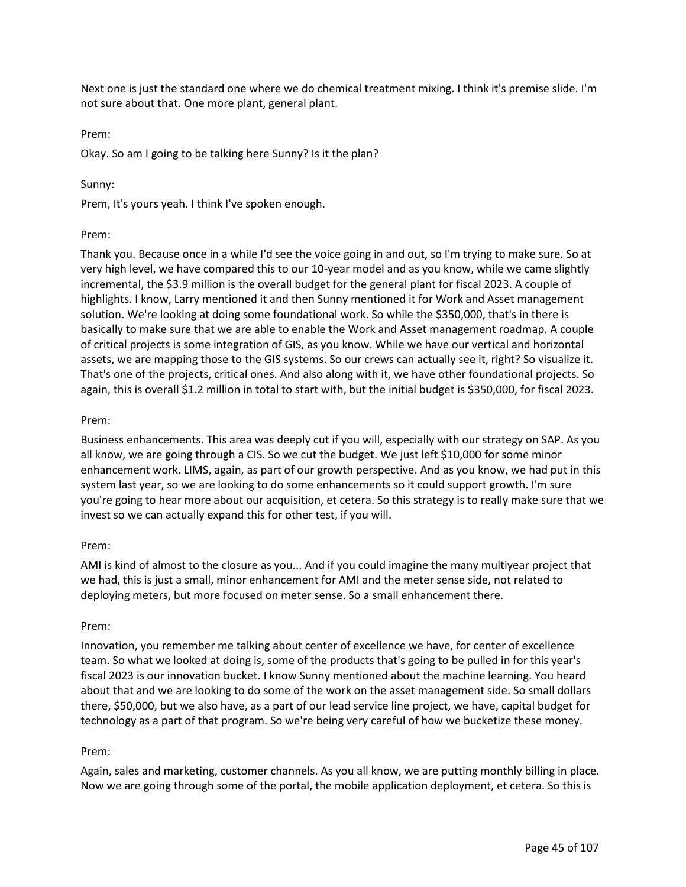Next one is just the standard one where we do chemical treatment mixing. I think it's premise slide. I'm not sure about that. One more plant, general plant.

### Prem:

Okay. So am I going to be talking here Sunny? Is it the plan?

### Sunny:

Prem, It's yours yeah. I think I've spoken enough.

### Prem:

Thank you. Because once in a while I'd see the voice going in and out, so I'm trying to make sure. So at very high level, we have compared this to our 10-year model and as you know, while we came slightly incremental, the \$3.9 million is the overall budget for the general plant for fiscal 2023. A couple of highlights. I know, Larry mentioned it and then Sunny mentioned it for Work and Asset management solution. We're looking at doing some foundational work. So while the \$350,000, that's in there is basically to make sure that we are able to enable the Work and Asset management roadmap. A couple of critical projects is some integration of GIS, as you know. While we have our vertical and horizontal assets, we are mapping those to the GIS systems. So our crews can actually see it, right? So visualize it. That's one of the projects, critical ones. And also along with it, we have other foundational projects. So again, this is overall \$1.2 million in total to start with, but the initial budget is \$350,000, for fiscal 2023.

### Prem:

Business enhancements. This area was deeply cut if you will, especially with our strategy on SAP. As you all know, we are going through a CIS. So we cut the budget. We just left \$10,000 for some minor enhancement work. LIMS, again, as part of our growth perspective. And as you know, we had put in this system last year, so we are looking to do some enhancements so it could support growth. I'm sure you're going to hear more about our acquisition, et cetera. So this strategy is to really make sure that we invest so we can actually expand this for other test, if you will.

## Prem:

AMI is kind of almost to the closure as you... And if you could imagine the many multiyear project that we had, this is just a small, minor enhancement for AMI and the meter sense side, not related to deploying meters, but more focused on meter sense. So a small enhancement there.

#### Prem:

Innovation, you remember me talking about center of excellence we have, for center of excellence team. So what we looked at doing is, some of the products that's going to be pulled in for this year's fiscal 2023 is our innovation bucket. I know Sunny mentioned about the machine learning. You heard about that and we are looking to do some of the work on the asset management side. So small dollars there, \$50,000, but we also have, as a part of our lead service line project, we have, capital budget for technology as a part of that program. So we're being very careful of how we bucketize these money.

#### Prem:

Again, sales and marketing, customer channels. As you all know, we are putting monthly billing in place. Now we are going through some of the portal, the mobile application deployment, et cetera. So this is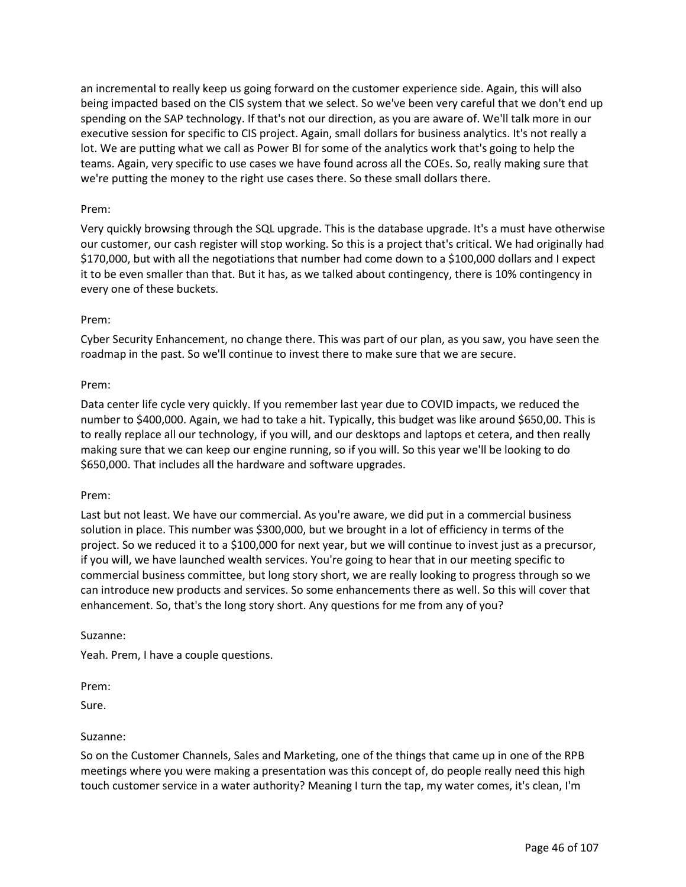an incremental to really keep us going forward on the customer experience side. Again, this will also being impacted based on the CIS system that we select. So we've been very careful that we don't end up spending on the SAP technology. If that's not our direction, as you are aware of. We'll talk more in our executive session for specific to CIS project. Again, small dollars for business analytics. It's not really a lot. We are putting what we call as Power BI for some of the analytics work that's going to help the teams. Again, very specific to use cases we have found across all the COEs. So, really making sure that we're putting the money to the right use cases there. So these small dollars there.

### Prem:

Very quickly browsing through the SQL upgrade. This is the database upgrade. It's a must have otherwise our customer, our cash register will stop working. So this is a project that's critical. We had originally had \$170,000, but with all the negotiations that number had come down to a \$100,000 dollars and I expect it to be even smaller than that. But it has, as we talked about contingency, there is 10% contingency in every one of these buckets.

### Prem:

Cyber Security Enhancement, no change there. This was part of our plan, as you saw, you have seen the roadmap in the past. So we'll continue to invest there to make sure that we are secure.

### Prem:

Data center life cycle very quickly. If you remember last year due to COVID impacts, we reduced the number to \$400,000. Again, we had to take a hit. Typically, this budget was like around \$650,00. This is to really replace all our technology, if you will, and our desktops and laptops et cetera, and then really making sure that we can keep our engine running, so if you will. So this year we'll be looking to do \$650,000. That includes all the hardware and software upgrades.

#### Prem:

Last but not least. We have our commercial. As you're aware, we did put in a commercial business solution in place. This number was \$300,000, but we brought in a lot of efficiency in terms of the project. So we reduced it to a \$100,000 for next year, but we will continue to invest just as a precursor, if you will, we have launched wealth services. You're going to hear that in our meeting specific to commercial business committee, but long story short, we are really looking to progress through so we can introduce new products and services. So some enhancements there as well. So this will cover that enhancement. So, that's the long story short. Any questions for me from any of you?

#### Suzanne:

Yeah. Prem, I have a couple questions.

Prem:

Sure.

#### Suzanne:

So on the Customer Channels, Sales and Marketing, one of the things that came up in one of the RPB meetings where you were making a presentation was this concept of, do people really need this high touch customer service in a water authority? Meaning I turn the tap, my water comes, it's clean, I'm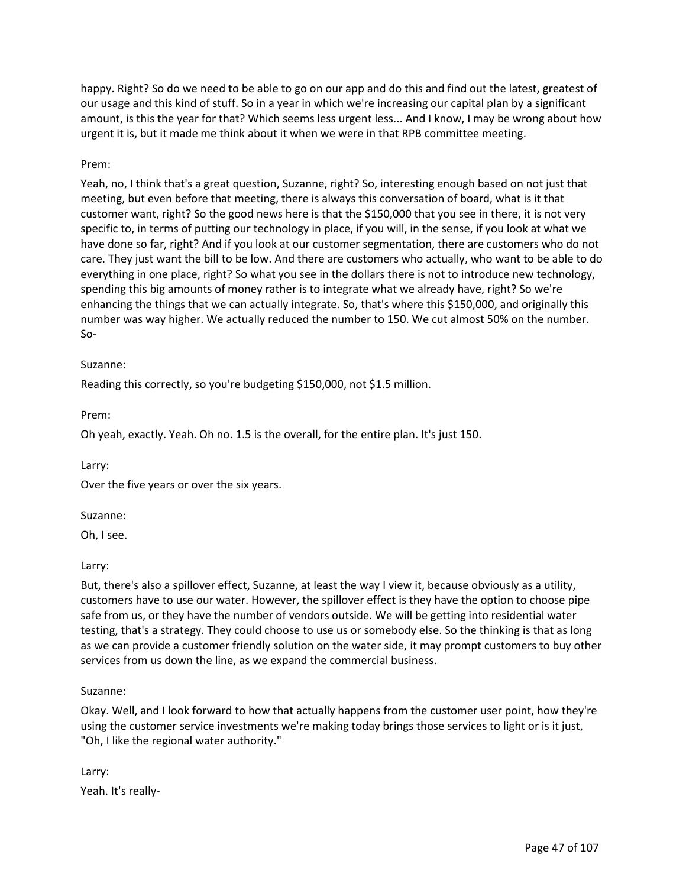happy. Right? So do we need to be able to go on our app and do this and find out the latest, greatest of our usage and this kind of stuff. So in a year in which we're increasing our capital plan by a significant amount, is this the year for that? Which seems less urgent less... And I know, I may be wrong about how urgent it is, but it made me think about it when we were in that RPB committee meeting.

### Prem:

Yeah, no, I think that's a great question, Suzanne, right? So, interesting enough based on not just that meeting, but even before that meeting, there is always this conversation of board, what is it that customer want, right? So the good news here is that the \$150,000 that you see in there, it is not very specific to, in terms of putting our technology in place, if you will, in the sense, if you look at what we have done so far, right? And if you look at our customer segmentation, there are customers who do not care. They just want the bill to be low. And there are customers who actually, who want to be able to do everything in one place, right? So what you see in the dollars there is not to introduce new technology, spending this big amounts of money rather is to integrate what we already have, right? So we're enhancing the things that we can actually integrate. So, that's where this \$150,000, and originally this number was way higher. We actually reduced the number to 150. We cut almost 50% on the number. So-

#### Suzanne:

Reading this correctly, so you're budgeting \$150,000, not \$1.5 million.

Prem:

Oh yeah, exactly. Yeah. Oh no. 1.5 is the overall, for the entire plan. It's just 150.

Larry:

Over the five years or over the six years.

#### Suzanne:

Oh, I see.

Larry:

But, there's also a spillover effect, Suzanne, at least the way I view it, because obviously as a utility, customers have to use our water. However, the spillover effect is they have the option to choose pipe safe from us, or they have the number of vendors outside. We will be getting into residential water testing, that's a strategy. They could choose to use us or somebody else. So the thinking is that as long as we can provide a customer friendly solution on the water side, it may prompt customers to buy other services from us down the line, as we expand the commercial business.

#### Suzanne:

Okay. Well, and I look forward to how that actually happens from the customer user point, how they're using the customer service investments we're making today brings those services to light or is it just, "Oh, I like the regional water authority."

Larry:

Yeah. It's really-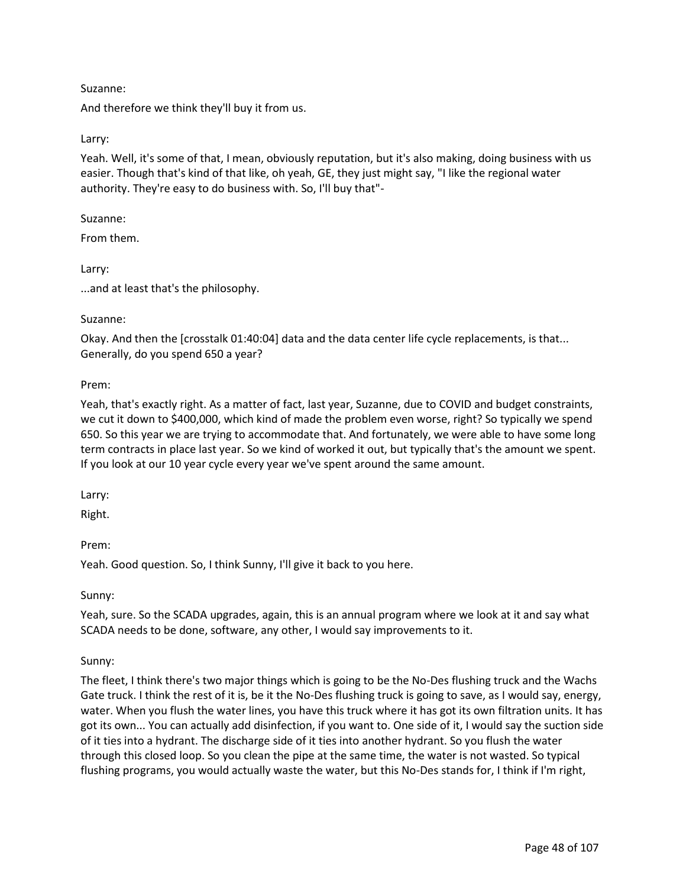## Suzanne:

And therefore we think they'll buy it from us.

## Larry:

Yeah. Well, it's some of that, I mean, obviously reputation, but it's also making, doing business with us easier. Though that's kind of that like, oh yeah, GE, they just might say, "I like the regional water authority. They're easy to do business with. So, I'll buy that"-

### Suzanne:

From them.

Larry:

...and at least that's the philosophy.

### Suzanne:

Okay. And then the [crosstalk 01:40:04] data and the data center life cycle replacements, is that... Generally, do you spend 650 a year?

### Prem:

Yeah, that's exactly right. As a matter of fact, last year, Suzanne, due to COVID and budget constraints, we cut it down to \$400,000, which kind of made the problem even worse, right? So typically we spend 650. So this year we are trying to accommodate that. And fortunately, we were able to have some long term contracts in place last year. So we kind of worked it out, but typically that's the amount we spent. If you look at our 10 year cycle every year we've spent around the same amount.

Larry:

Right.

Prem:

Yeah. Good question. So, I think Sunny, I'll give it back to you here.

Sunny:

Yeah, sure. So the SCADA upgrades, again, this is an annual program where we look at it and say what SCADA needs to be done, software, any other, I would say improvements to it.

## Sunny:

The fleet, I think there's two major things which is going to be the No-Des flushing truck and the Wachs Gate truck. I think the rest of it is, be it the No-Des flushing truck is going to save, as I would say, energy, water. When you flush the water lines, you have this truck where it has got its own filtration units. It has got its own... You can actually add disinfection, if you want to. One side of it, I would say the suction side of it ties into a hydrant. The discharge side of it ties into another hydrant. So you flush the water through this closed loop. So you clean the pipe at the same time, the water is not wasted. So typical flushing programs, you would actually waste the water, but this No-Des stands for, I think if I'm right,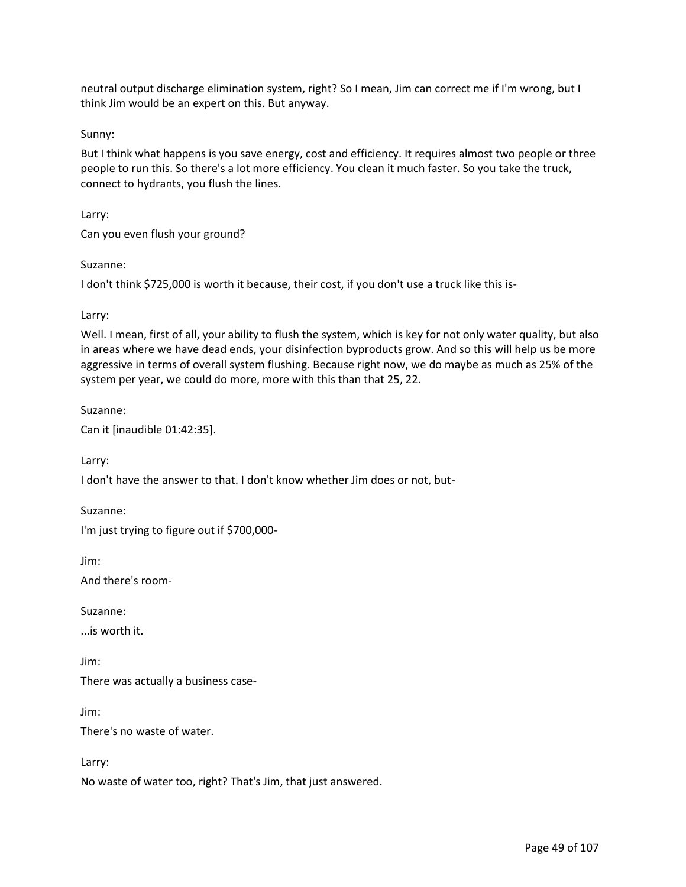neutral output discharge elimination system, right? So I mean, Jim can correct me if I'm wrong, but I think Jim would be an expert on this. But anyway.

Sunny:

But I think what happens is you save energy, cost and efficiency. It requires almost two people or three people to run this. So there's a lot more efficiency. You clean it much faster. So you take the truck, connect to hydrants, you flush the lines.

Larry:

Can you even flush your ground?

Suzanne:

I don't think \$725,000 is worth it because, their cost, if you don't use a truck like this is-

Larry:

Well. I mean, first of all, your ability to flush the system, which is key for not only water quality, but also in areas where we have dead ends, your disinfection byproducts grow. And so this will help us be more aggressive in terms of overall system flushing. Because right now, we do maybe as much as 25% of the system per year, we could do more, more with this than that 25, 22.

Suzanne:

Can it [inaudible 01:42:35].

Larry:

I don't have the answer to that. I don't know whether Jim does or not, but-

Suzanne: I'm just trying to figure out if \$700,000-

Jim:

And there's room-

Suzanne:

...is worth it.

Jim: There was actually a business case-

Jim:

There's no waste of water.

Larry:

No waste of water too, right? That's Jim, that just answered.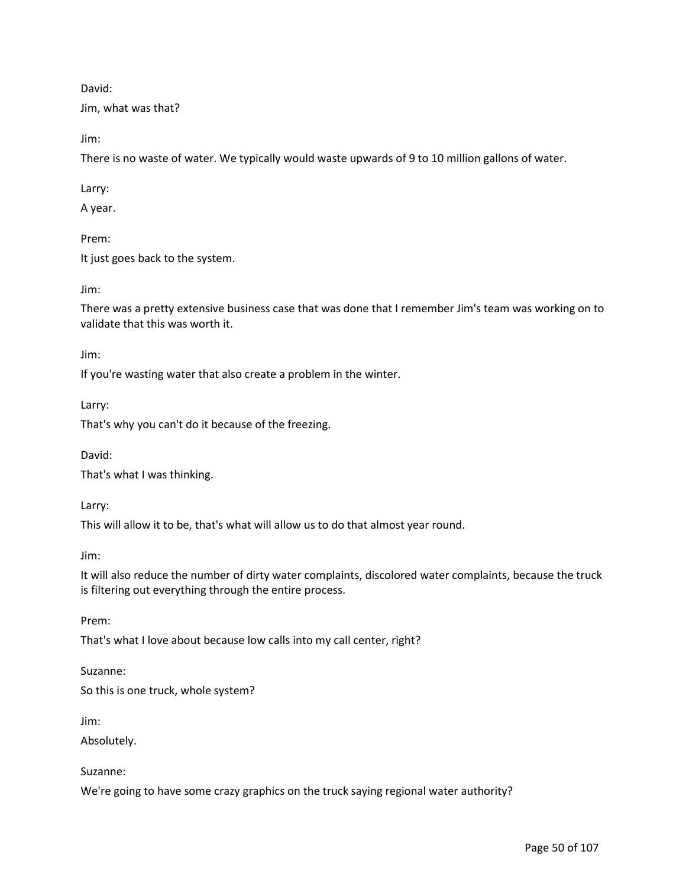David:

Jim, what was that?

Jim:

There is no waste of water. We typically would waste upwards of 9 to 10 million gallons of water.

Larry:

A year.

Prem:

It just goes back to the system.

Jim:

There was a pretty extensive business case that was done that I remember Jim's team was working on to validate that this was worth it.

Jim:

If you're wasting water that also create a problem in the winter.

Larry:

That's why you can't do it because of the freezing.

David:

That's what I was thinking.

Larry:

This will allow it to be, that's what will allow us to do that almost year round.

Jim:

It will also reduce the number of dirty water complaints, discolored water complaints, because the truck is filtering out everything through the entire process.

Prem:

That's what I love about because low calls into my call center, right?

Suzanne:

So this is one truck, whole system?

Jim:

Absolutely.

Suzanne:

We're going to have some crazy graphics on the truck saying regional water authority?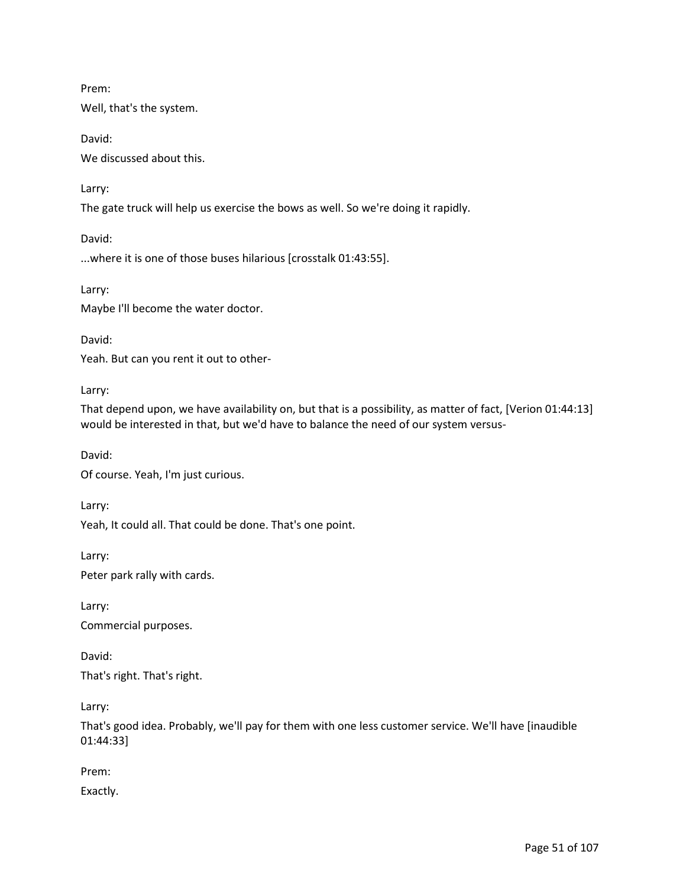Prem:

Well, that's the system.

David: We discussed about this.

Larry:

The gate truck will help us exercise the bows as well. So we're doing it rapidly.

David:

...where it is one of those buses hilarious [crosstalk 01:43:55].

Larry:

Maybe I'll become the water doctor.

David:

Yeah. But can you rent it out to other-

Larry:

That depend upon, we have availability on, but that is a possibility, as matter of fact, [Verion 01:44:13] would be interested in that, but we'd have to balance the need of our system versus-

David:

Of course. Yeah, I'm just curious.

Larry:

Yeah, It could all. That could be done. That's one point.

Larry: Peter park rally with cards.

Larry:

Commercial purposes.

David: That's right. That's right.

Larry:

That's good idea. Probably, we'll pay for them with one less customer service. We'll have [inaudible 01:44:33]

Prem:

Exactly.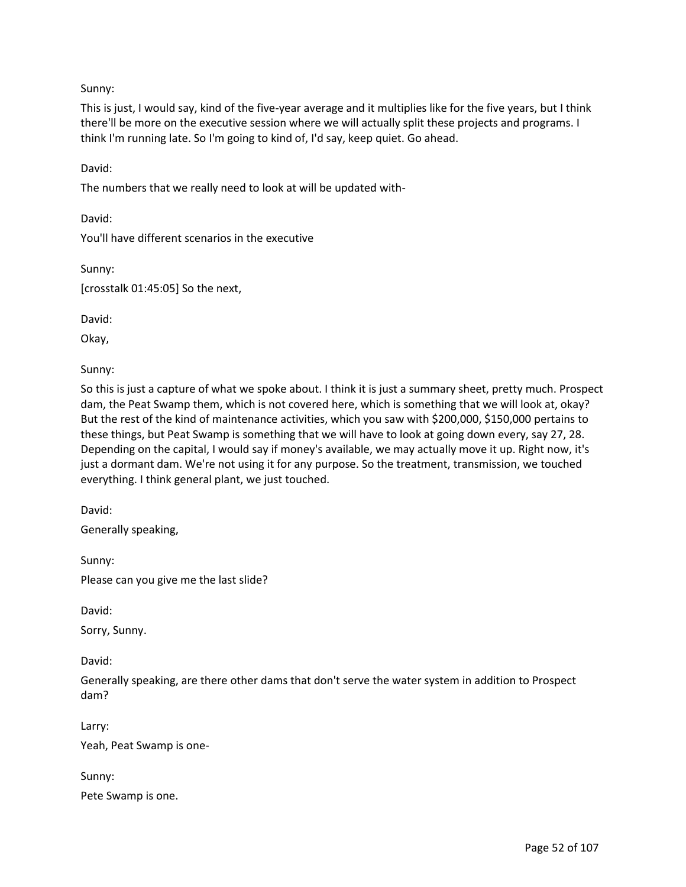Sunny:

This is just, I would say, kind of the five-year average and it multiplies like for the five years, but I think there'll be more on the executive session where we will actually split these projects and programs. I think I'm running late. So I'm going to kind of, I'd say, keep quiet. Go ahead.

David:

The numbers that we really need to look at will be updated with-

David:

You'll have different scenarios in the executive

Sunny:

[crosstalk 01:45:05] So the next,

David:

Okay,

Sunny:

So this is just a capture of what we spoke about. I think it is just a summary sheet, pretty much. Prospect dam, the Peat Swamp them, which is not covered here, which is something that we will look at, okay? But the rest of the kind of maintenance activities, which you saw with \$200,000, \$150,000 pertains to these things, but Peat Swamp is something that we will have to look at going down every, say 27, 28. Depending on the capital, I would say if money's available, we may actually move it up. Right now, it's just a dormant dam. We're not using it for any purpose. So the treatment, transmission, we touched everything. I think general plant, we just touched.

David:

Generally speaking,

Sunny: Please can you give me the last slide?

David:

Sorry, Sunny.

David:

Generally speaking, are there other dams that don't serve the water system in addition to Prospect dam?

Larry: Yeah, Peat Swamp is one-

Sunny: Pete Swamp is one.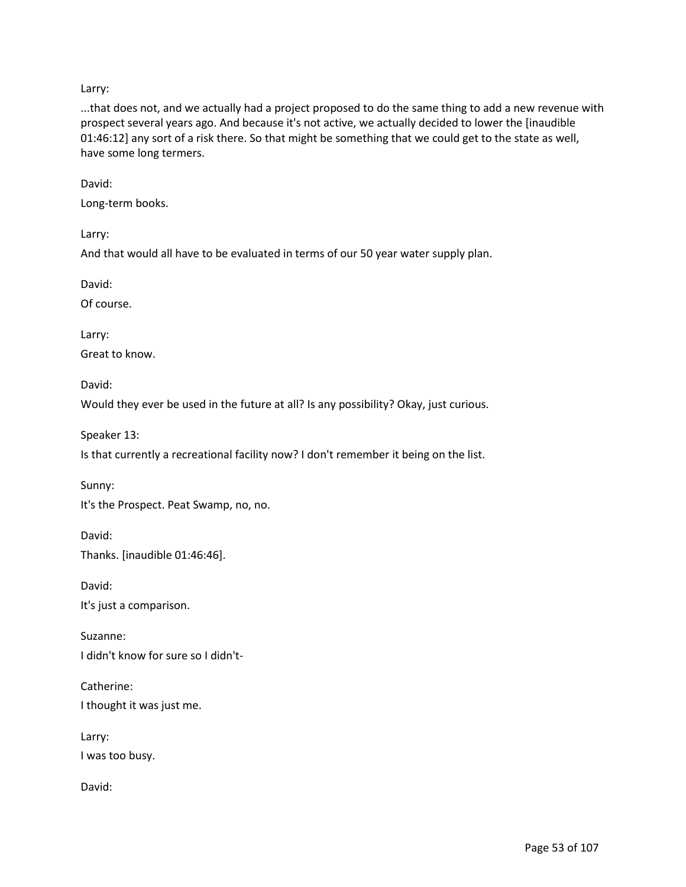Larry:

...that does not, and we actually had a project proposed to do the same thing to add a new revenue with prospect several years ago. And because it's not active, we actually decided to lower the [inaudible 01:46:12] any sort of a risk there. So that might be something that we could get to the state as well, have some long termers.

David:

Long-term books.

Larry:

And that would all have to be evaluated in terms of our 50 year water supply plan.

David:

Of course.

Larry:

Great to know.

David:

Would they ever be used in the future at all? Is any possibility? Okay, just curious.

Speaker 13:

Is that currently a recreational facility now? I don't remember it being on the list.

Sunny:

It's the Prospect. Peat Swamp, no, no.

David: Thanks. [inaudible 01:46:46].

David: It's just a comparison.

Suzanne: I didn't know for sure so I didn't-

Catherine: I thought it was just me.

Larry:

I was too busy.

David: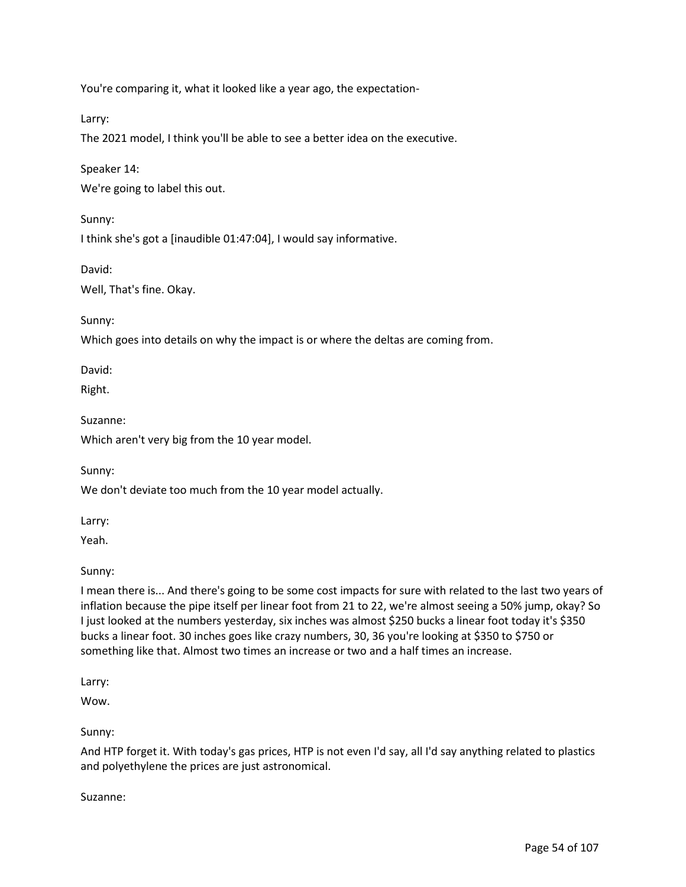You're comparing it, what it looked like a year ago, the expectation-

Larry:

The 2021 model, I think you'll be able to see a better idea on the executive.

Speaker 14:

We're going to label this out.

Sunny:

I think she's got a [inaudible 01:47:04], I would say informative.

David:

Well, That's fine. Okay.

Sunny:

Which goes into details on why the impact is or where the deltas are coming from.

David:

Right.

Suzanne:

Which aren't very big from the 10 year model.

Sunny:

We don't deviate too much from the 10 year model actually.

Larry:

Yeah.

Sunny:

I mean there is... And there's going to be some cost impacts for sure with related to the last two years of inflation because the pipe itself per linear foot from 21 to 22, we're almost seeing a 50% jump, okay? So I just looked at the numbers yesterday, six inches was almost \$250 bucks a linear foot today it's \$350 bucks a linear foot. 30 inches goes like crazy numbers, 30, 36 you're looking at \$350 to \$750 or something like that. Almost two times an increase or two and a half times an increase.

Larry:

Wow.

Sunny:

And HTP forget it. With today's gas prices, HTP is not even I'd say, all I'd say anything related to plastics and polyethylene the prices are just astronomical.

Suzanne: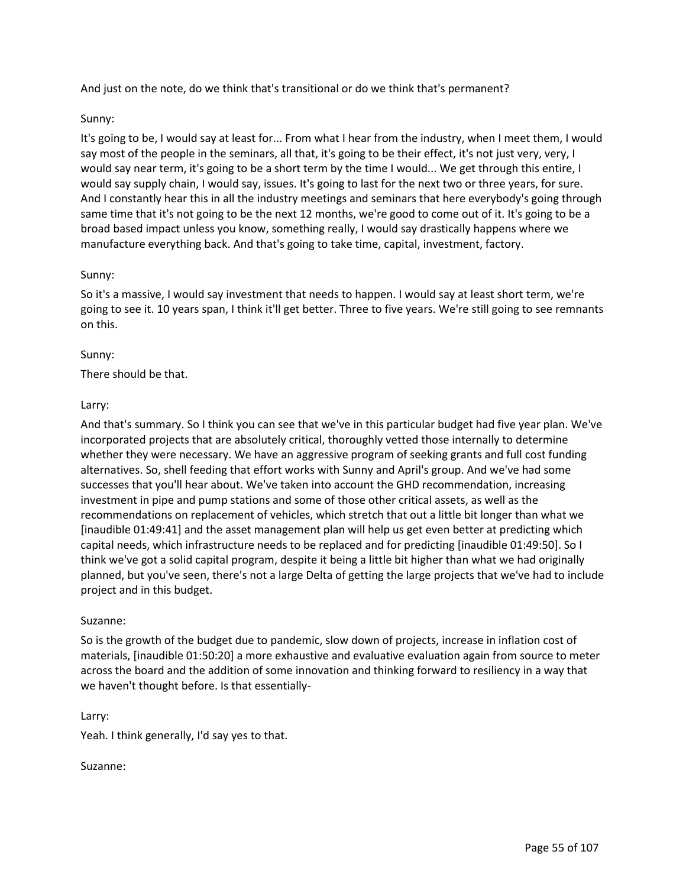And just on the note, do we think that's transitional or do we think that's permanent?

### Sunny:

It's going to be, I would say at least for... From what I hear from the industry, when I meet them, I would say most of the people in the seminars, all that, it's going to be their effect, it's not just very, very, I would say near term, it's going to be a short term by the time I would... We get through this entire, I would say supply chain, I would say, issues. It's going to last for the next two or three years, for sure. And I constantly hear this in all the industry meetings and seminars that here everybody's going through same time that it's not going to be the next 12 months, we're good to come out of it. It's going to be a broad based impact unless you know, something really, I would say drastically happens where we manufacture everything back. And that's going to take time, capital, investment, factory.

### Sunny:

So it's a massive, I would say investment that needs to happen. I would say at least short term, we're going to see it. 10 years span, I think it'll get better. Three to five years. We're still going to see remnants on this.

### Sunny:

There should be that.

### Larry:

And that's summary. So I think you can see that we've in this particular budget had five year plan. We've incorporated projects that are absolutely critical, thoroughly vetted those internally to determine whether they were necessary. We have an aggressive program of seeking grants and full cost funding alternatives. So, shell feeding that effort works with Sunny and April's group. And we've had some successes that you'll hear about. We've taken into account the GHD recommendation, increasing investment in pipe and pump stations and some of those other critical assets, as well as the recommendations on replacement of vehicles, which stretch that out a little bit longer than what we [inaudible 01:49:41] and the asset management plan will help us get even better at predicting which capital needs, which infrastructure needs to be replaced and for predicting [inaudible 01:49:50]. So I think we've got a solid capital program, despite it being a little bit higher than what we had originally planned, but you've seen, there's not a large Delta of getting the large projects that we've had to include project and in this budget.

#### Suzanne:

So is the growth of the budget due to pandemic, slow down of projects, increase in inflation cost of materials, [inaudible 01:50:20] a more exhaustive and evaluative evaluation again from source to meter across the board and the addition of some innovation and thinking forward to resiliency in a way that we haven't thought before. Is that essentially-

#### Larry:

Yeah. I think generally, I'd say yes to that.

#### Suzanne: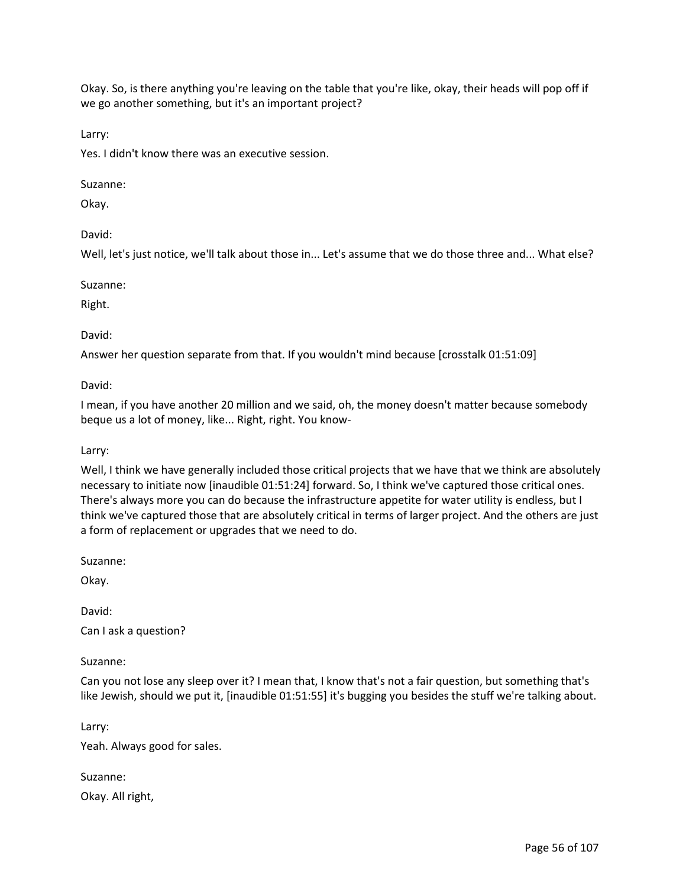Okay. So, is there anything you're leaving on the table that you're like, okay, their heads will pop off if we go another something, but it's an important project?

Larry:

Yes. I didn't know there was an executive session.

### Suzanne:

Okay.

### David:

Well, let's just notice, we'll talk about those in... Let's assume that we do those three and... What else?

#### Suzanne:

Right.

David:

Answer her question separate from that. If you wouldn't mind because [crosstalk 01:51:09]

David:

I mean, if you have another 20 million and we said, oh, the money doesn't matter because somebody beque us a lot of money, like... Right, right. You know-

#### Larry:

Well, I think we have generally included those critical projects that we have that we think are absolutely necessary to initiate now [inaudible 01:51:24] forward. So, I think we've captured those critical ones. There's always more you can do because the infrastructure appetite for water utility is endless, but I think we've captured those that are absolutely critical in terms of larger project. And the others are just a form of replacement or upgrades that we need to do.

Suzanne:

Okay.

David:

Can I ask a question?

Suzanne:

Can you not lose any sleep over it? I mean that, I know that's not a fair question, but something that's like Jewish, should we put it, [inaudible 01:51:55] it's bugging you besides the stuff we're talking about.

Larry:

Yeah. Always good for sales.

Suzanne: Okay. All right,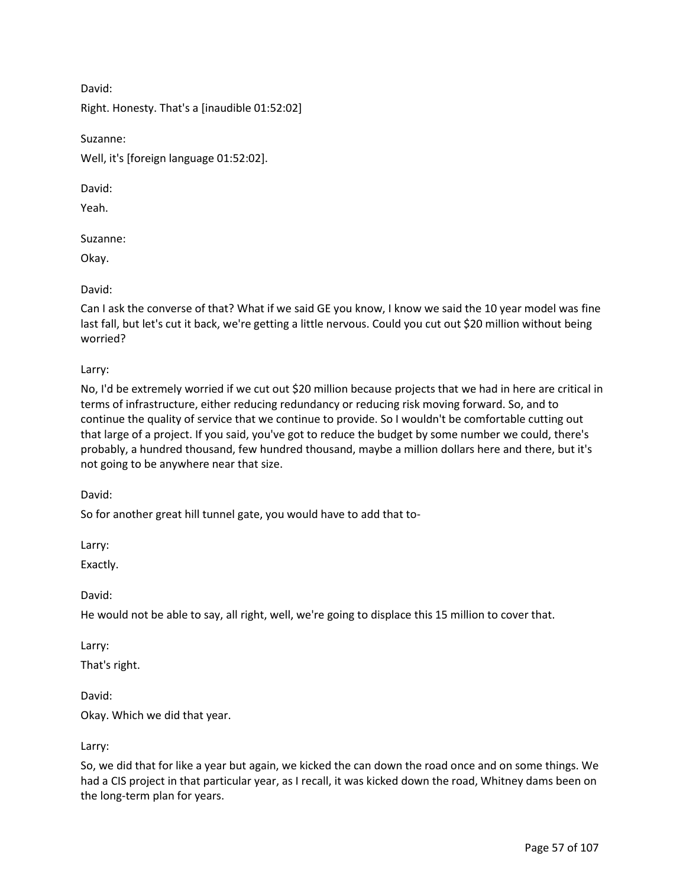David:

Right. Honesty. That's a [inaudible 01:52:02]

Suzanne:

Well, it's [foreign language 01:52:02].

David:

Yeah.

Suzanne:

Okay.

David:

Can I ask the converse of that? What if we said GE you know, I know we said the 10 year model was fine last fall, but let's cut it back, we're getting a little nervous. Could you cut out \$20 million without being worried?

Larry:

No, I'd be extremely worried if we cut out \$20 million because projects that we had in here are critical in terms of infrastructure, either reducing redundancy or reducing risk moving forward. So, and to continue the quality of service that we continue to provide. So I wouldn't be comfortable cutting out that large of a project. If you said, you've got to reduce the budget by some number we could, there's probably, a hundred thousand, few hundred thousand, maybe a million dollars here and there, but it's not going to be anywhere near that size.

David:

So for another great hill tunnel gate, you would have to add that to-

Larry:

Exactly.

David:

He would not be able to say, all right, well, we're going to displace this 15 million to cover that.

Larry:

That's right.

David:

Okay. Which we did that year.

Larry:

So, we did that for like a year but again, we kicked the can down the road once and on some things. We had a CIS project in that particular year, as I recall, it was kicked down the road, Whitney dams been on the long-term plan for years.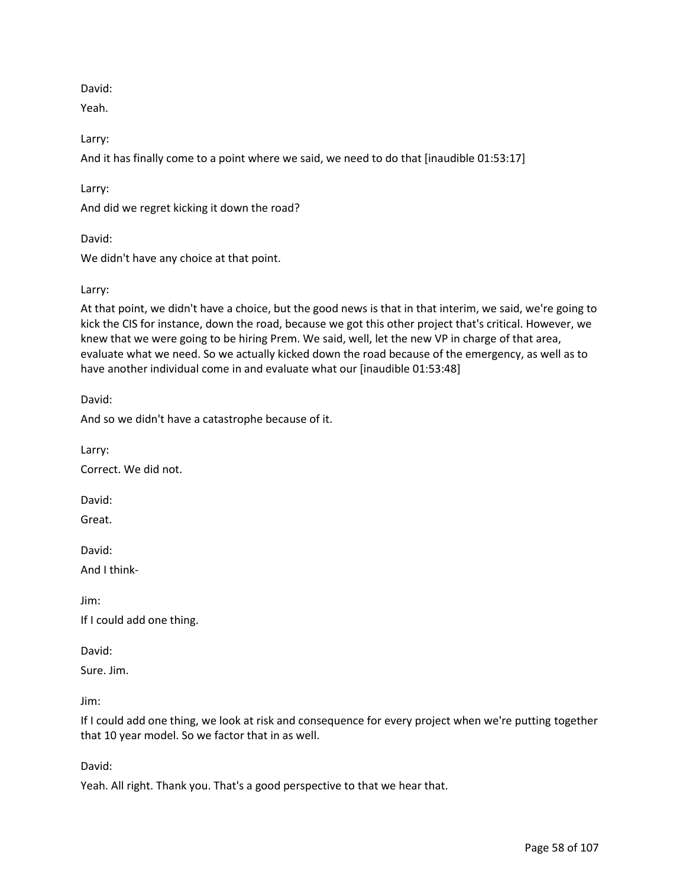David:

Yeah.

Larry:

And it has finally come to a point where we said, we need to do that [inaudible 01:53:17]

Larry:

And did we regret kicking it down the road?

David:

We didn't have any choice at that point.

## Larry:

At that point, we didn't have a choice, but the good news is that in that interim, we said, we're going to kick the CIS for instance, down the road, because we got this other project that's critical. However, we knew that we were going to be hiring Prem. We said, well, let the new VP in charge of that area, evaluate what we need. So we actually kicked down the road because of the emergency, as well as to have another individual come in and evaluate what our [inaudible 01:53:48]

David:

And so we didn't have a catastrophe because of it.

Larry:

Correct. We did not.

David:

Great.

David:

And I think-

Jim:

If I could add one thing.

David:

Sure. Jim.

Jim:

If I could add one thing, we look at risk and consequence for every project when we're putting together that 10 year model. So we factor that in as well.

David:

Yeah. All right. Thank you. That's a good perspective to that we hear that.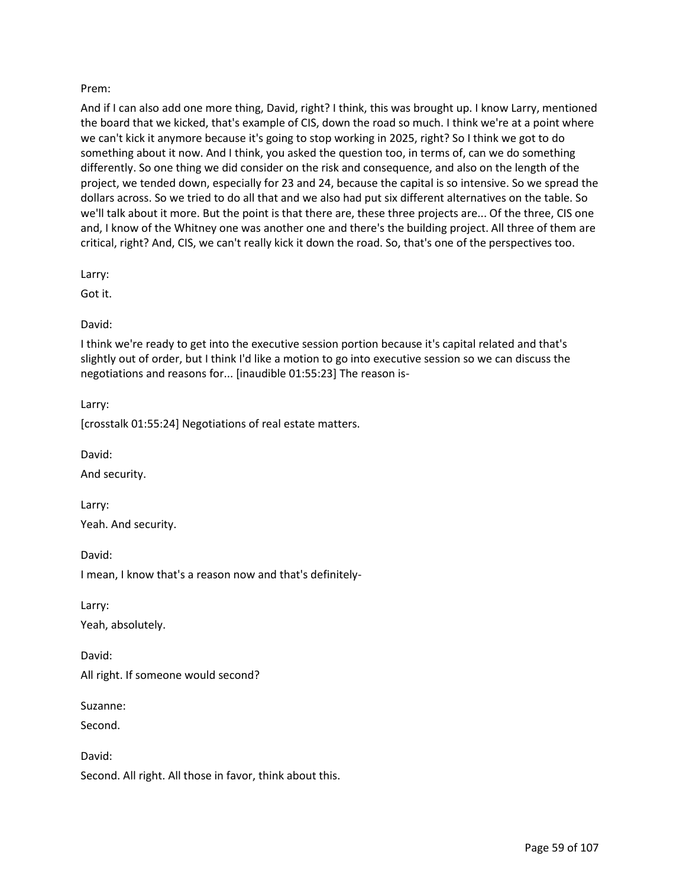## Prem:

And if I can also add one more thing, David, right? I think, this was brought up. I know Larry, mentioned the board that we kicked, that's example of CIS, down the road so much. I think we're at a point where we can't kick it anymore because it's going to stop working in 2025, right? So I think we got to do something about it now. And I think, you asked the question too, in terms of, can we do something differently. So one thing we did consider on the risk and consequence, and also on the length of the project, we tended down, especially for 23 and 24, because the capital is so intensive. So we spread the dollars across. So we tried to do all that and we also had put six different alternatives on the table. So we'll talk about it more. But the point is that there are, these three projects are... Of the three, CIS one and, I know of the Whitney one was another one and there's the building project. All three of them are critical, right? And, CIS, we can't really kick it down the road. So, that's one of the perspectives too.

Larry:

Got it.

### David:

I think we're ready to get into the executive session portion because it's capital related and that's slightly out of order, but I think I'd like a motion to go into executive session so we can discuss the negotiations and reasons for... [inaudible 01:55:23] The reason is-

Larry:

[crosstalk 01:55:24] Negotiations of real estate matters.

David:

And security.

Larry: Yeah. And security.

David:

I mean, I know that's a reason now and that's definitely-

Larry:

Yeah, absolutely.

David: All right. If someone would second?

Suzanne:

Second.

David:

Second. All right. All those in favor, think about this.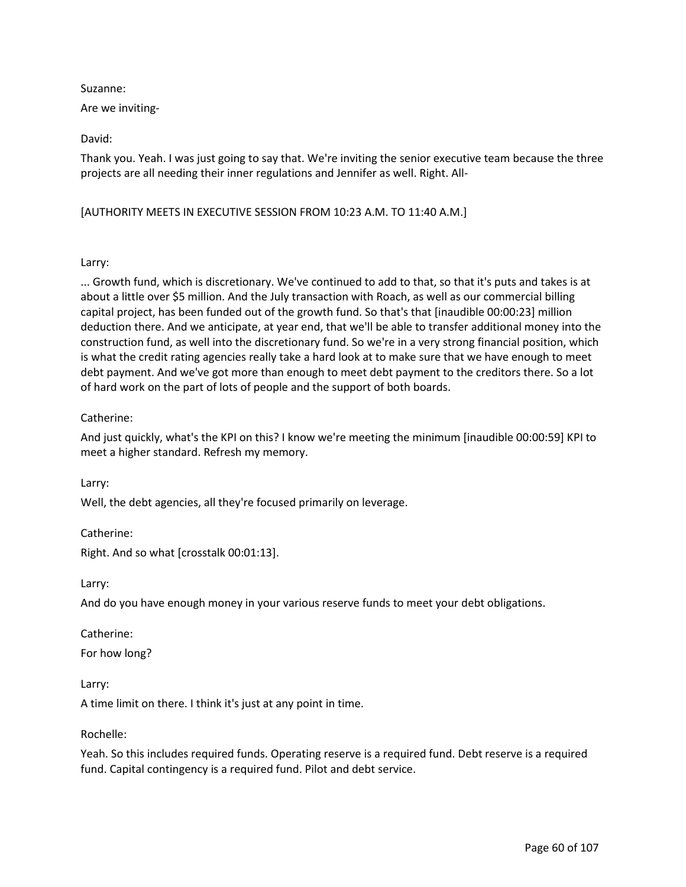### Suzanne:

Are we inviting-

David:

Thank you. Yeah. I was just going to say that. We're inviting the senior executive team because the three projects are all needing their inner regulations and Jennifer as well. Right. All-

[AUTHORITY MEETS IN EXECUTIVE SESSION FROM 10:23 A.M. TO 11:40 A.M.]

## Larry:

... Growth fund, which is discretionary. We've continued to add to that, so that it's puts and takes is at about a little over \$5 million. And the July transaction with Roach, as well as our commercial billing capital project, has been funded out of the growth fund. So that's that [inaudible 00:00:23] million deduction there. And we anticipate, at year end, that we'll be able to transfer additional money into the construction fund, as well into the discretionary fund. So we're in a very strong financial position, which is what the credit rating agencies really take a hard look at to make sure that we have enough to meet debt payment. And we've got more than enough to meet debt payment to the creditors there. So a lot of hard work on the part of lots of people and the support of both boards.

# Catherine:

And just quickly, what's the KPI on this? I know we're meeting the minimum [inaudible 00:00:59] KPI to meet a higher standard. Refresh my memory.

Larry:

Well, the debt agencies, all they're focused primarily on leverage.

Catherine:

Right. And so what [crosstalk 00:01:13].

Larry:

And do you have enough money in your various reserve funds to meet your debt obligations.

Catherine:

For how long?

Larry:

A time limit on there. I think it's just at any point in time.

Rochelle:

Yeah. So this includes required funds. Operating reserve is a required fund. Debt reserve is a required fund. Capital contingency is a required fund. Pilot and debt service.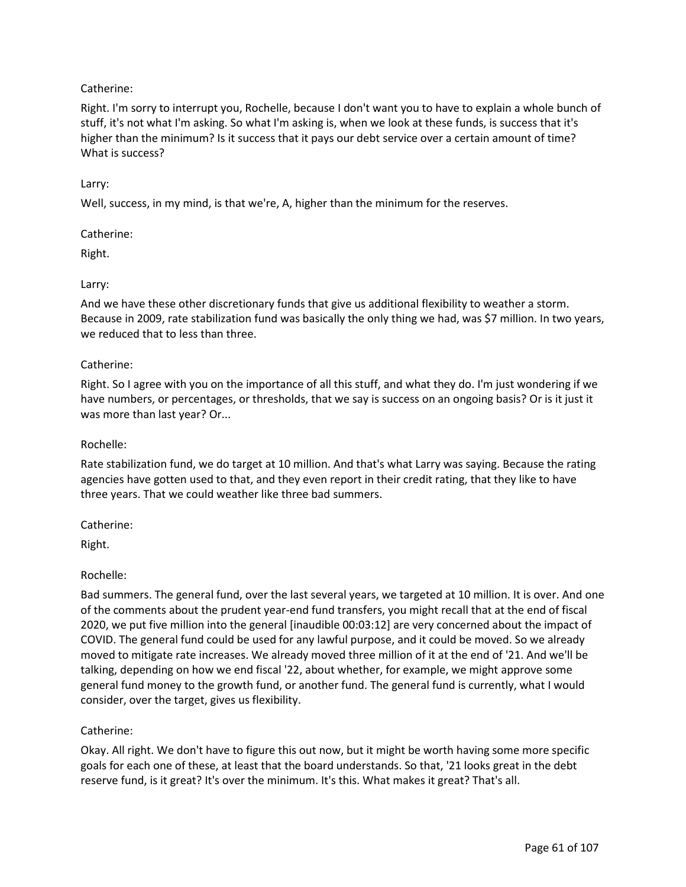# Catherine:

Right. I'm sorry to interrupt you, Rochelle, because I don't want you to have to explain a whole bunch of stuff, it's not what I'm asking. So what I'm asking is, when we look at these funds, is success that it's higher than the minimum? Is it success that it pays our debt service over a certain amount of time? What is success?

## Larry:

Well, success, in my mind, is that we're, A, higher than the minimum for the reserves.

## Catherine:

Right.

## Larry:

And we have these other discretionary funds that give us additional flexibility to weather a storm. Because in 2009, rate stabilization fund was basically the only thing we had, was \$7 million. In two years, we reduced that to less than three.

## Catherine:

Right. So I agree with you on the importance of all this stuff, and what they do. I'm just wondering if we have numbers, or percentages, or thresholds, that we say is success on an ongoing basis? Or is it just it was more than last year? Or...

### Rochelle:

Rate stabilization fund, we do target at 10 million. And that's what Larry was saying. Because the rating agencies have gotten used to that, and they even report in their credit rating, that they like to have three years. That we could weather like three bad summers.

Catherine:

Right.

## Rochelle:

Bad summers. The general fund, over the last several years, we targeted at 10 million. It is over. And one of the comments about the prudent year-end fund transfers, you might recall that at the end of fiscal 2020, we put five million into the general [inaudible 00:03:12] are very concerned about the impact of COVID. The general fund could be used for any lawful purpose, and it could be moved. So we already moved to mitigate rate increases. We already moved three million of it at the end of '21. And we'll be talking, depending on how we end fiscal '22, about whether, for example, we might approve some general fund money to the growth fund, or another fund. The general fund is currently, what I would consider, over the target, gives us flexibility.

## Catherine:

Okay. All right. We don't have to figure this out now, but it might be worth having some more specific goals for each one of these, at least that the board understands. So that, '21 looks great in the debt reserve fund, is it great? It's over the minimum. It's this. What makes it great? That's all.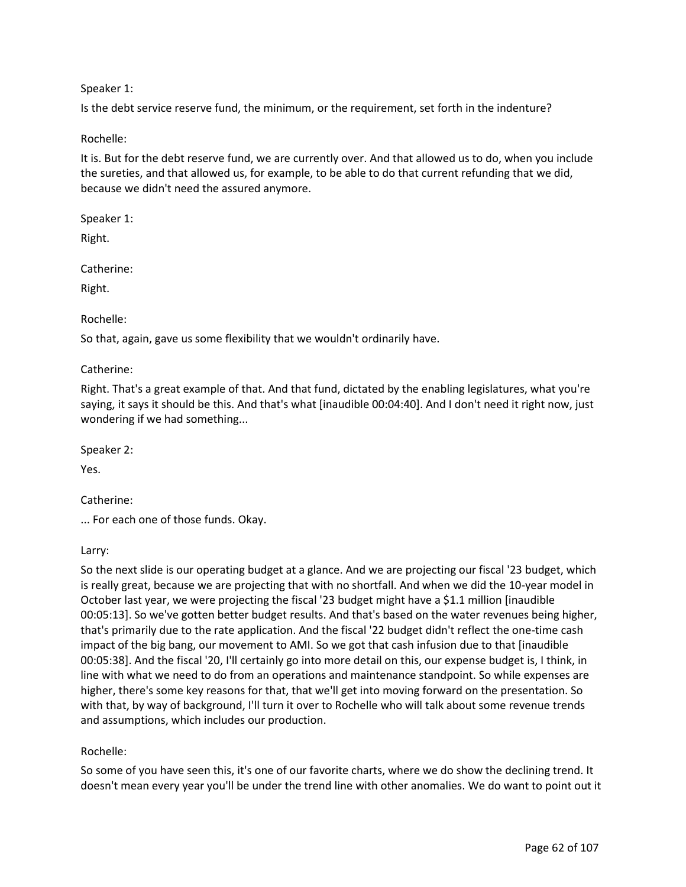## Speaker 1:

Is the debt service reserve fund, the minimum, or the requirement, set forth in the indenture?

## Rochelle:

It is. But for the debt reserve fund, we are currently over. And that allowed us to do, when you include the sureties, and that allowed us, for example, to be able to do that current refunding that we did, because we didn't need the assured anymore.

Speaker 1:

Right.

Catherine:

Right.

Rochelle:

So that, again, gave us some flexibility that we wouldn't ordinarily have.

Catherine:

Right. That's a great example of that. And that fund, dictated by the enabling legislatures, what you're saying, it says it should be this. And that's what [inaudible 00:04:40]. And I don't need it right now, just wondering if we had something...

Speaker 2:

Yes.

Catherine:

... For each one of those funds. Okay.

Larry:

So the next slide is our operating budget at a glance. And we are projecting our fiscal '23 budget, which is really great, because we are projecting that with no shortfall. And when we did the 10-year model in October last year, we were projecting the fiscal '23 budget might have a \$1.1 million [inaudible 00:05:13]. So we've gotten better budget results. And that's based on the water revenues being higher, that's primarily due to the rate application. And the fiscal '22 budget didn't reflect the one-time cash impact of the big bang, our movement to AMI. So we got that cash infusion due to that [inaudible 00:05:38]. And the fiscal '20, I'll certainly go into more detail on this, our expense budget is, I think, in line with what we need to do from an operations and maintenance standpoint. So while expenses are higher, there's some key reasons for that, that we'll get into moving forward on the presentation. So with that, by way of background, I'll turn it over to Rochelle who will talk about some revenue trends and assumptions, which includes our production.

# Rochelle:

So some of you have seen this, it's one of our favorite charts, where we do show the declining trend. It doesn't mean every year you'll be under the trend line with other anomalies. We do want to point out it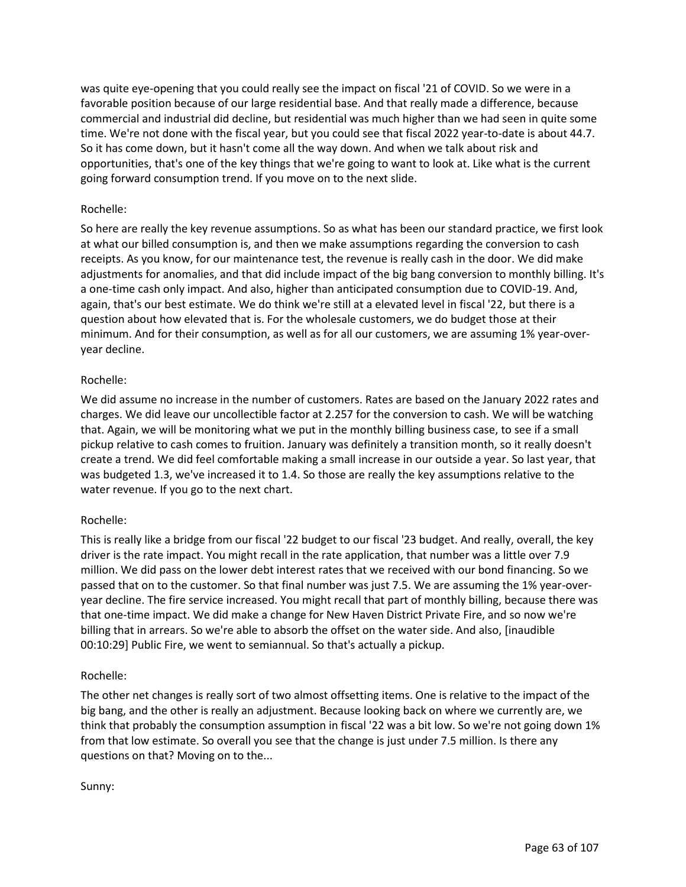was quite eye-opening that you could really see the impact on fiscal '21 of COVID. So we were in a favorable position because of our large residential base. And that really made a difference, because commercial and industrial did decline, but residential was much higher than we had seen in quite some time. We're not done with the fiscal year, but you could see that fiscal 2022 year-to-date is about 44.7. So it has come down, but it hasn't come all the way down. And when we talk about risk and opportunities, that's one of the key things that we're going to want to look at. Like what is the current going forward consumption trend. If you move on to the next slide.

## Rochelle:

So here are really the key revenue assumptions. So as what has been our standard practice, we first look at what our billed consumption is, and then we make assumptions regarding the conversion to cash receipts. As you know, for our maintenance test, the revenue is really cash in the door. We did make adjustments for anomalies, and that did include impact of the big bang conversion to monthly billing. It's a one-time cash only impact. And also, higher than anticipated consumption due to COVID-19. And, again, that's our best estimate. We do think we're still at a elevated level in fiscal '22, but there is a question about how elevated that is. For the wholesale customers, we do budget those at their minimum. And for their consumption, as well as for all our customers, we are assuming 1% year-overyear decline.

### Rochelle:

We did assume no increase in the number of customers. Rates are based on the January 2022 rates and charges. We did leave our uncollectible factor at 2.257 for the conversion to cash. We will be watching that. Again, we will be monitoring what we put in the monthly billing business case, to see if a small pickup relative to cash comes to fruition. January was definitely a transition month, so it really doesn't create a trend. We did feel comfortable making a small increase in our outside a year. So last year, that was budgeted 1.3, we've increased it to 1.4. So those are really the key assumptions relative to the water revenue. If you go to the next chart.

## Rochelle:

This is really like a bridge from our fiscal '22 budget to our fiscal '23 budget. And really, overall, the key driver is the rate impact. You might recall in the rate application, that number was a little over 7.9 million. We did pass on the lower debt interest rates that we received with our bond financing. So we passed that on to the customer. So that final number was just 7.5. We are assuming the 1% year-overyear decline. The fire service increased. You might recall that part of monthly billing, because there was that one-time impact. We did make a change for New Haven District Private Fire, and so now we're billing that in arrears. So we're able to absorb the offset on the water side. And also, [inaudible 00:10:29] Public Fire, we went to semiannual. So that's actually a pickup.

#### Rochelle:

The other net changes is really sort of two almost offsetting items. One is relative to the impact of the big bang, and the other is really an adjustment. Because looking back on where we currently are, we think that probably the consumption assumption in fiscal '22 was a bit low. So we're not going down 1% from that low estimate. So overall you see that the change is just under 7.5 million. Is there any questions on that? Moving on to the...

#### Sunny: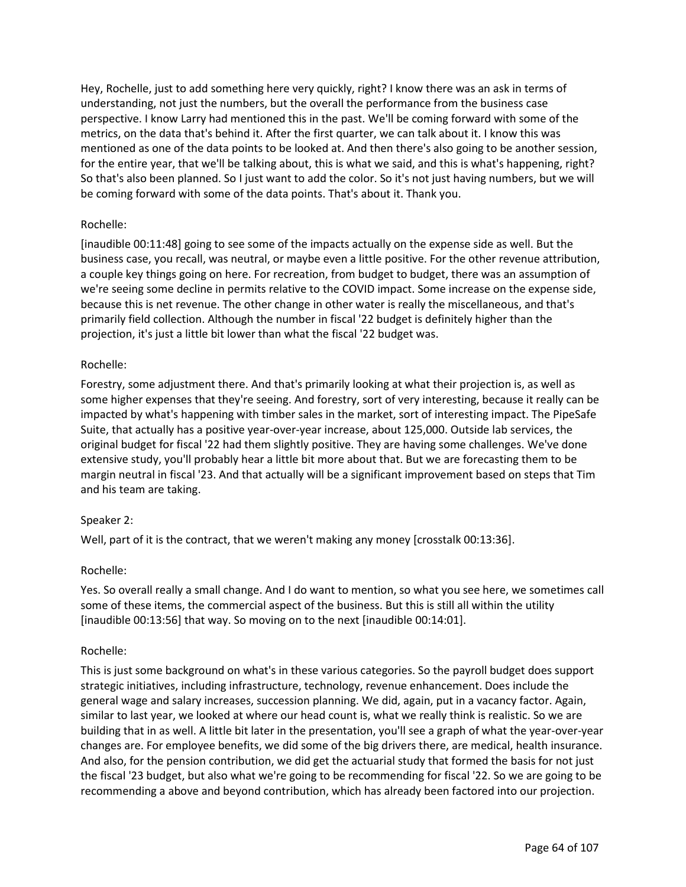Hey, Rochelle, just to add something here very quickly, right? I know there was an ask in terms of understanding, not just the numbers, but the overall the performance from the business case perspective. I know Larry had mentioned this in the past. We'll be coming forward with some of the metrics, on the data that's behind it. After the first quarter, we can talk about it. I know this was mentioned as one of the data points to be looked at. And then there's also going to be another session, for the entire year, that we'll be talking about, this is what we said, and this is what's happening, right? So that's also been planned. So I just want to add the color. So it's not just having numbers, but we will be coming forward with some of the data points. That's about it. Thank you.

## Rochelle:

[inaudible 00:11:48] going to see some of the impacts actually on the expense side as well. But the business case, you recall, was neutral, or maybe even a little positive. For the other revenue attribution, a couple key things going on here. For recreation, from budget to budget, there was an assumption of we're seeing some decline in permits relative to the COVID impact. Some increase on the expense side, because this is net revenue. The other change in other water is really the miscellaneous, and that's primarily field collection. Although the number in fiscal '22 budget is definitely higher than the projection, it's just a little bit lower than what the fiscal '22 budget was.

## Rochelle:

Forestry, some adjustment there. And that's primarily looking at what their projection is, as well as some higher expenses that they're seeing. And forestry, sort of very interesting, because it really can be impacted by what's happening with timber sales in the market, sort of interesting impact. The PipeSafe Suite, that actually has a positive year-over-year increase, about 125,000. Outside lab services, the original budget for fiscal '22 had them slightly positive. They are having some challenges. We've done extensive study, you'll probably hear a little bit more about that. But we are forecasting them to be margin neutral in fiscal '23. And that actually will be a significant improvement based on steps that Tim and his team are taking.

## Speaker 2:

Well, part of it is the contract, that we weren't making any money [crosstalk 00:13:36].

## Rochelle:

Yes. So overall really a small change. And I do want to mention, so what you see here, we sometimes call some of these items, the commercial aspect of the business. But this is still all within the utility [inaudible 00:13:56] that way. So moving on to the next [inaudible 00:14:01].

#### Rochelle:

This is just some background on what's in these various categories. So the payroll budget does support strategic initiatives, including infrastructure, technology, revenue enhancement. Does include the general wage and salary increases, succession planning. We did, again, put in a vacancy factor. Again, similar to last year, we looked at where our head count is, what we really think is realistic. So we are building that in as well. A little bit later in the presentation, you'll see a graph of what the year-over-year changes are. For employee benefits, we did some of the big drivers there, are medical, health insurance. And also, for the pension contribution, we did get the actuarial study that formed the basis for not just the fiscal '23 budget, but also what we're going to be recommending for fiscal '22. So we are going to be recommending a above and beyond contribution, which has already been factored into our projection.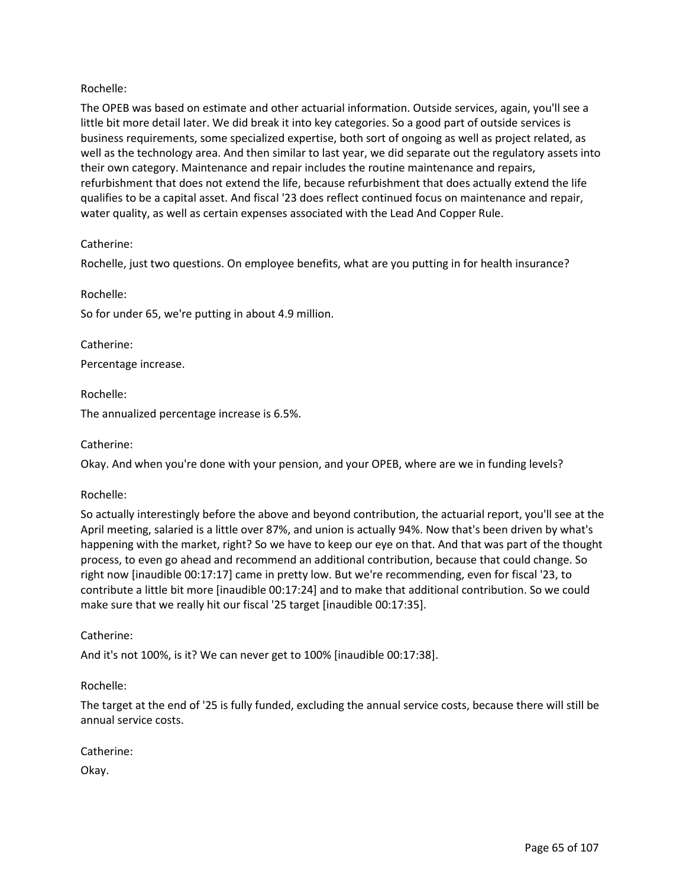## Rochelle:

The OPEB was based on estimate and other actuarial information. Outside services, again, you'll see a little bit more detail later. We did break it into key categories. So a good part of outside services is business requirements, some specialized expertise, both sort of ongoing as well as project related, as well as the technology area. And then similar to last year, we did separate out the regulatory assets into their own category. Maintenance and repair includes the routine maintenance and repairs, refurbishment that does not extend the life, because refurbishment that does actually extend the life qualifies to be a capital asset. And fiscal '23 does reflect continued focus on maintenance and repair, water quality, as well as certain expenses associated with the Lead And Copper Rule.

## Catherine:

Rochelle, just two questions. On employee benefits, what are you putting in for health insurance?

Rochelle:

So for under 65, we're putting in about 4.9 million.

Catherine: Percentage increase.

Rochelle:

The annualized percentage increase is 6.5%.

Catherine:

Okay. And when you're done with your pension, and your OPEB, where are we in funding levels?

#### Rochelle:

So actually interestingly before the above and beyond contribution, the actuarial report, you'll see at the April meeting, salaried is a little over 87%, and union is actually 94%. Now that's been driven by what's happening with the market, right? So we have to keep our eye on that. And that was part of the thought process, to even go ahead and recommend an additional contribution, because that could change. So right now [inaudible 00:17:17] came in pretty low. But we're recommending, even for fiscal '23, to contribute a little bit more [inaudible 00:17:24] and to make that additional contribution. So we could make sure that we really hit our fiscal '25 target [inaudible 00:17:35].

## Catherine:

And it's not 100%, is it? We can never get to 100% [inaudible 00:17:38].

Rochelle:

The target at the end of '25 is fully funded, excluding the annual service costs, because there will still be annual service costs.

## Catherine:

Okay.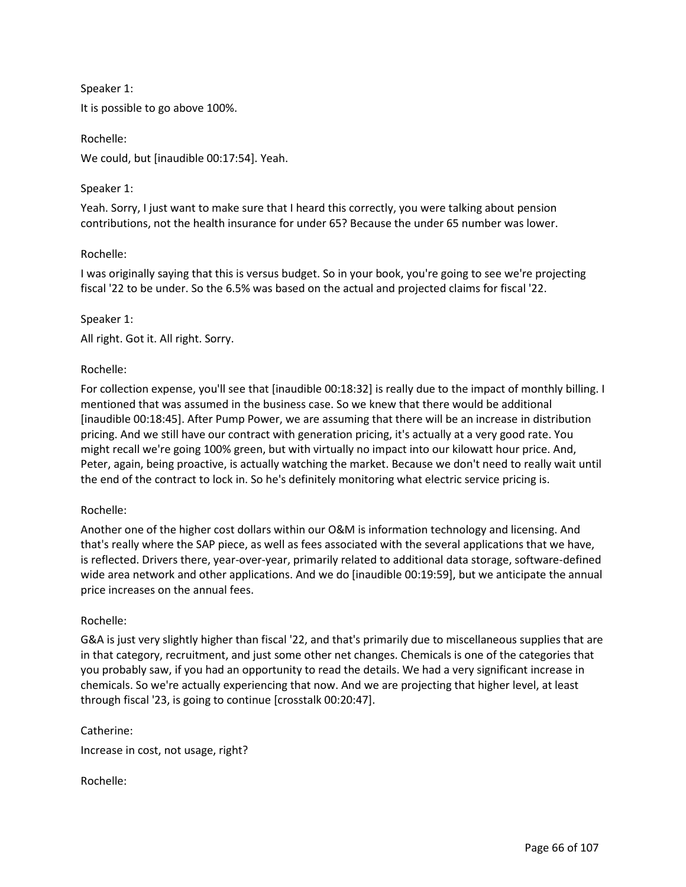Speaker 1: It is possible to go above 100%.

We could, but [inaudible 00:17:54]. Yeah.

# Speaker 1:

Rochelle:

Yeah. Sorry, I just want to make sure that I heard this correctly, you were talking about pension contributions, not the health insurance for under 65? Because the under 65 number was lower.

# Rochelle:

I was originally saying that this is versus budget. So in your book, you're going to see we're projecting fiscal '22 to be under. So the 6.5% was based on the actual and projected claims for fiscal '22.

# Speaker 1:

All right. Got it. All right. Sorry.

# Rochelle:

For collection expense, you'll see that [inaudible 00:18:32] is really due to the impact of monthly billing. I mentioned that was assumed in the business case. So we knew that there would be additional [inaudible 00:18:45]. After Pump Power, we are assuming that there will be an increase in distribution pricing. And we still have our contract with generation pricing, it's actually at a very good rate. You might recall we're going 100% green, but with virtually no impact into our kilowatt hour price. And, Peter, again, being proactive, is actually watching the market. Because we don't need to really wait until the end of the contract to lock in. So he's definitely monitoring what electric service pricing is.

## Rochelle:

Another one of the higher cost dollars within our O&M is information technology and licensing. And that's really where the SAP piece, as well as fees associated with the several applications that we have, is reflected. Drivers there, year-over-year, primarily related to additional data storage, software-defined wide area network and other applications. And we do [inaudible 00:19:59], but we anticipate the annual price increases on the annual fees.

## Rochelle:

G&A is just very slightly higher than fiscal '22, and that's primarily due to miscellaneous supplies that are in that category, recruitment, and just some other net changes. Chemicals is one of the categories that you probably saw, if you had an opportunity to read the details. We had a very significant increase in chemicals. So we're actually experiencing that now. And we are projecting that higher level, at least through fiscal '23, is going to continue [crosstalk 00:20:47].

Catherine:

Increase in cost, not usage, right?

Rochelle: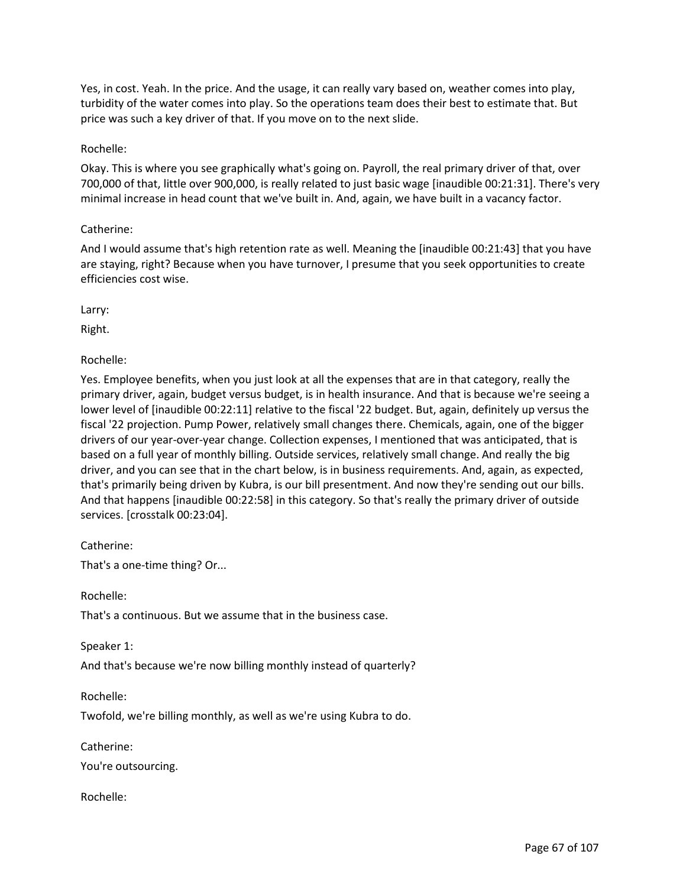Yes, in cost. Yeah. In the price. And the usage, it can really vary based on, weather comes into play, turbidity of the water comes into play. So the operations team does their best to estimate that. But price was such a key driver of that. If you move on to the next slide.

### Rochelle:

Okay. This is where you see graphically what's going on. Payroll, the real primary driver of that, over 700,000 of that, little over 900,000, is really related to just basic wage [inaudible 00:21:31]. There's very minimal increase in head count that we've built in. And, again, we have built in a vacancy factor.

## Catherine:

And I would assume that's high retention rate as well. Meaning the [inaudible 00:21:43] that you have are staying, right? Because when you have turnover, I presume that you seek opportunities to create efficiencies cost wise.

Larry:

Right.

Rochelle:

Yes. Employee benefits, when you just look at all the expenses that are in that category, really the primary driver, again, budget versus budget, is in health insurance. And that is because we're seeing a lower level of [inaudible 00:22:11] relative to the fiscal '22 budget. But, again, definitely up versus the fiscal '22 projection. Pump Power, relatively small changes there. Chemicals, again, one of the bigger drivers of our year-over-year change. Collection expenses, I mentioned that was anticipated, that is based on a full year of monthly billing. Outside services, relatively small change. And really the big driver, and you can see that in the chart below, is in business requirements. And, again, as expected, that's primarily being driven by Kubra, is our bill presentment. And now they're sending out our bills. And that happens [inaudible 00:22:58] in this category. So that's really the primary driver of outside services. [crosstalk 00:23:04].

Catherine:

That's a one-time thing? Or...

Rochelle:

That's a continuous. But we assume that in the business case.

Speaker 1:

And that's because we're now billing monthly instead of quarterly?

Rochelle:

Twofold, we're billing monthly, as well as we're using Kubra to do.

Catherine:

You're outsourcing.

Rochelle: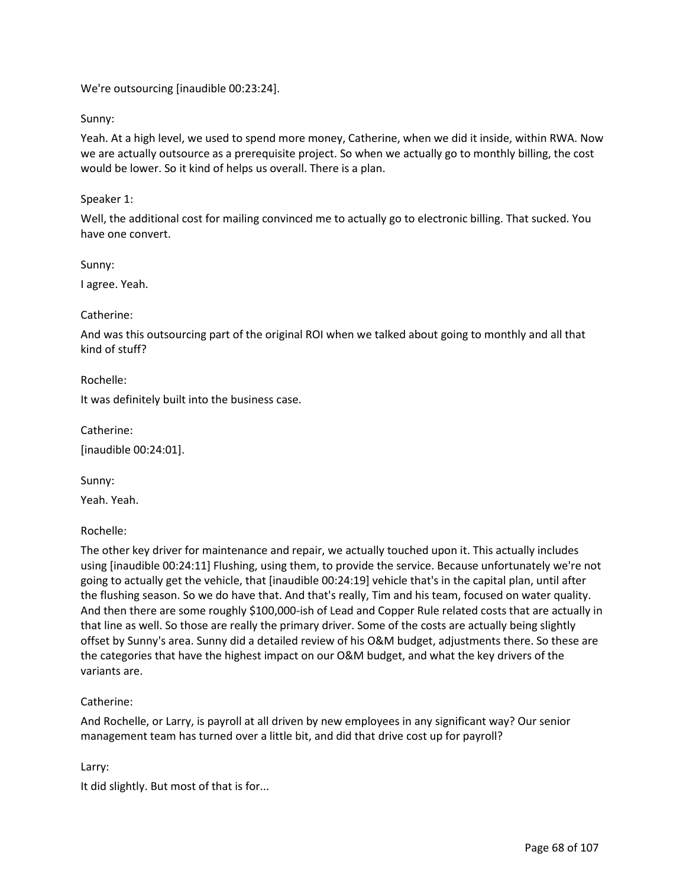We're outsourcing [inaudible 00:23:24].

### Sunny:

Yeah. At a high level, we used to spend more money, Catherine, when we did it inside, within RWA. Now we are actually outsource as a prerequisite project. So when we actually go to monthly billing, the cost would be lower. So it kind of helps us overall. There is a plan.

### Speaker 1:

Well, the additional cost for mailing convinced me to actually go to electronic billing. That sucked. You have one convert.

Sunny:

I agree. Yeah.

### Catherine:

And was this outsourcing part of the original ROI when we talked about going to monthly and all that kind of stuff?

Rochelle:

It was definitely built into the business case.

Catherine:

[inaudible 00:24:01].

Sunny:

Yeah. Yeah.

Rochelle:

The other key driver for maintenance and repair, we actually touched upon it. This actually includes using [inaudible 00:24:11] Flushing, using them, to provide the service. Because unfortunately we're not going to actually get the vehicle, that [inaudible 00:24:19] vehicle that's in the capital plan, until after the flushing season. So we do have that. And that's really, Tim and his team, focused on water quality. And then there are some roughly \$100,000-ish of Lead and Copper Rule related costs that are actually in that line as well. So those are really the primary driver. Some of the costs are actually being slightly offset by Sunny's area. Sunny did a detailed review of his O&M budget, adjustments there. So these are the categories that have the highest impact on our O&M budget, and what the key drivers of the variants are.

## Catherine:

And Rochelle, or Larry, is payroll at all driven by new employees in any significant way? Our senior management team has turned over a little bit, and did that drive cost up for payroll?

## Larry:

It did slightly. But most of that is for...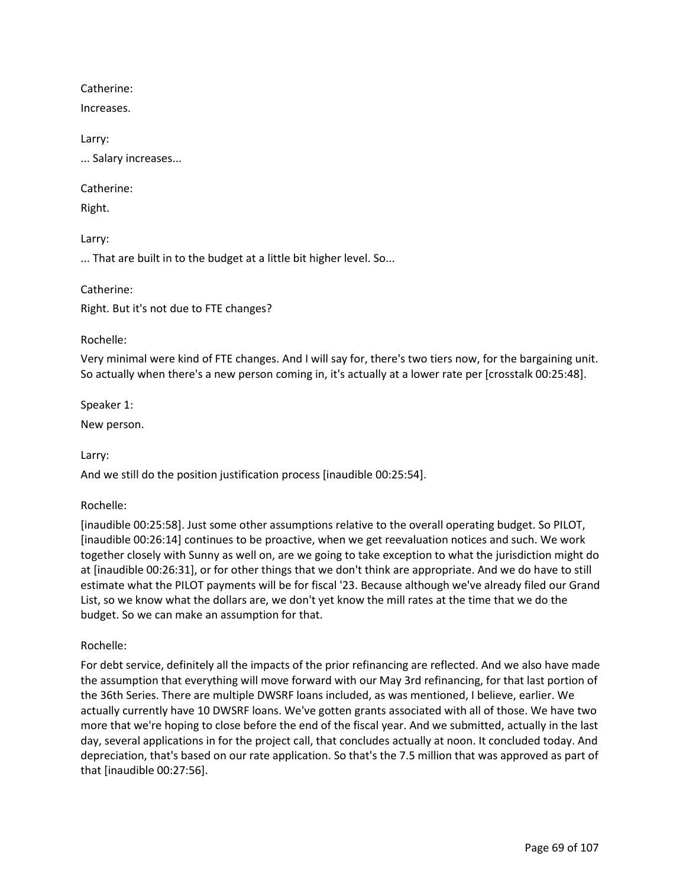Catherine:

Increases.

Larry:

... Salary increases...

Catherine:

Right.

Larry:

... That are built in to the budget at a little bit higher level. So...

Catherine:

Right. But it's not due to FTE changes?

Rochelle:

Very minimal were kind of FTE changes. And I will say for, there's two tiers now, for the bargaining unit. So actually when there's a new person coming in, it's actually at a lower rate per [crosstalk 00:25:48].

Speaker 1:

New person.

Larry:

And we still do the position justification process [inaudible 00:25:54].

## Rochelle:

[inaudible 00:25:58]. Just some other assumptions relative to the overall operating budget. So PILOT, [inaudible 00:26:14] continues to be proactive, when we get reevaluation notices and such. We work together closely with Sunny as well on, are we going to take exception to what the jurisdiction might do at [inaudible 00:26:31], or for other things that we don't think are appropriate. And we do have to still estimate what the PILOT payments will be for fiscal '23. Because although we've already filed our Grand List, so we know what the dollars are, we don't yet know the mill rates at the time that we do the budget. So we can make an assumption for that.

Rochelle:

For debt service, definitely all the impacts of the prior refinancing are reflected. And we also have made the assumption that everything will move forward with our May 3rd refinancing, for that last portion of the 36th Series. There are multiple DWSRF loans included, as was mentioned, I believe, earlier. We actually currently have 10 DWSRF loans. We've gotten grants associated with all of those. We have two more that we're hoping to close before the end of the fiscal year. And we submitted, actually in the last day, several applications in for the project call, that concludes actually at noon. It concluded today. And depreciation, that's based on our rate application. So that's the 7.5 million that was approved as part of that [inaudible 00:27:56].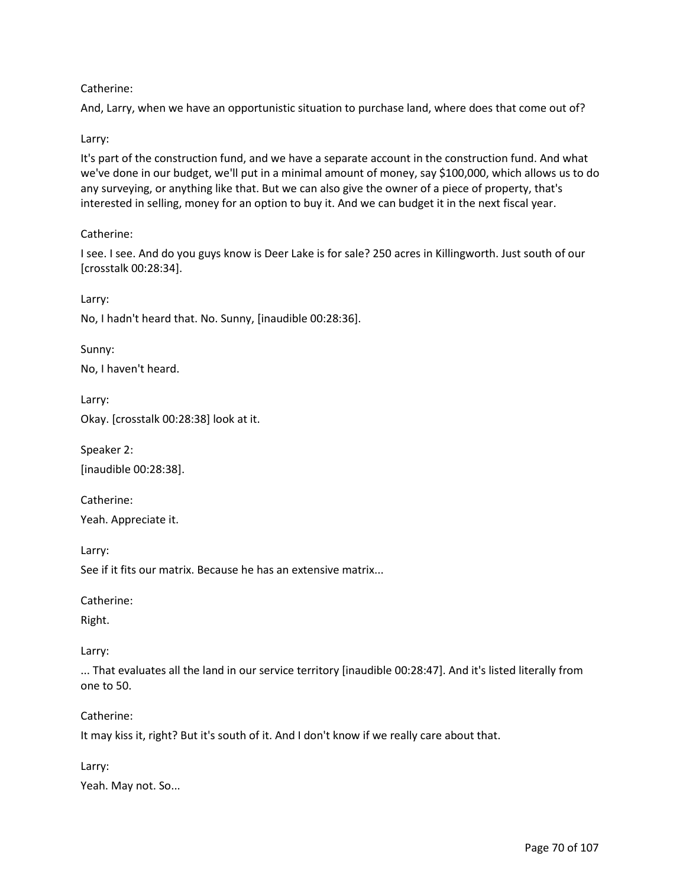# Catherine:

And, Larry, when we have an opportunistic situation to purchase land, where does that come out of?

## Larry:

It's part of the construction fund, and we have a separate account in the construction fund. And what we've done in our budget, we'll put in a minimal amount of money, say \$100,000, which allows us to do any surveying, or anything like that. But we can also give the owner of a piece of property, that's interested in selling, money for an option to buy it. And we can budget it in the next fiscal year.

# Catherine:

I see. I see. And do you guys know is Deer Lake is for sale? 250 acres in Killingworth. Just south of our [crosstalk 00:28:34].

Larry:

No, I hadn't heard that. No. Sunny, [inaudible 00:28:36].

Sunny:

No, I haven't heard.

Larry:

Okay. [crosstalk 00:28:38] look at it.

Speaker 2: [inaudible 00:28:38].

Catherine:

Yeah. Appreciate it.

Larry:

See if it fits our matrix. Because he has an extensive matrix...

Catherine:

Right.

Larry:

... That evaluates all the land in our service territory [inaudible 00:28:47]. And it's listed literally from one to 50.

Catherine:

It may kiss it, right? But it's south of it. And I don't know if we really care about that.

Larry: Yeah. May not. So...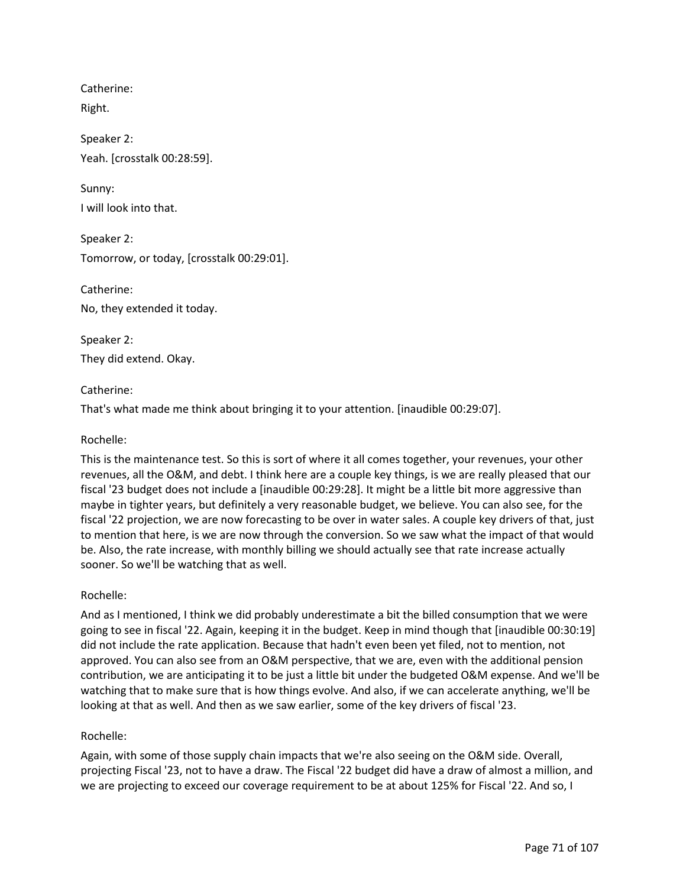Catherine: Right.

Speaker 2: Yeah. [crosstalk 00:28:59].

Sunny: I will look into that.

Speaker 2: Tomorrow, or today, [crosstalk 00:29:01].

Catherine: No, they extended it today.

Speaker 2: They did extend. Okay.

# Catherine:

That's what made me think about bringing it to your attention. [inaudible 00:29:07].

# Rochelle:

This is the maintenance test. So this is sort of where it all comes together, your revenues, your other revenues, all the O&M, and debt. I think here are a couple key things, is we are really pleased that our fiscal '23 budget does not include a [inaudible 00:29:28]. It might be a little bit more aggressive than maybe in tighter years, but definitely a very reasonable budget, we believe. You can also see, for the fiscal '22 projection, we are now forecasting to be over in water sales. A couple key drivers of that, just to mention that here, is we are now through the conversion. So we saw what the impact of that would be. Also, the rate increase, with monthly billing we should actually see that rate increase actually sooner. So we'll be watching that as well.

## Rochelle:

And as I mentioned, I think we did probably underestimate a bit the billed consumption that we were going to see in fiscal '22. Again, keeping it in the budget. Keep in mind though that [inaudible 00:30:19] did not include the rate application. Because that hadn't even been yet filed, not to mention, not approved. You can also see from an O&M perspective, that we are, even with the additional pension contribution, we are anticipating it to be just a little bit under the budgeted O&M expense. And we'll be watching that to make sure that is how things evolve. And also, if we can accelerate anything, we'll be looking at that as well. And then as we saw earlier, some of the key drivers of fiscal '23.

## Rochelle:

Again, with some of those supply chain impacts that we're also seeing on the O&M side. Overall, projecting Fiscal '23, not to have a draw. The Fiscal '22 budget did have a draw of almost a million, and we are projecting to exceed our coverage requirement to be at about 125% for Fiscal '22. And so, I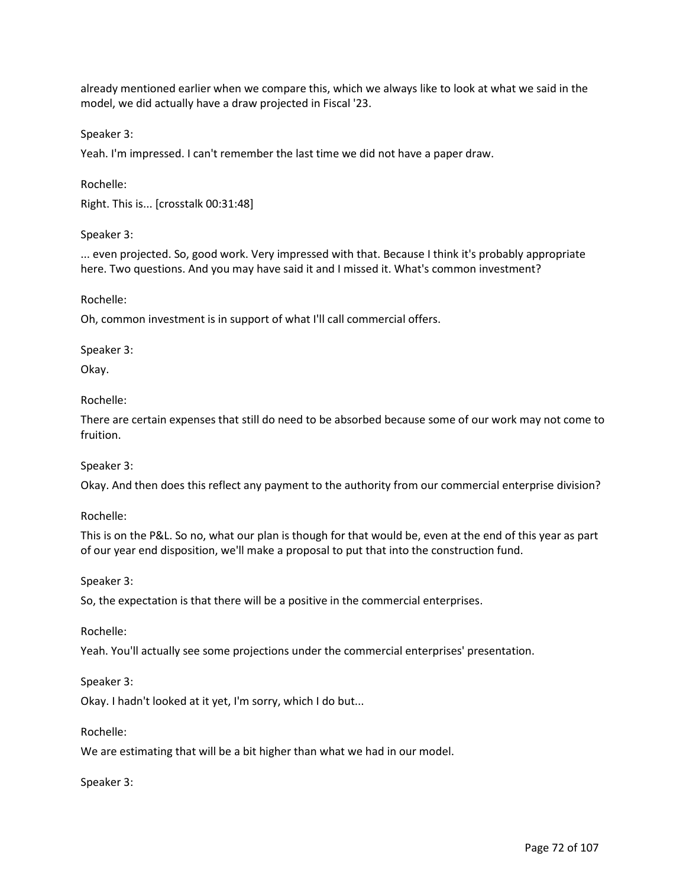already mentioned earlier when we compare this, which we always like to look at what we said in the model, we did actually have a draw projected in Fiscal '23.

Speaker 3:

Yeah. I'm impressed. I can't remember the last time we did not have a paper draw.

Rochelle: Right. This is... [crosstalk 00:31:48]

Speaker 3:

... even projected. So, good work. Very impressed with that. Because I think it's probably appropriate here. Two questions. And you may have said it and I missed it. What's common investment?

Rochelle:

Oh, common investment is in support of what I'll call commercial offers.

Speaker 3:

Okay.

Rochelle:

There are certain expenses that still do need to be absorbed because some of our work may not come to fruition.

Speaker 3:

Okay. And then does this reflect any payment to the authority from our commercial enterprise division?

Rochelle:

This is on the P&L. So no, what our plan is though for that would be, even at the end of this year as part of our year end disposition, we'll make a proposal to put that into the construction fund.

Speaker 3:

So, the expectation is that there will be a positive in the commercial enterprises.

Rochelle:

Yeah. You'll actually see some projections under the commercial enterprises' presentation.

Speaker 3:

Okay. I hadn't looked at it yet, I'm sorry, which I do but...

Rochelle:

We are estimating that will be a bit higher than what we had in our model.

Speaker 3: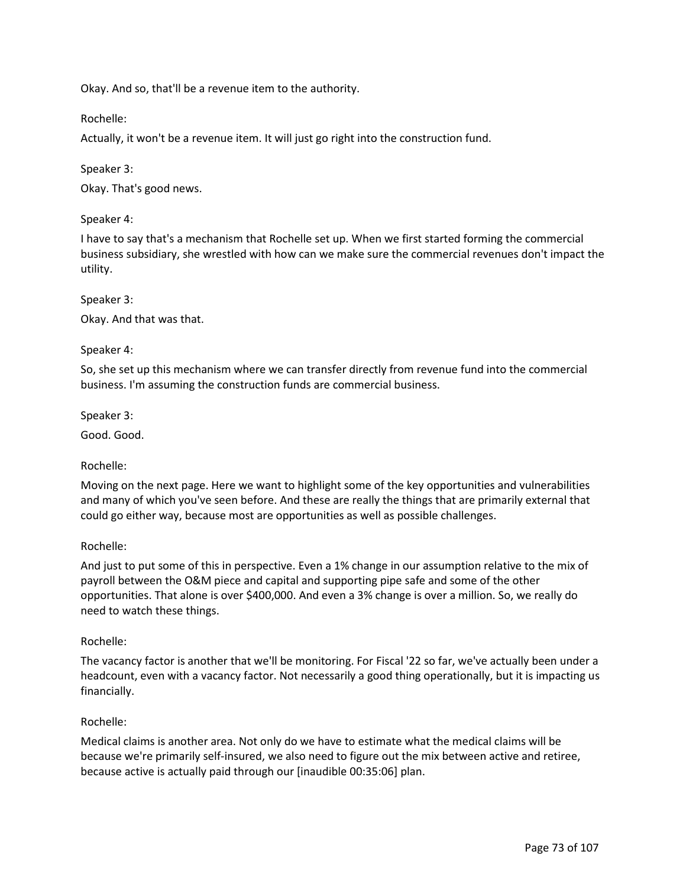Okay. And so, that'll be a revenue item to the authority.

Rochelle:

Actually, it won't be a revenue item. It will just go right into the construction fund.

Speaker 3:

Okay. That's good news.

Speaker 4:

I have to say that's a mechanism that Rochelle set up. When we first started forming the commercial business subsidiary, she wrestled with how can we make sure the commercial revenues don't impact the utility.

Speaker 3:

Okay. And that was that.

#### Speaker 4:

So, she set up this mechanism where we can transfer directly from revenue fund into the commercial business. I'm assuming the construction funds are commercial business.

Speaker 3:

Good. Good.

#### Rochelle:

Moving on the next page. Here we want to highlight some of the key opportunities and vulnerabilities and many of which you've seen before. And these are really the things that are primarily external that could go either way, because most are opportunities as well as possible challenges.

#### Rochelle:

And just to put some of this in perspective. Even a 1% change in our assumption relative to the mix of payroll between the O&M piece and capital and supporting pipe safe and some of the other opportunities. That alone is over \$400,000. And even a 3% change is over a million. So, we really do need to watch these things.

#### Rochelle:

The vacancy factor is another that we'll be monitoring. For Fiscal '22 so far, we've actually been under a headcount, even with a vacancy factor. Not necessarily a good thing operationally, but it is impacting us financially.

#### Rochelle:

Medical claims is another area. Not only do we have to estimate what the medical claims will be because we're primarily self-insured, we also need to figure out the mix between active and retiree, because active is actually paid through our [inaudible 00:35:06] plan.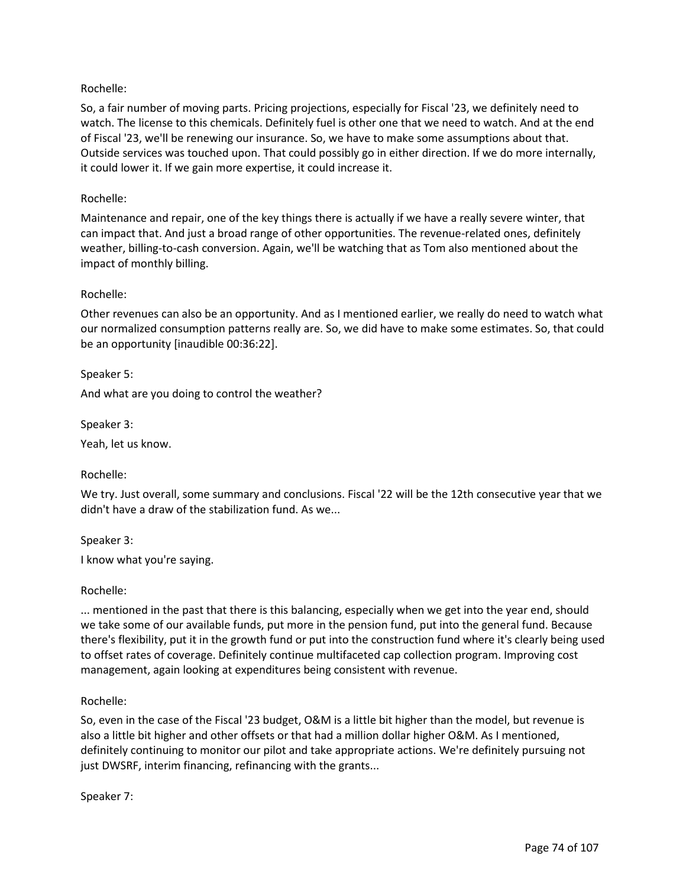## Rochelle:

So, a fair number of moving parts. Pricing projections, especially for Fiscal '23, we definitely need to watch. The license to this chemicals. Definitely fuel is other one that we need to watch. And at the end of Fiscal '23, we'll be renewing our insurance. So, we have to make some assumptions about that. Outside services was touched upon. That could possibly go in either direction. If we do more internally, it could lower it. If we gain more expertise, it could increase it.

## Rochelle:

Maintenance and repair, one of the key things there is actually if we have a really severe winter, that can impact that. And just a broad range of other opportunities. The revenue-related ones, definitely weather, billing-to-cash conversion. Again, we'll be watching that as Tom also mentioned about the impact of monthly billing.

#### Rochelle:

Other revenues can also be an opportunity. And as I mentioned earlier, we really do need to watch what our normalized consumption patterns really are. So, we did have to make some estimates. So, that could be an opportunity [inaudible 00:36:22].

Speaker 5:

And what are you doing to control the weather?

Speaker 3:

Yeah, let us know.

Rochelle:

We try. Just overall, some summary and conclusions. Fiscal '22 will be the 12th consecutive year that we didn't have a draw of the stabilization fund. As we...

Speaker 3:

I know what you're saying.

#### Rochelle:

... mentioned in the past that there is this balancing, especially when we get into the year end, should we take some of our available funds, put more in the pension fund, put into the general fund. Because there's flexibility, put it in the growth fund or put into the construction fund where it's clearly being used to offset rates of coverage. Definitely continue multifaceted cap collection program. Improving cost management, again looking at expenditures being consistent with revenue.

#### Rochelle:

So, even in the case of the Fiscal '23 budget, O&M is a little bit higher than the model, but revenue is also a little bit higher and other offsets or that had a million dollar higher O&M. As I mentioned, definitely continuing to monitor our pilot and take appropriate actions. We're definitely pursuing not just DWSRF, interim financing, refinancing with the grants...

Speaker 7: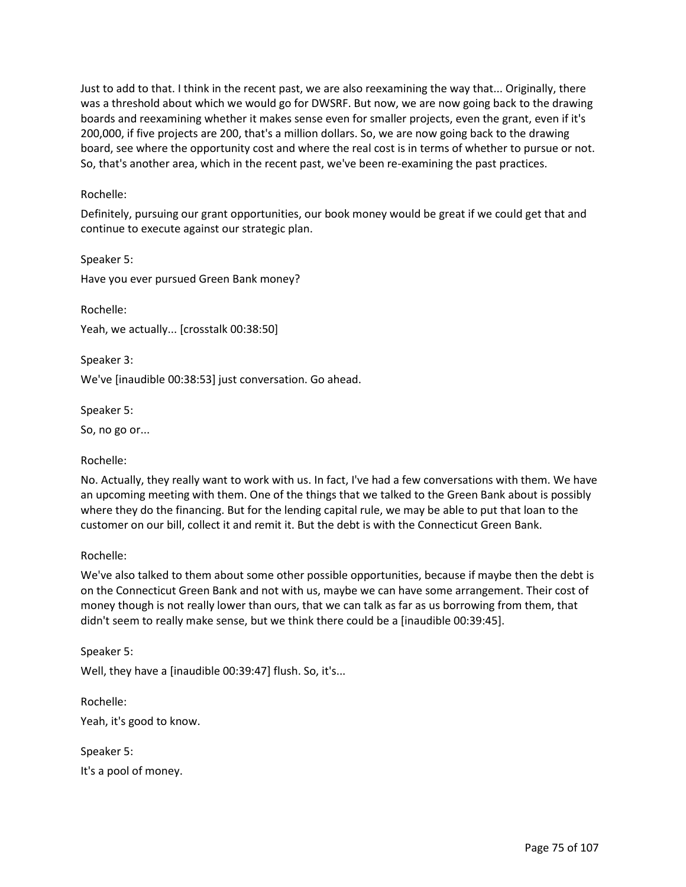Just to add to that. I think in the recent past, we are also reexamining the way that... Originally, there was a threshold about which we would go for DWSRF. But now, we are now going back to the drawing boards and reexamining whether it makes sense even for smaller projects, even the grant, even if it's 200,000, if five projects are 200, that's a million dollars. So, we are now going back to the drawing board, see where the opportunity cost and where the real cost is in terms of whether to pursue or not. So, that's another area, which in the recent past, we've been re-examining the past practices.

### Rochelle:

Definitely, pursuing our grant opportunities, our book money would be great if we could get that and continue to execute against our strategic plan.

Speaker 5: Have you ever pursued Green Bank money?

Rochelle: Yeah, we actually... [crosstalk 00:38:50]

Speaker 3: We've [inaudible 00:38:53] just conversation. Go ahead.

Speaker 5:

So, no go or...

Rochelle:

No. Actually, they really want to work with us. In fact, I've had a few conversations with them. We have an upcoming meeting with them. One of the things that we talked to the Green Bank about is possibly where they do the financing. But for the lending capital rule, we may be able to put that loan to the customer on our bill, collect it and remit it. But the debt is with the Connecticut Green Bank.

## Rochelle:

We've also talked to them about some other possible opportunities, because if maybe then the debt is on the Connecticut Green Bank and not with us, maybe we can have some arrangement. Their cost of money though is not really lower than ours, that we can talk as far as us borrowing from them, that didn't seem to really make sense, but we think there could be a [inaudible 00:39:45].

Speaker 5: Well, they have a [inaudible 00:39:47] flush. So, it's...

Rochelle: Yeah, it's good to know.

Speaker 5: It's a pool of money.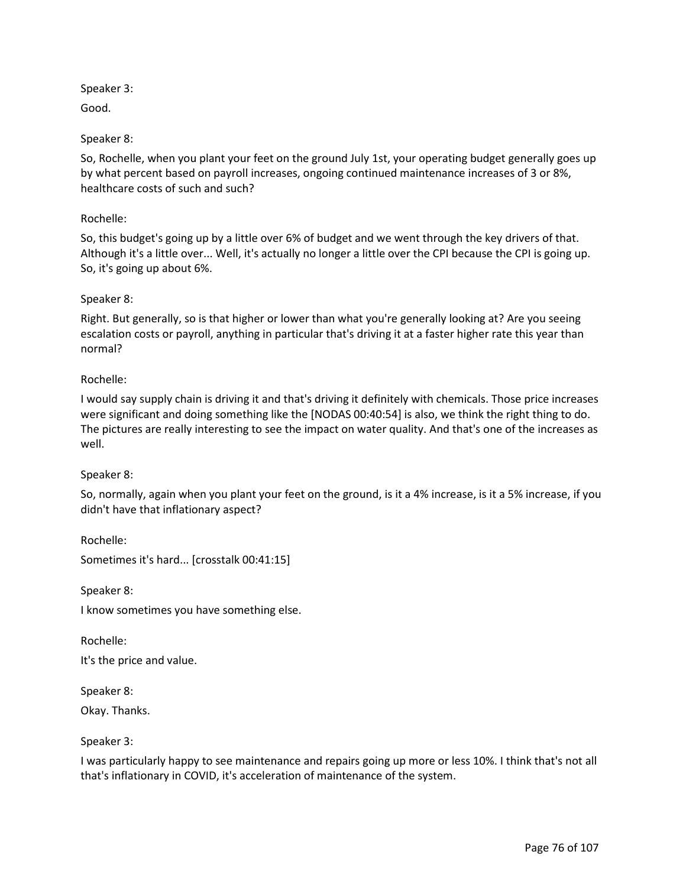Speaker 3:

Good.

# Speaker 8:

So, Rochelle, when you plant your feet on the ground July 1st, your operating budget generally goes up by what percent based on payroll increases, ongoing continued maintenance increases of 3 or 8%, healthcare costs of such and such?

# Rochelle:

So, this budget's going up by a little over 6% of budget and we went through the key drivers of that. Although it's a little over... Well, it's actually no longer a little over the CPI because the CPI is going up. So, it's going up about 6%.

# Speaker 8:

Right. But generally, so is that higher or lower than what you're generally looking at? Are you seeing escalation costs or payroll, anything in particular that's driving it at a faster higher rate this year than normal?

# Rochelle:

I would say supply chain is driving it and that's driving it definitely with chemicals. Those price increases were significant and doing something like the [NODAS 00:40:54] is also, we think the right thing to do. The pictures are really interesting to see the impact on water quality. And that's one of the increases as well.

## Speaker 8:

So, normally, again when you plant your feet on the ground, is it a 4% increase, is it a 5% increase, if you didn't have that inflationary aspect?

Rochelle: Sometimes it's hard... [crosstalk 00:41:15]

Speaker 8:

I know sometimes you have something else.

Rochelle:

It's the price and value.

Speaker 8:

Okay. Thanks.

## Speaker 3:

I was particularly happy to see maintenance and repairs going up more or less 10%. I think that's not all that's inflationary in COVID, it's acceleration of maintenance of the system.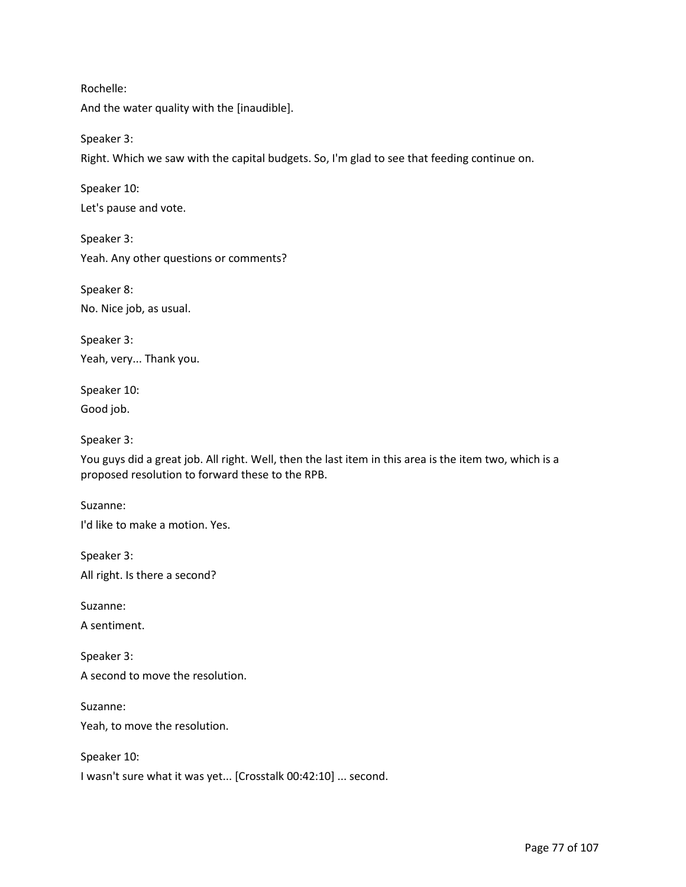Rochelle:

And the water quality with the [inaudible].

Speaker 3:

Right. Which we saw with the capital budgets. So, I'm glad to see that feeding continue on.

Speaker 10:

Let's pause and vote.

Speaker 3: Yeah. Any other questions or comments?

Speaker 8: No. Nice job, as usual.

Speaker 3: Yeah, very... Thank you.

Speaker 10: Good job.

Speaker 3:

You guys did a great job. All right. Well, then the last item in this area is the item two, which is a proposed resolution to forward these to the RPB.

Suzanne:

I'd like to make a motion. Yes.

Speaker 3: All right. Is there a second?

Suzanne:

A sentiment.

Speaker 3: A second to move the resolution.

Suzanne:

Yeah, to move the resolution.

Speaker 10:

I wasn't sure what it was yet... [Crosstalk 00:42:10] ... second.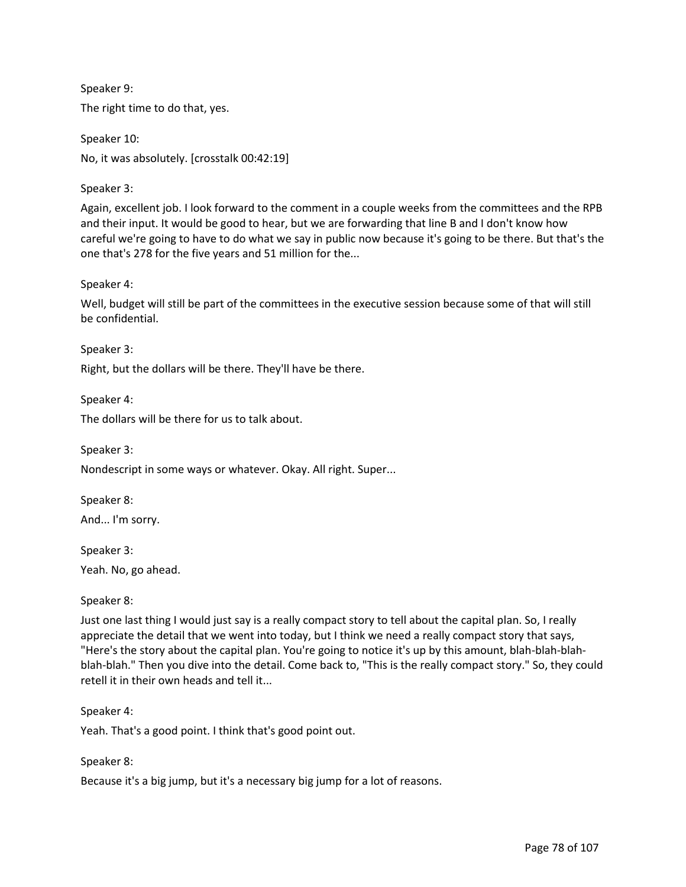Speaker 9: The right time to do that, yes.

Speaker 10: No, it was absolutely. [crosstalk 00:42:19]

Speaker 3:

Again, excellent job. I look forward to the comment in a couple weeks from the committees and the RPB and their input. It would be good to hear, but we are forwarding that line B and I don't know how careful we're going to have to do what we say in public now because it's going to be there. But that's the one that's 278 for the five years and 51 million for the...

Speaker 4:

Well, budget will still be part of the committees in the executive session because some of that will still be confidential.

Speaker 3:

Right, but the dollars will be there. They'll have be there.

Speaker 4:

The dollars will be there for us to talk about.

Speaker 3: Nondescript in some ways or whatever. Okay. All right. Super...

Speaker 8: And... I'm sorry.

Speaker 3: Yeah. No, go ahead.

Speaker 8:

Just one last thing I would just say is a really compact story to tell about the capital plan. So, I really appreciate the detail that we went into today, but I think we need a really compact story that says, "Here's the story about the capital plan. You're going to notice it's up by this amount, blah-blah-blahblah-blah." Then you dive into the detail. Come back to, "This is the really compact story." So, they could retell it in their own heads and tell it...

Speaker 4:

Yeah. That's a good point. I think that's good point out.

Speaker 8:

Because it's a big jump, but it's a necessary big jump for a lot of reasons.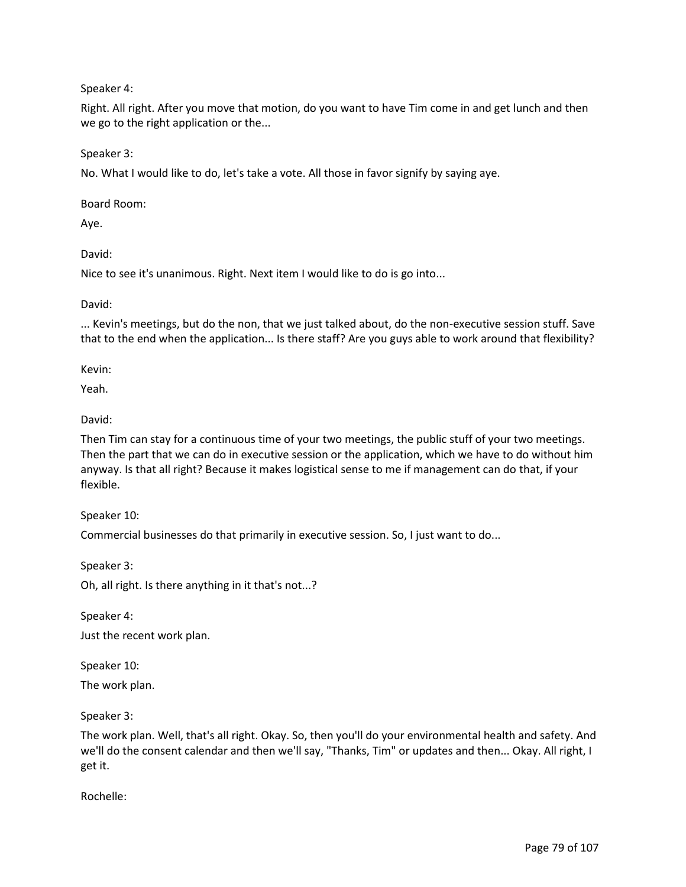Speaker 4:

Right. All right. After you move that motion, do you want to have Tim come in and get lunch and then we go to the right application or the...

Speaker 3:

No. What I would like to do, let's take a vote. All those in favor signify by saying aye.

Board Room:

Aye.

David:

Nice to see it's unanimous. Right. Next item I would like to do is go into...

David:

... Kevin's meetings, but do the non, that we just talked about, do the non-executive session stuff. Save that to the end when the application... Is there staff? Are you guys able to work around that flexibility?

Kevin:

Yeah.

David:

Then Tim can stay for a continuous time of your two meetings, the public stuff of your two meetings. Then the part that we can do in executive session or the application, which we have to do without him anyway. Is that all right? Because it makes logistical sense to me if management can do that, if your flexible.

Speaker 10:

Commercial businesses do that primarily in executive session. So, I just want to do...

Speaker 3: Oh, all right. Is there anything in it that's not...?

Speaker 4: Just the recent work plan.

Speaker 10:

The work plan.

Speaker 3:

The work plan. Well, that's all right. Okay. So, then you'll do your environmental health and safety. And we'll do the consent calendar and then we'll say, "Thanks, Tim" or updates and then... Okay. All right, I get it.

Rochelle: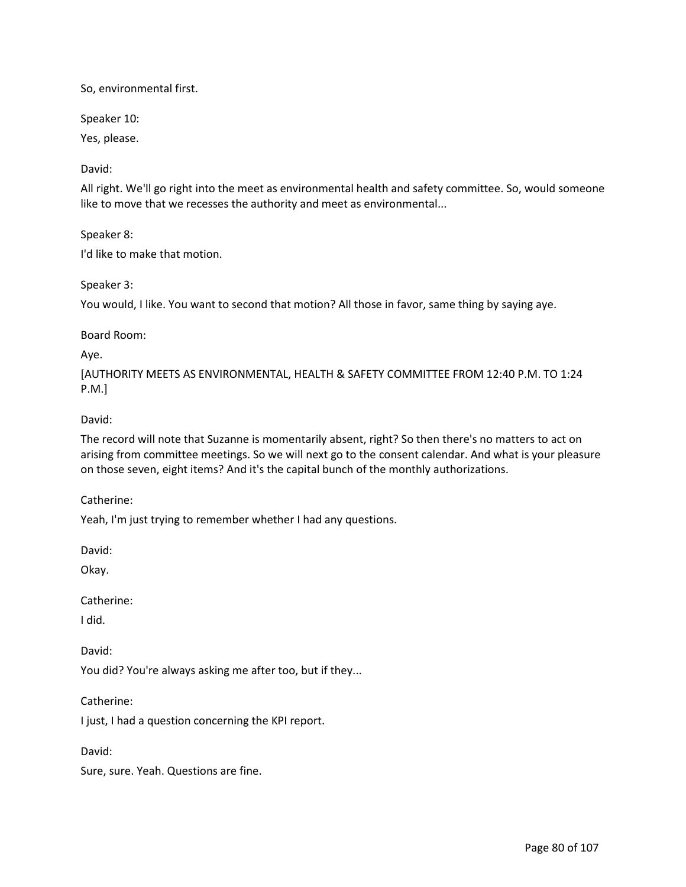So, environmental first.

Speaker 10:

Yes, please.

David:

All right. We'll go right into the meet as environmental health and safety committee. So, would someone like to move that we recesses the authority and meet as environmental...

Speaker 8:

I'd like to make that motion.

Speaker 3:

You would, I like. You want to second that motion? All those in favor, same thing by saying aye.

Board Room:

Aye.

[AUTHORITY MEETS AS ENVIRONMENTAL, HEALTH & SAFETY COMMITTEE FROM 12:40 P.M. TO 1:24 P.M.]

#### David:

The record will note that Suzanne is momentarily absent, right? So then there's no matters to act on arising from committee meetings. So we will next go to the consent calendar. And what is your pleasure on those seven, eight items? And it's the capital bunch of the monthly authorizations.

Catherine:

Yeah, I'm just trying to remember whether I had any questions.

David:

Okay.

Catherine:

I did.

David:

You did? You're always asking me after too, but if they...

Catherine:

I just, I had a question concerning the KPI report.

David:

Sure, sure. Yeah. Questions are fine.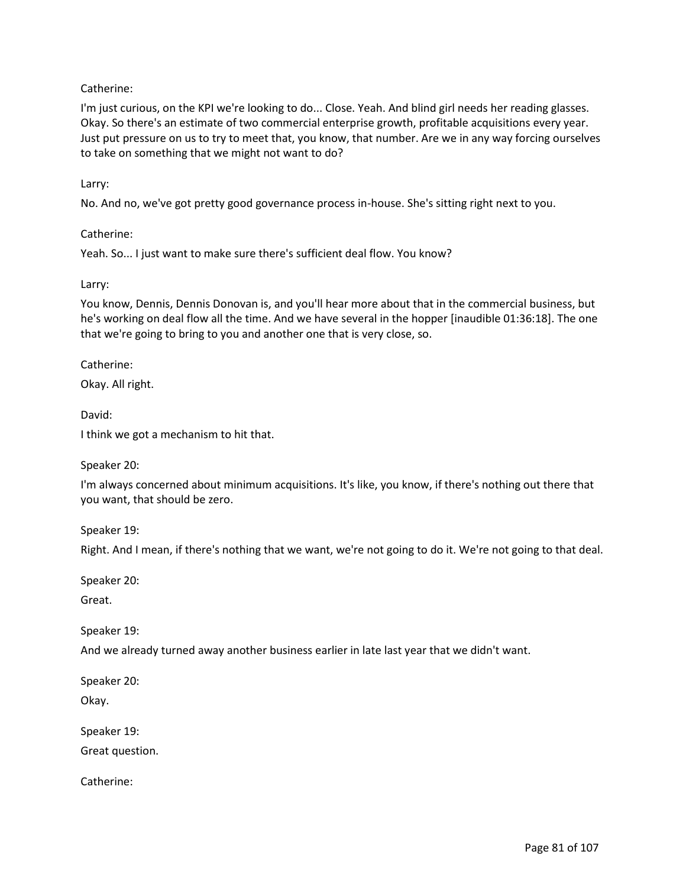# Catherine:

I'm just curious, on the KPI we're looking to do... Close. Yeah. And blind girl needs her reading glasses. Okay. So there's an estimate of two commercial enterprise growth, profitable acquisitions every year. Just put pressure on us to try to meet that, you know, that number. Are we in any way forcing ourselves to take on something that we might not want to do?

### Larry:

No. And no, we've got pretty good governance process in-house. She's sitting right next to you.

Catherine:

Yeah. So... I just want to make sure there's sufficient deal flow. You know?

#### Larry:

You know, Dennis, Dennis Donovan is, and you'll hear more about that in the commercial business, but he's working on deal flow all the time. And we have several in the hopper [inaudible 01:36:18]. The one that we're going to bring to you and another one that is very close, so.

Catherine:

Okay. All right.

David:

I think we got a mechanism to hit that.

Speaker 20:

I'm always concerned about minimum acquisitions. It's like, you know, if there's nothing out there that you want, that should be zero.

Speaker 19:

Right. And I mean, if there's nothing that we want, we're not going to do it. We're not going to that deal.

Speaker 20:

Great.

Speaker 19:

And we already turned away another business earlier in late last year that we didn't want.

Speaker 20:

Okay.

Speaker 19:

Great question.

Catherine: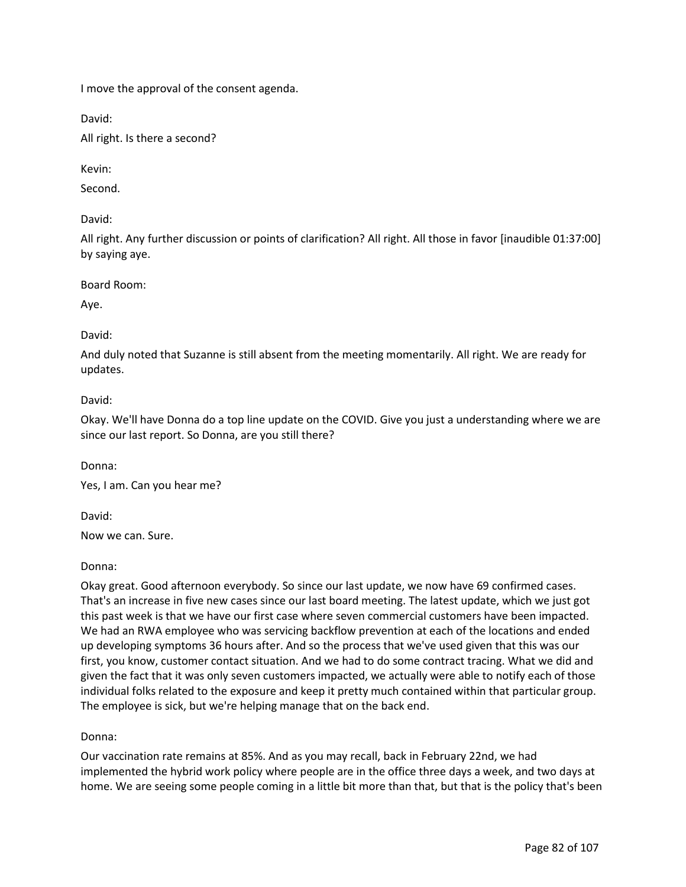I move the approval of the consent agenda.

David:

All right. Is there a second?

Kevin:

Second.

David:

All right. Any further discussion or points of clarification? All right. All those in favor [inaudible 01:37:00] by saying aye.

Board Room:

Aye.

# David:

And duly noted that Suzanne is still absent from the meeting momentarily. All right. We are ready for updates.

David:

Okay. We'll have Donna do a top line update on the COVID. Give you just a understanding where we are since our last report. So Donna, are you still there?

Donna:

Yes, I am. Can you hear me?

David:

Now we can. Sure.

## Donna:

Okay great. Good afternoon everybody. So since our last update, we now have 69 confirmed cases. That's an increase in five new cases since our last board meeting. The latest update, which we just got this past week is that we have our first case where seven commercial customers have been impacted. We had an RWA employee who was servicing backflow prevention at each of the locations and ended up developing symptoms 36 hours after. And so the process that we've used given that this was our first, you know, customer contact situation. And we had to do some contract tracing. What we did and given the fact that it was only seven customers impacted, we actually were able to notify each of those individual folks related to the exposure and keep it pretty much contained within that particular group. The employee is sick, but we're helping manage that on the back end.

# Donna:

Our vaccination rate remains at 85%. And as you may recall, back in February 22nd, we had implemented the hybrid work policy where people are in the office three days a week, and two days at home. We are seeing some people coming in a little bit more than that, but that is the policy that's been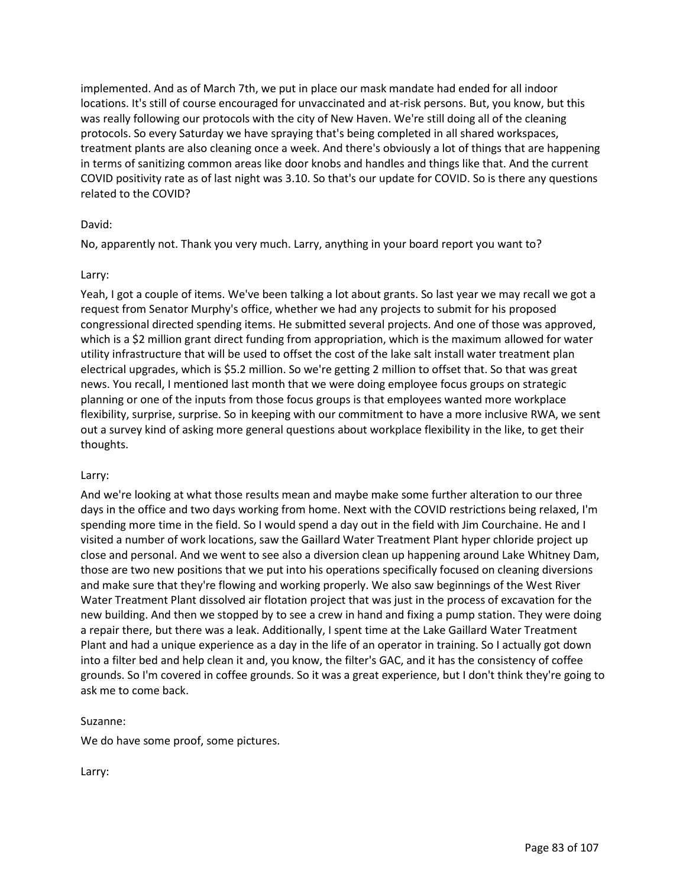implemented. And as of March 7th, we put in place our mask mandate had ended for all indoor locations. It's still of course encouraged for unvaccinated and at-risk persons. But, you know, but this was really following our protocols with the city of New Haven. We're still doing all of the cleaning protocols. So every Saturday we have spraying that's being completed in all shared workspaces, treatment plants are also cleaning once a week. And there's obviously a lot of things that are happening in terms of sanitizing common areas like door knobs and handles and things like that. And the current COVID positivity rate as of last night was 3.10. So that's our update for COVID. So is there any questions related to the COVID?

## David:

No, apparently not. Thank you very much. Larry, anything in your board report you want to?

## Larry:

Yeah, I got a couple of items. We've been talking a lot about grants. So last year we may recall we got a request from Senator Murphy's office, whether we had any projects to submit for his proposed congressional directed spending items. He submitted several projects. And one of those was approved, which is a \$2 million grant direct funding from appropriation, which is the maximum allowed for water utility infrastructure that will be used to offset the cost of the lake salt install water treatment plan electrical upgrades, which is \$5.2 million. So we're getting 2 million to offset that. So that was great news. You recall, I mentioned last month that we were doing employee focus groups on strategic planning or one of the inputs from those focus groups is that employees wanted more workplace flexibility, surprise, surprise. So in keeping with our commitment to have a more inclusive RWA, we sent out a survey kind of asking more general questions about workplace flexibility in the like, to get their thoughts.

## Larry:

And we're looking at what those results mean and maybe make some further alteration to our three days in the office and two days working from home. Next with the COVID restrictions being relaxed, I'm spending more time in the field. So I would spend a day out in the field with Jim Courchaine. He and I visited a number of work locations, saw the Gaillard Water Treatment Plant hyper chloride project up close and personal. And we went to see also a diversion clean up happening around Lake Whitney Dam, those are two new positions that we put into his operations specifically focused on cleaning diversions and make sure that they're flowing and working properly. We also saw beginnings of the West River Water Treatment Plant dissolved air flotation project that was just in the process of excavation for the new building. And then we stopped by to see a crew in hand and fixing a pump station. They were doing a repair there, but there was a leak. Additionally, I spent time at the Lake Gaillard Water Treatment Plant and had a unique experience as a day in the life of an operator in training. So I actually got down into a filter bed and help clean it and, you know, the filter's GAC, and it has the consistency of coffee grounds. So I'm covered in coffee grounds. So it was a great experience, but I don't think they're going to ask me to come back.

## Suzanne:

We do have some proof, some pictures.

Larry: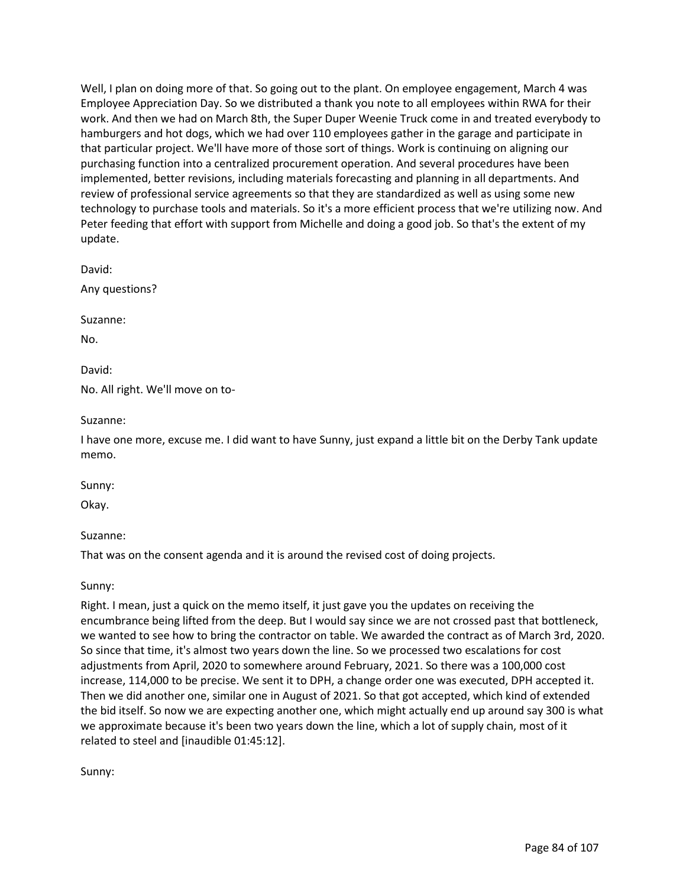Well, I plan on doing more of that. So going out to the plant. On employee engagement, March 4 was Employee Appreciation Day. So we distributed a thank you note to all employees within RWA for their work. And then we had on March 8th, the Super Duper Weenie Truck come in and treated everybody to hamburgers and hot dogs, which we had over 110 employees gather in the garage and participate in that particular project. We'll have more of those sort of things. Work is continuing on aligning our purchasing function into a centralized procurement operation. And several procedures have been implemented, better revisions, including materials forecasting and planning in all departments. And review of professional service agreements so that they are standardized as well as using some new technology to purchase tools and materials. So it's a more efficient process that we're utilizing now. And Peter feeding that effort with support from Michelle and doing a good job. So that's the extent of my update.

David:

Any questions?

Suzanne:

No.

David:

No. All right. We'll move on to-

Suzanne:

I have one more, excuse me. I did want to have Sunny, just expand a little bit on the Derby Tank update memo.

Sunny:

Okay.

Suzanne:

That was on the consent agenda and it is around the revised cost of doing projects.

Sunny:

Right. I mean, just a quick on the memo itself, it just gave you the updates on receiving the encumbrance being lifted from the deep. But I would say since we are not crossed past that bottleneck, we wanted to see how to bring the contractor on table. We awarded the contract as of March 3rd, 2020. So since that time, it's almost two years down the line. So we processed two escalations for cost adjustments from April, 2020 to somewhere around February, 2021. So there was a 100,000 cost increase, 114,000 to be precise. We sent it to DPH, a change order one was executed, DPH accepted it. Then we did another one, similar one in August of 2021. So that got accepted, which kind of extended the bid itself. So now we are expecting another one, which might actually end up around say 300 is what we approximate because it's been two years down the line, which a lot of supply chain, most of it related to steel and [inaudible 01:45:12].

Sunny: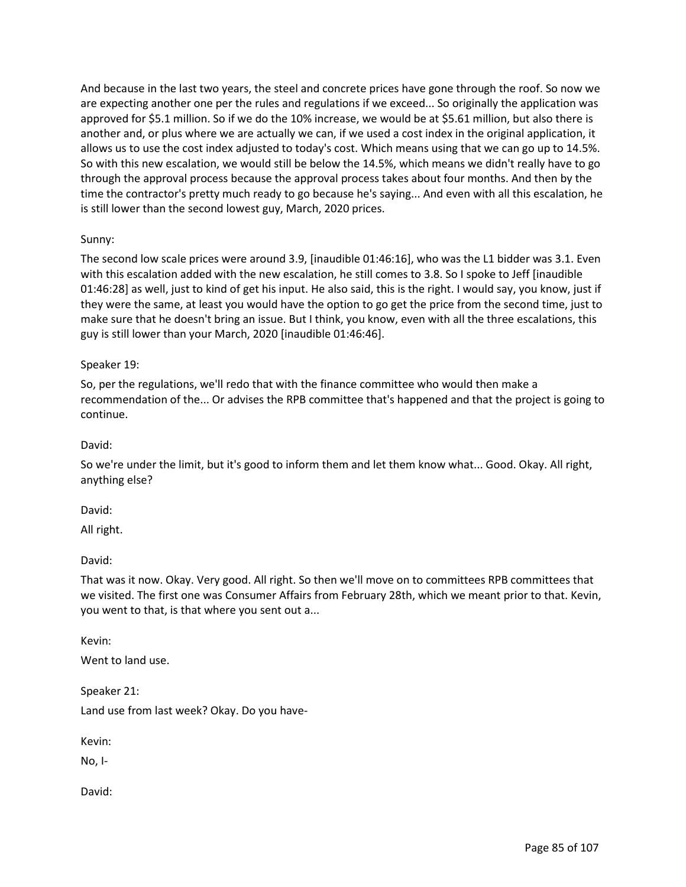And because in the last two years, the steel and concrete prices have gone through the roof. So now we are expecting another one per the rules and regulations if we exceed... So originally the application was approved for \$5.1 million. So if we do the 10% increase, we would be at \$5.61 million, but also there is another and, or plus where we are actually we can, if we used a cost index in the original application, it allows us to use the cost index adjusted to today's cost. Which means using that we can go up to 14.5%. So with this new escalation, we would still be below the 14.5%, which means we didn't really have to go through the approval process because the approval process takes about four months. And then by the time the contractor's pretty much ready to go because he's saying... And even with all this escalation, he is still lower than the second lowest guy, March, 2020 prices.

# Sunny:

The second low scale prices were around 3.9, [inaudible 01:46:16], who was the L1 bidder was 3.1. Even with this escalation added with the new escalation, he still comes to 3.8. So I spoke to Jeff [inaudible 01:46:28] as well, just to kind of get his input. He also said, this is the right. I would say, you know, just if they were the same, at least you would have the option to go get the price from the second time, just to make sure that he doesn't bring an issue. But I think, you know, even with all the three escalations, this guy is still lower than your March, 2020 [inaudible 01:46:46].

## Speaker 19:

So, per the regulations, we'll redo that with the finance committee who would then make a recommendation of the... Or advises the RPB committee that's happened and that the project is going to continue.

## David:

So we're under the limit, but it's good to inform them and let them know what... Good. Okay. All right, anything else?

David:

All right.

David:

That was it now. Okay. Very good. All right. So then we'll move on to committees RPB committees that we visited. The first one was Consumer Affairs from February 28th, which we meant prior to that. Kevin, you went to that, is that where you sent out a...

Kevin:

Went to land use.

Speaker 21: Land use from last week? Okay. Do you have-

Kevin:

No, I-

David: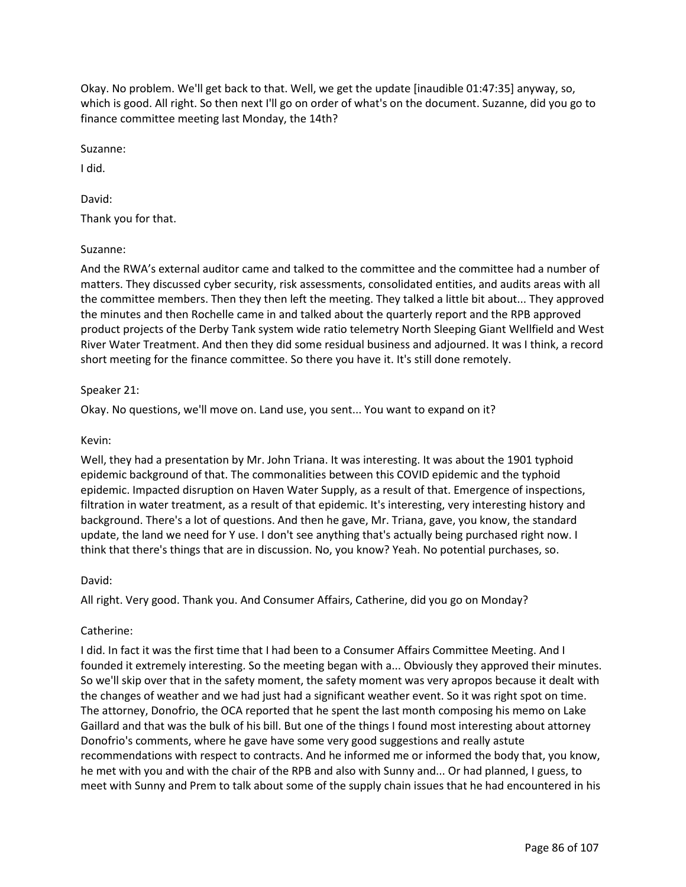Okay. No problem. We'll get back to that. Well, we get the update [inaudible 01:47:35] anyway, so, which is good. All right. So then next I'll go on order of what's on the document. Suzanne, did you go to finance committee meeting last Monday, the 14th?

Suzanne:

I did.

David: Thank you for that.

## Suzanne:

And the RWA's external auditor came and talked to the committee and the committee had a number of matters. They discussed cyber security, risk assessments, consolidated entities, and audits areas with all the committee members. Then they then left the meeting. They talked a little bit about... They approved the minutes and then Rochelle came in and talked about the quarterly report and the RPB approved product projects of the Derby Tank system wide ratio telemetry North Sleeping Giant Wellfield and West River Water Treatment. And then they did some residual business and adjourned. It was I think, a record short meeting for the finance committee. So there you have it. It's still done remotely.

# Speaker 21:

Okay. No questions, we'll move on. Land use, you sent... You want to expand on it?

## Kevin:

Well, they had a presentation by Mr. John Triana. It was interesting. It was about the 1901 typhoid epidemic background of that. The commonalities between this COVID epidemic and the typhoid epidemic. Impacted disruption on Haven Water Supply, as a result of that. Emergence of inspections, filtration in water treatment, as a result of that epidemic. It's interesting, very interesting history and background. There's a lot of questions. And then he gave, Mr. Triana, gave, you know, the standard update, the land we need for Y use. I don't see anything that's actually being purchased right now. I think that there's things that are in discussion. No, you know? Yeah. No potential purchases, so.

## David:

All right. Very good. Thank you. And Consumer Affairs, Catherine, did you go on Monday?

## Catherine:

I did. In fact it was the first time that I had been to a Consumer Affairs Committee Meeting. And I founded it extremely interesting. So the meeting began with a... Obviously they approved their minutes. So we'll skip over that in the safety moment, the safety moment was very apropos because it dealt with the changes of weather and we had just had a significant weather event. So it was right spot on time. The attorney, Donofrio, the OCA reported that he spent the last month composing his memo on Lake Gaillard and that was the bulk of his bill. But one of the things I found most interesting about attorney Donofrio's comments, where he gave have some very good suggestions and really astute recommendations with respect to contracts. And he informed me or informed the body that, you know, he met with you and with the chair of the RPB and also with Sunny and... Or had planned, I guess, to meet with Sunny and Prem to talk about some of the supply chain issues that he had encountered in his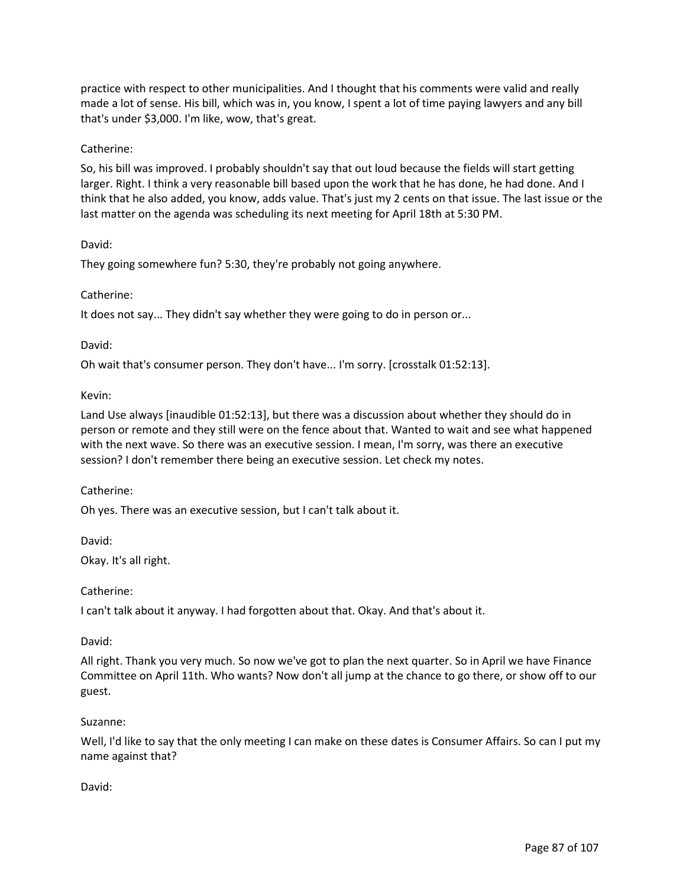practice with respect to other municipalities. And I thought that his comments were valid and really made a lot of sense. His bill, which was in, you know, I spent a lot of time paying lawyers and any bill that's under \$3,000. I'm like, wow, that's great.

## Catherine:

So, his bill was improved. I probably shouldn't say that out loud because the fields will start getting larger. Right. I think a very reasonable bill based upon the work that he has done, he had done. And I think that he also added, you know, adds value. That's just my 2 cents on that issue. The last issue or the last matter on the agenda was scheduling its next meeting for April 18th at 5:30 PM.

## David:

They going somewhere fun? 5:30, they're probably not going anywhere.

# Catherine:

It does not say... They didn't say whether they were going to do in person or...

## David:

Oh wait that's consumer person. They don't have... I'm sorry. [crosstalk 01:52:13].

# Kevin:

Land Use always [inaudible 01:52:13], but there was a discussion about whether they should do in person or remote and they still were on the fence about that. Wanted to wait and see what happened with the next wave. So there was an executive session. I mean, I'm sorry, was there an executive session? I don't remember there being an executive session. Let check my notes.

## Catherine:

Oh yes. There was an executive session, but I can't talk about it.

David:

Okay. It's all right.

Catherine:

I can't talk about it anyway. I had forgotten about that. Okay. And that's about it.

## David:

All right. Thank you very much. So now we've got to plan the next quarter. So in April we have Finance Committee on April 11th. Who wants? Now don't all jump at the chance to go there, or show off to our guest.

## Suzanne:

Well, I'd like to say that the only meeting I can make on these dates is Consumer Affairs. So can I put my name against that?

## David: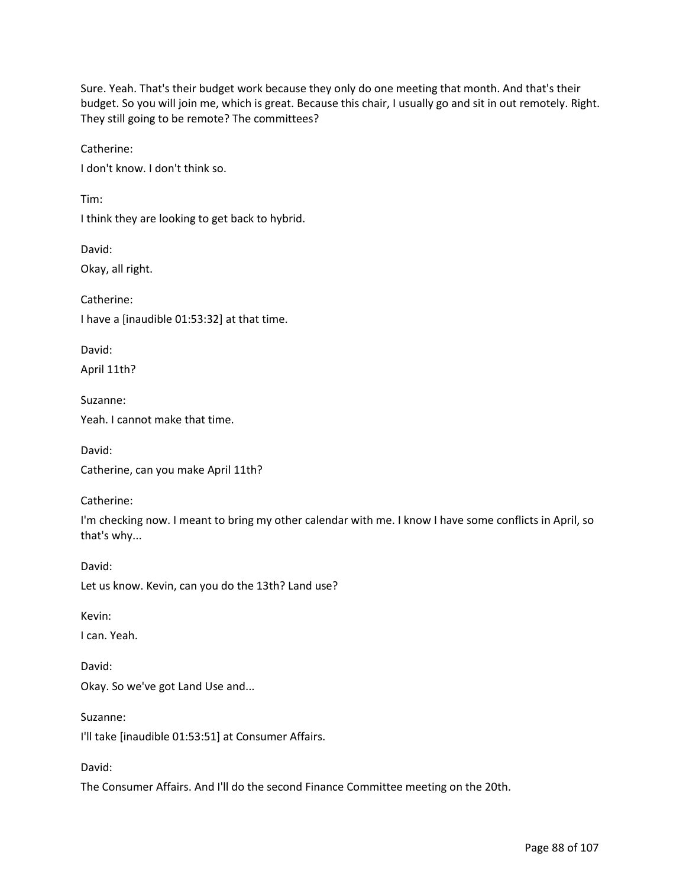Sure. Yeah. That's their budget work because they only do one meeting that month. And that's their budget. So you will join me, which is great. Because this chair, I usually go and sit in out remotely. Right. They still going to be remote? The committees?

Catherine:

I don't know. I don't think so.

Tim:

I think they are looking to get back to hybrid.

David: Okay, all right.

Catherine: I have a [inaudible 01:53:32] at that time.

David:

April 11th?

Suzanne: Yeah. I cannot make that time.

David: Catherine, can you make April 11th?

Catherine:

I'm checking now. I meant to bring my other calendar with me. I know I have some conflicts in April, so that's why...

David: Let us know. Kevin, can you do the 13th? Land use?

Kevin:

David:

I can. Yeah.

Okay. So we've got Land Use and...

Suzanne:

I'll take [inaudible 01:53:51] at Consumer Affairs.

David:

The Consumer Affairs. And I'll do the second Finance Committee meeting on the 20th.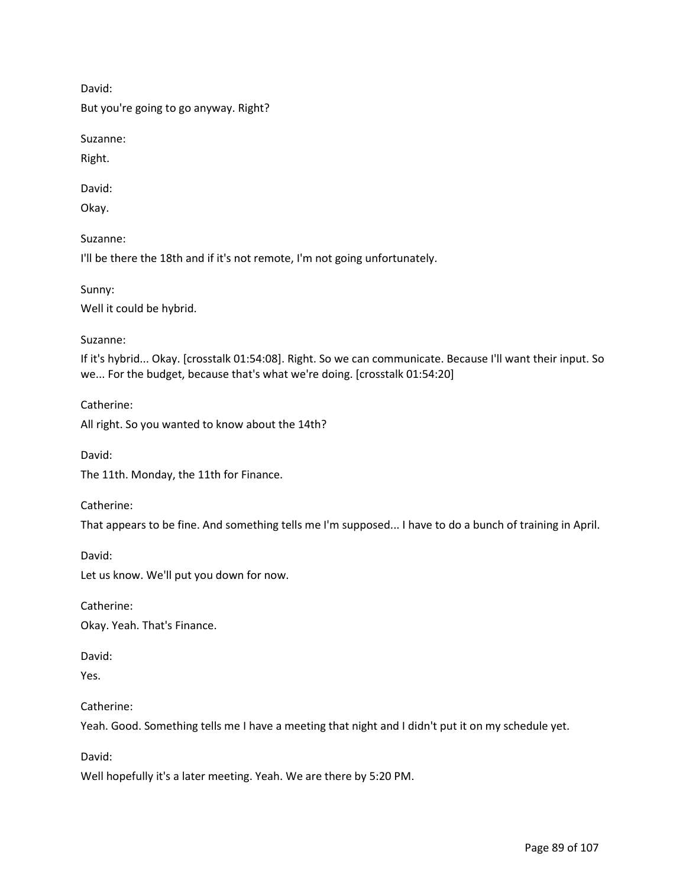David:

But you're going to go anyway. Right?

Suzanne:

Right.

David:

Okay.

Suzanne:

I'll be there the 18th and if it's not remote, I'm not going unfortunately.

Sunny: Well it could be hybrid.

Suzanne:

If it's hybrid... Okay. [crosstalk 01:54:08]. Right. So we can communicate. Because I'll want their input. So we... For the budget, because that's what we're doing. [crosstalk 01:54:20]

Catherine:

All right. So you wanted to know about the 14th?

David:

The 11th. Monday, the 11th for Finance.

Catherine:

That appears to be fine. And something tells me I'm supposed... I have to do a bunch of training in April.

David:

Let us know. We'll put you down for now.

Catherine:

Okay. Yeah. That's Finance.

David:

Yes.

Catherine:

Yeah. Good. Something tells me I have a meeting that night and I didn't put it on my schedule yet.

David:

Well hopefully it's a later meeting. Yeah. We are there by 5:20 PM.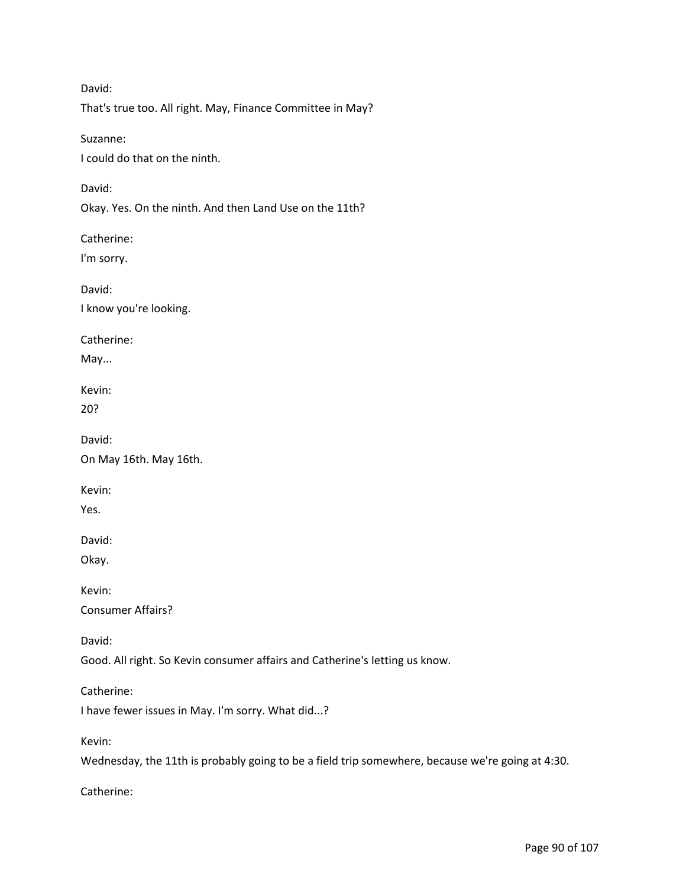David: That's true too. All right. May, Finance Committee in May?

Suzanne: I could do that on the ninth.

David:

Okay. Yes. On the ninth. And then Land Use on the 11th?

Catherine:

I'm sorry.

David: I know you're looking.

Catherine:

May...

Kevin:

20?

David:

On May 16th. May 16th.

Kevin:

Yes.

David:

Okay.

Kevin:

Consumer Affairs?

David:

Good. All right. So Kevin consumer affairs and Catherine's letting us know.

Catherine:

I have fewer issues in May. I'm sorry. What did...?

Kevin:

Wednesday, the 11th is probably going to be a field trip somewhere, because we're going at 4:30.

Catherine: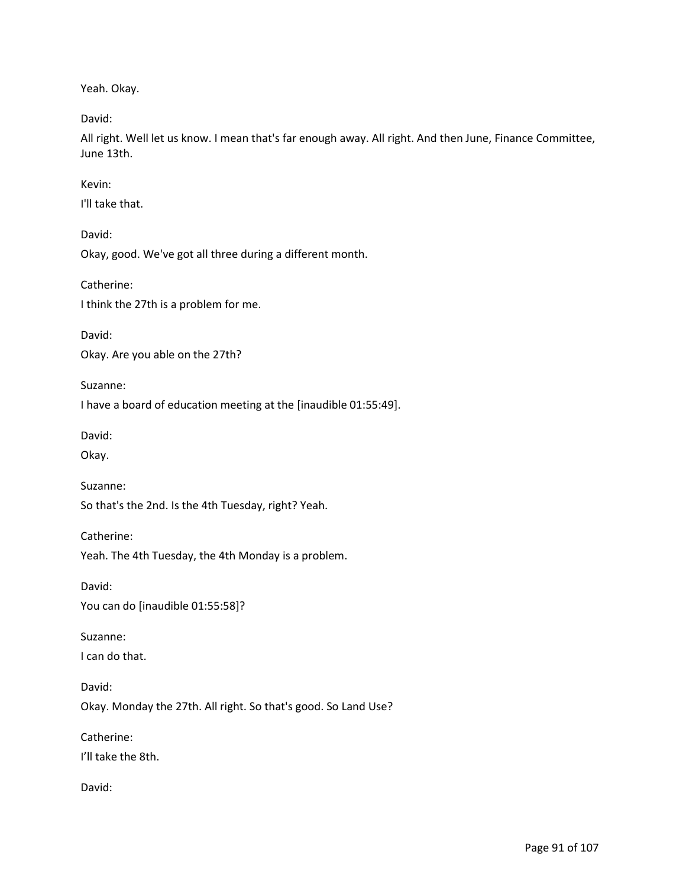Yeah. Okay.

David:

All right. Well let us know. I mean that's far enough away. All right. And then June, Finance Committee, June 13th.

Kevin:

I'll take that.

David:

Okay, good. We've got all three during a different month.

Catherine:

I think the 27th is a problem for me.

David:

Okay. Are you able on the 27th?

Suzanne:

I have a board of education meeting at the [inaudible 01:55:49].

David:

Okay.

Suzanne:

So that's the 2nd. Is the 4th Tuesday, right? Yeah.

Catherine:

Yeah. The 4th Tuesday, the 4th Monday is a problem.

David:

You can do [inaudible 01:55:58]?

Suzanne:

I can do that.

David: Okay. Monday the 27th. All right. So that's good. So Land Use?

Catherine:

I'll take the 8th.

David: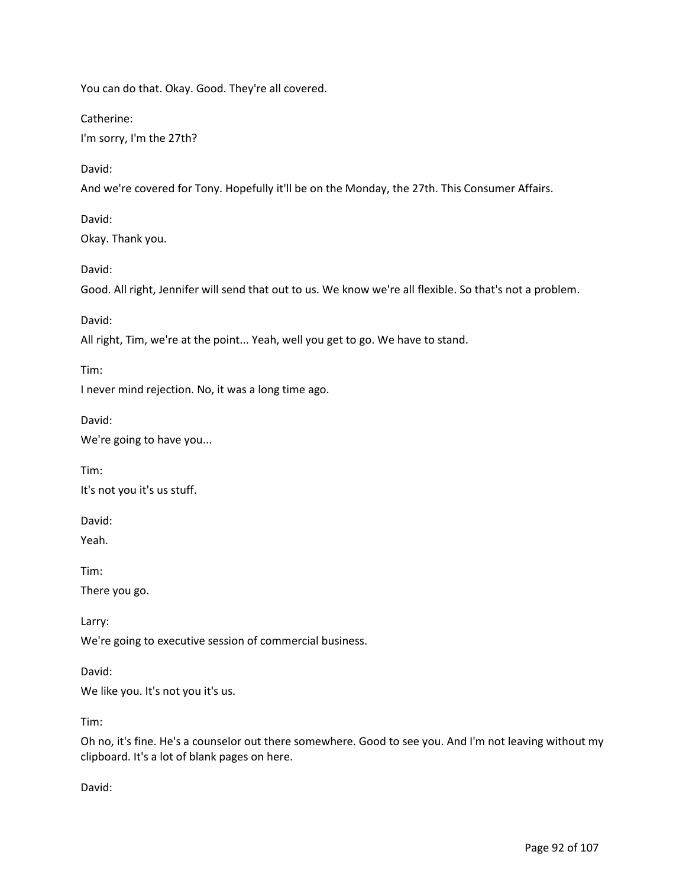You can do that. Okay. Good. They're all covered.

Catherine:

I'm sorry, I'm the 27th?

David:

And we're covered for Tony. Hopefully it'll be on the Monday, the 27th. This Consumer Affairs.

David:

Okay. Thank you.

David:

Good. All right, Jennifer will send that out to us. We know we're all flexible. So that's not a problem.

David:

All right, Tim, we're at the point... Yeah, well you get to go. We have to stand.

Tim:

I never mind rejection. No, it was a long time ago.

David:

We're going to have you...

Tim:

It's not you it's us stuff.

David:

Yeah.

Tim:

There you go.

Larry:

We're going to executive session of commercial business.

David:

We like you. It's not you it's us.

Tim:

Oh no, it's fine. He's a counselor out there somewhere. Good to see you. And I'm not leaving without my clipboard. It's a lot of blank pages on here.

David: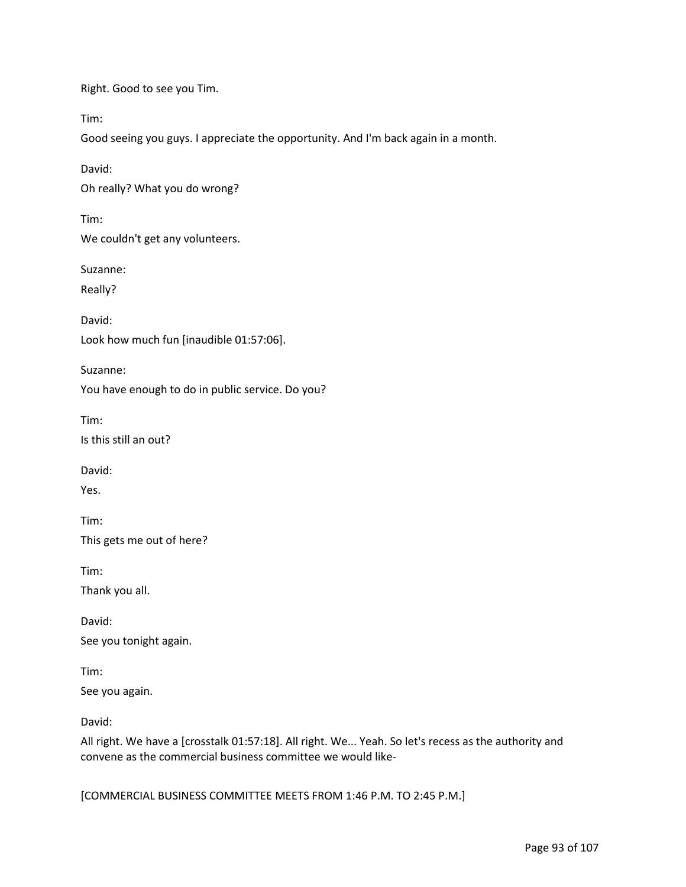Right. Good to see you Tim.

Tim:

Good seeing you guys. I appreciate the opportunity. And I'm back again in a month.

David: Oh really? What you do wrong?

Tim: We couldn't get any volunteers.

Suzanne:

Really?

David: Look how much fun [inaudible 01:57:06].

Suzanne:

You have enough to do in public service. Do you?

Tim:

Is this still an out?

David:

Yes.

Tim: This gets me out of here?

Tim:

Thank you all.

David: See you tonight again.

Tim: See you again.

David:

All right. We have a [crosstalk 01:57:18]. All right. We... Yeah. So let's recess as the authority and convene as the commercial business committee we would like-

[COMMERCIAL BUSINESS COMMITTEE MEETS FROM 1:46 P.M. TO 2:45 P.M.]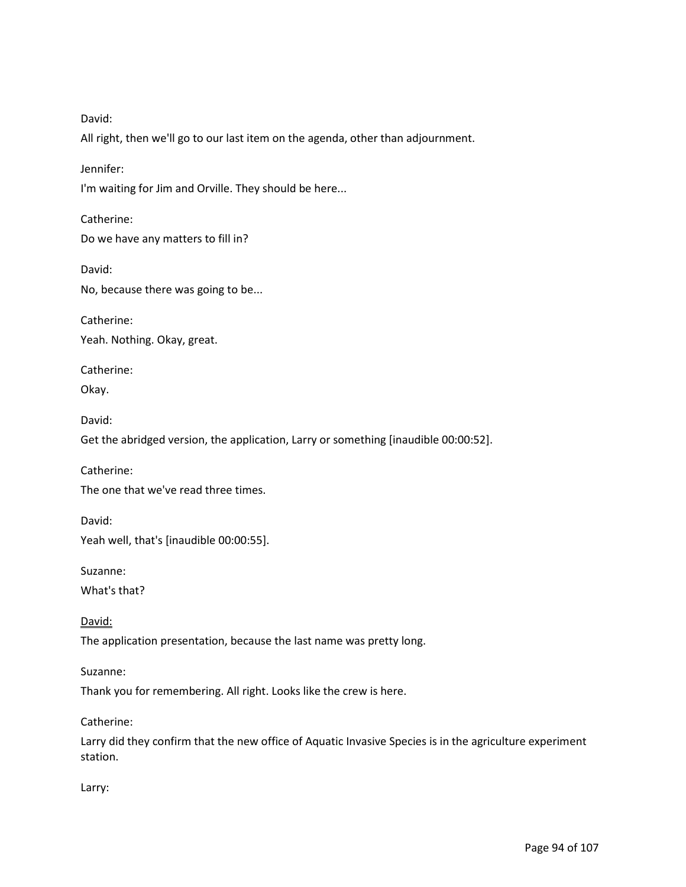David:

All right, then we'll go to our last item on the agenda, other than adjournment.

Jennifer:

David:

I'm waiting for Jim and Orville. They should be here...

Catherine: Do we have any matters to fill in?

No, because there was going to be...

Catherine: Yeah. Nothing. Okay, great.

Catherine: Okay.

David:

Get the abridged version, the application, Larry or something [inaudible 00:00:52].

Catherine:

The one that we've read three times.

David: Yeah well, that's [inaudible 00:00:55].

Suzanne:

What's that?

David: The application presentation, because the last name was pretty long.

Suzanne:

Thank you for remembering. All right. Looks like the crew is here.

Catherine:

Larry did they confirm that the new office of Aquatic Invasive Species is in the agriculture experiment station.

Larry: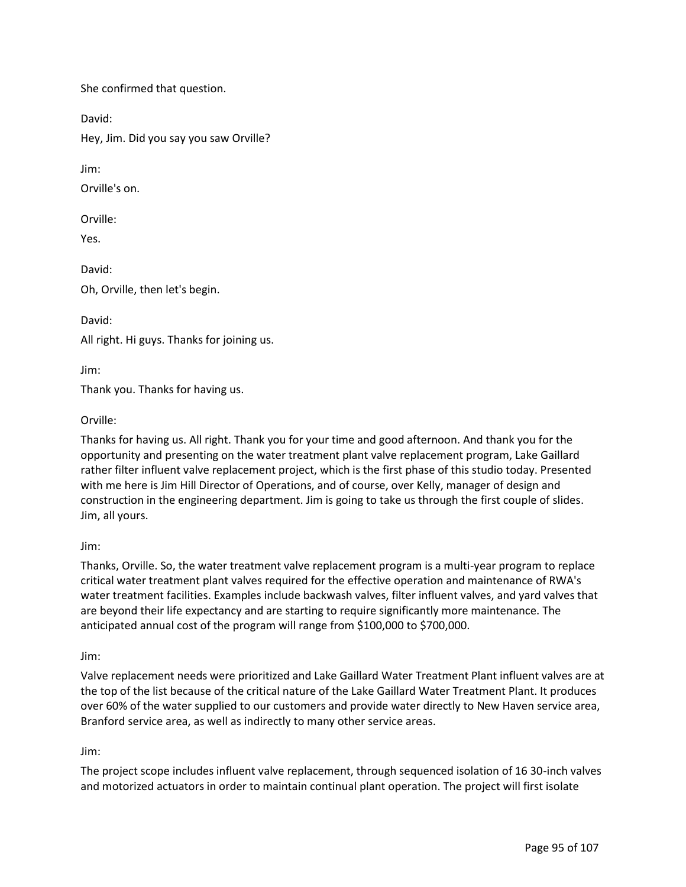She confirmed that question.

David:

Hey, Jim. Did you say you saw Orville?

Jim:

Orville's on.

Orville:

Yes.

David: Oh, Orville, then let's begin.

David:

All right. Hi guys. Thanks for joining us.

Jim:

Thank you. Thanks for having us.

Orville:

Thanks for having us. All right. Thank you for your time and good afternoon. And thank you for the opportunity and presenting on the water treatment plant valve replacement program, Lake Gaillard rather filter influent valve replacement project, which is the first phase of this studio today. Presented with me here is Jim Hill Director of Operations, and of course, over Kelly, manager of design and construction in the engineering department. Jim is going to take us through the first couple of slides. Jim, all yours.

Jim:

Thanks, Orville. So, the water treatment valve replacement program is a multi-year program to replace critical water treatment plant valves required for the effective operation and maintenance of RWA's water treatment facilities. Examples include backwash valves, filter influent valves, and yard valves that are beyond their life expectancy and are starting to require significantly more maintenance. The anticipated annual cost of the program will range from \$100,000 to \$700,000.

Jim:

Valve replacement needs were prioritized and Lake Gaillard Water Treatment Plant influent valves are at the top of the list because of the critical nature of the Lake Gaillard Water Treatment Plant. It produces over 60% of the water supplied to our customers and provide water directly to New Haven service area, Branford service area, as well as indirectly to many other service areas.

Jim:

The project scope includes influent valve replacement, through sequenced isolation of 16 30-inch valves and motorized actuators in order to maintain continual plant operation. The project will first isolate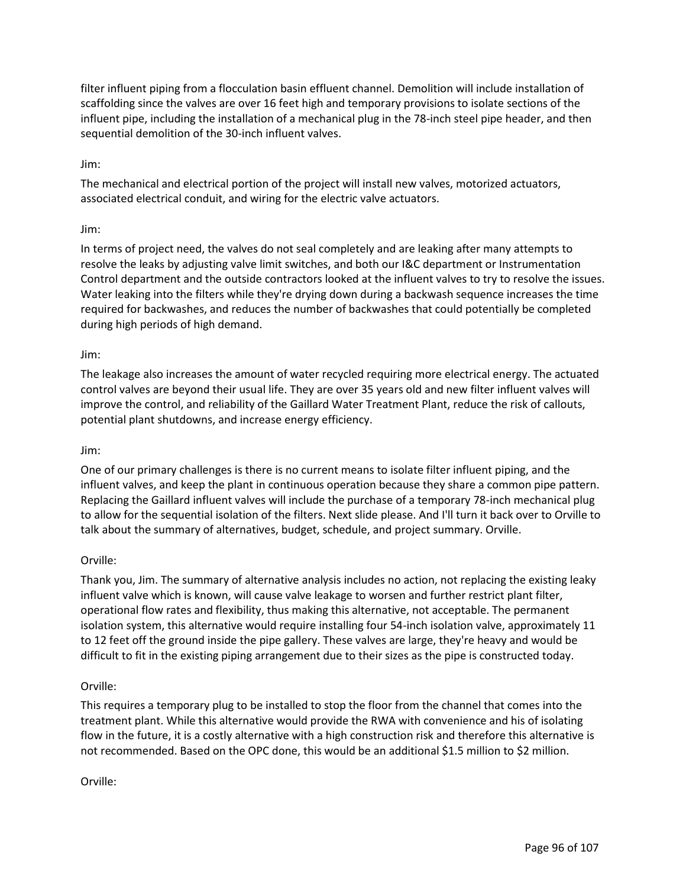filter influent piping from a flocculation basin effluent channel. Demolition will include installation of scaffolding since the valves are over 16 feet high and temporary provisions to isolate sections of the influent pipe, including the installation of a mechanical plug in the 78-inch steel pipe header, and then sequential demolition of the 30-inch influent valves.

## Jim:

The mechanical and electrical portion of the project will install new valves, motorized actuators, associated electrical conduit, and wiring for the electric valve actuators.

## Jim:

In terms of project need, the valves do not seal completely and are leaking after many attempts to resolve the leaks by adjusting valve limit switches, and both our I&C department or Instrumentation Control department and the outside contractors looked at the influent valves to try to resolve the issues. Water leaking into the filters while they're drying down during a backwash sequence increases the time required for backwashes, and reduces the number of backwashes that could potentially be completed during high periods of high demand.

#### Jim:

The leakage also increases the amount of water recycled requiring more electrical energy. The actuated control valves are beyond their usual life. They are over 35 years old and new filter influent valves will improve the control, and reliability of the Gaillard Water Treatment Plant, reduce the risk of callouts, potential plant shutdowns, and increase energy efficiency.

#### Jim:

One of our primary challenges is there is no current means to isolate filter influent piping, and the influent valves, and keep the plant in continuous operation because they share a common pipe pattern. Replacing the Gaillard influent valves will include the purchase of a temporary 78-inch mechanical plug to allow for the sequential isolation of the filters. Next slide please. And I'll turn it back over to Orville to talk about the summary of alternatives, budget, schedule, and project summary. Orville.

#### Orville:

Thank you, Jim. The summary of alternative analysis includes no action, not replacing the existing leaky influent valve which is known, will cause valve leakage to worsen and further restrict plant filter, operational flow rates and flexibility, thus making this alternative, not acceptable. The permanent isolation system, this alternative would require installing four 54-inch isolation valve, approximately 11 to 12 feet off the ground inside the pipe gallery. These valves are large, they're heavy and would be difficult to fit in the existing piping arrangement due to their sizes as the pipe is constructed today.

#### Orville:

This requires a temporary plug to be installed to stop the floor from the channel that comes into the treatment plant. While this alternative would provide the RWA with convenience and his of isolating flow in the future, it is a costly alternative with a high construction risk and therefore this alternative is not recommended. Based on the OPC done, this would be an additional \$1.5 million to \$2 million.

#### Orville: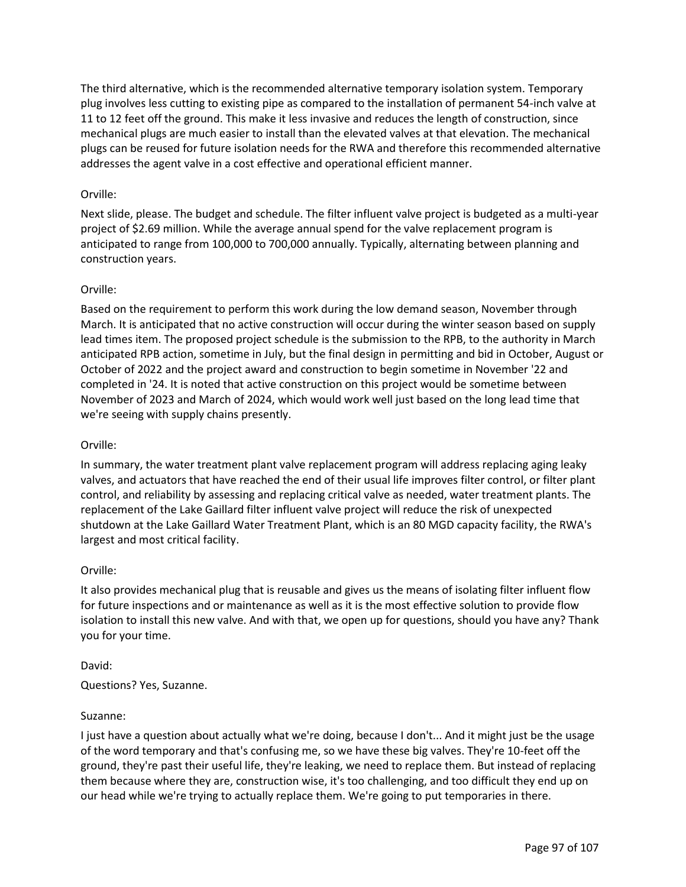The third alternative, which is the recommended alternative temporary isolation system. Temporary plug involves less cutting to existing pipe as compared to the installation of permanent 54-inch valve at 11 to 12 feet off the ground. This make it less invasive and reduces the length of construction, since mechanical plugs are much easier to install than the elevated valves at that elevation. The mechanical plugs can be reused for future isolation needs for the RWA and therefore this recommended alternative addresses the agent valve in a cost effective and operational efficient manner.

## Orville:

Next slide, please. The budget and schedule. The filter influent valve project is budgeted as a multi-year project of \$2.69 million. While the average annual spend for the valve replacement program is anticipated to range from 100,000 to 700,000 annually. Typically, alternating between planning and construction years.

#### Orville:

Based on the requirement to perform this work during the low demand season, November through March. It is anticipated that no active construction will occur during the winter season based on supply lead times item. The proposed project schedule is the submission to the RPB, to the authority in March anticipated RPB action, sometime in July, but the final design in permitting and bid in October, August or October of 2022 and the project award and construction to begin sometime in November '22 and completed in '24. It is noted that active construction on this project would be sometime between November of 2023 and March of 2024, which would work well just based on the long lead time that we're seeing with supply chains presently.

#### Orville:

In summary, the water treatment plant valve replacement program will address replacing aging leaky valves, and actuators that have reached the end of their usual life improves filter control, or filter plant control, and reliability by assessing and replacing critical valve as needed, water treatment plants. The replacement of the Lake Gaillard filter influent valve project will reduce the risk of unexpected shutdown at the Lake Gaillard Water Treatment Plant, which is an 80 MGD capacity facility, the RWA's largest and most critical facility.

#### Orville:

It also provides mechanical plug that is reusable and gives us the means of isolating filter influent flow for future inspections and or maintenance as well as it is the most effective solution to provide flow isolation to install this new valve. And with that, we open up for questions, should you have any? Thank you for your time.

#### David:

#### Questions? Yes, Suzanne.

#### Suzanne:

I just have a question about actually what we're doing, because I don't... And it might just be the usage of the word temporary and that's confusing me, so we have these big valves. They're 10-feet off the ground, they're past their useful life, they're leaking, we need to replace them. But instead of replacing them because where they are, construction wise, it's too challenging, and too difficult they end up on our head while we're trying to actually replace them. We're going to put temporaries in there.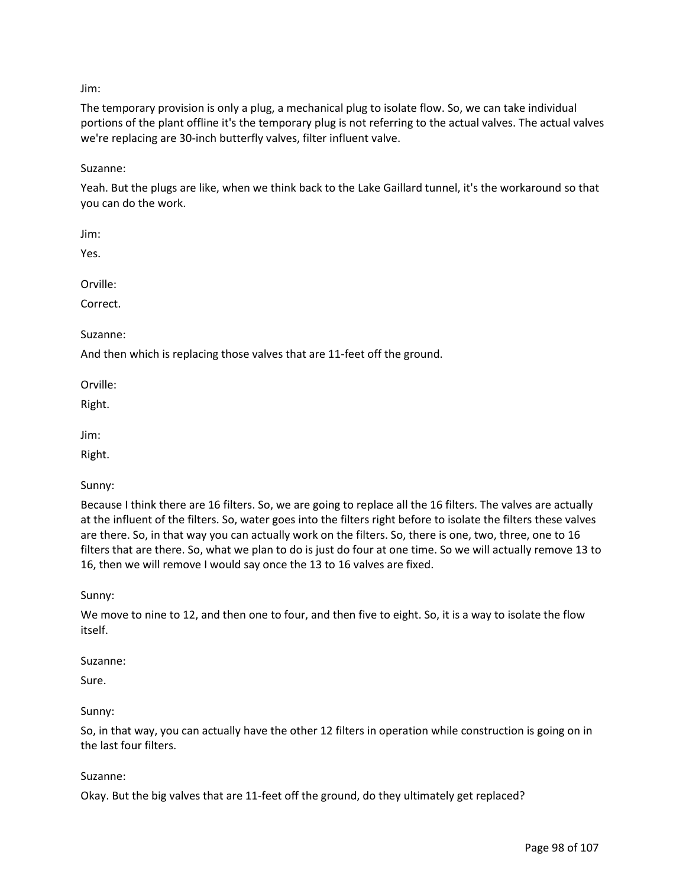## Jim:

The temporary provision is only a plug, a mechanical plug to isolate flow. So, we can take individual portions of the plant offline it's the temporary plug is not referring to the actual valves. The actual valves we're replacing are 30-inch butterfly valves, filter influent valve.

Suzanne:

Yeah. But the plugs are like, when we think back to the Lake Gaillard tunnel, it's the workaround so that you can do the work.

Jim:

Yes.

Orville:

Correct.

Suzanne:

And then which is replacing those valves that are 11-feet off the ground.

Orville:

Right.

Jim:

Right.

Sunny:

Because I think there are 16 filters. So, we are going to replace all the 16 filters. The valves are actually at the influent of the filters. So, water goes into the filters right before to isolate the filters these valves are there. So, in that way you can actually work on the filters. So, there is one, two, three, one to 16 filters that are there. So, what we plan to do is just do four at one time. So we will actually remove 13 to 16, then we will remove I would say once the 13 to 16 valves are fixed.

Sunny:

We move to nine to 12, and then one to four, and then five to eight. So, it is a way to isolate the flow itself.

#### Suzanne:

Sure.

#### Sunny:

So, in that way, you can actually have the other 12 filters in operation while construction is going on in the last four filters.

#### Suzanne:

Okay. But the big valves that are 11-feet off the ground, do they ultimately get replaced?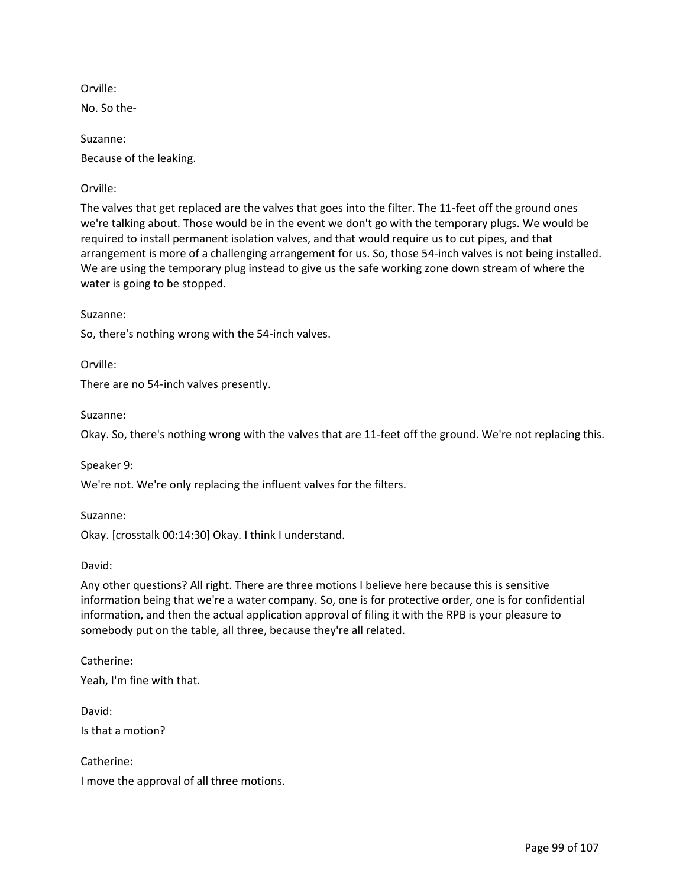Orville:

No. So the-

Suzanne: Because of the leaking.

# Orville:

The valves that get replaced are the valves that goes into the filter. The 11-feet off the ground ones we're talking about. Those would be in the event we don't go with the temporary plugs. We would be required to install permanent isolation valves, and that would require us to cut pipes, and that arrangement is more of a challenging arrangement for us. So, those 54-inch valves is not being installed. We are using the temporary plug instead to give us the safe working zone down stream of where the water is going to be stopped.

#### Suzanne:

So, there's nothing wrong with the 54-inch valves.

Orville:

There are no 54-inch valves presently.

Suzanne:

Okay. So, there's nothing wrong with the valves that are 11-feet off the ground. We're not replacing this.

Speaker 9:

We're not. We're only replacing the influent valves for the filters.

Suzanne: Okay. [crosstalk 00:14:30] Okay. I think I understand.

David:

Any other questions? All right. There are three motions I believe here because this is sensitive information being that we're a water company. So, one is for protective order, one is for confidential information, and then the actual application approval of filing it with the RPB is your pleasure to somebody put on the table, all three, because they're all related.

Catherine: Yeah, I'm fine with that.

David:

Is that a motion?

Catherine: I move the approval of all three motions.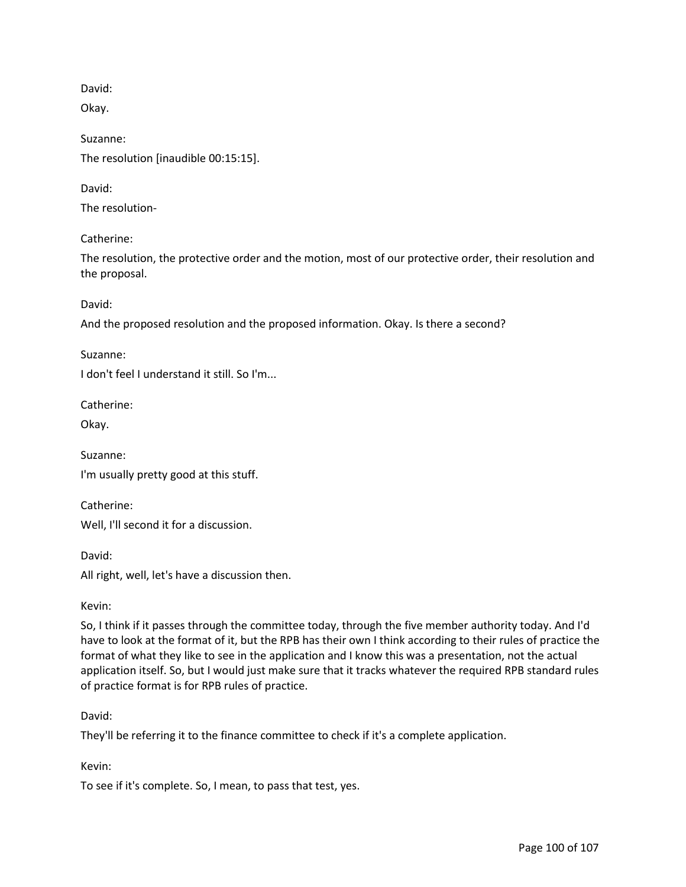David:

Okay.

Suzanne: The resolution [inaudible 00:15:15].

David:

The resolution-

Catherine:

The resolution, the protective order and the motion, most of our protective order, their resolution and the proposal.

David:

And the proposed resolution and the proposed information. Okay. Is there a second?

Suzanne:

I don't feel I understand it still. So I'm...

Catherine:

Okay.

Suzanne: I'm usually pretty good at this stuff.

Catherine:

Well, I'll second it for a discussion.

David:

All right, well, let's have a discussion then.

#### Kevin:

So, I think if it passes through the committee today, through the five member authority today. And I'd have to look at the format of it, but the RPB has their own I think according to their rules of practice the format of what they like to see in the application and I know this was a presentation, not the actual application itself. So, but I would just make sure that it tracks whatever the required RPB standard rules of practice format is for RPB rules of practice.

## David:

They'll be referring it to the finance committee to check if it's a complete application.

## Kevin:

To see if it's complete. So, I mean, to pass that test, yes.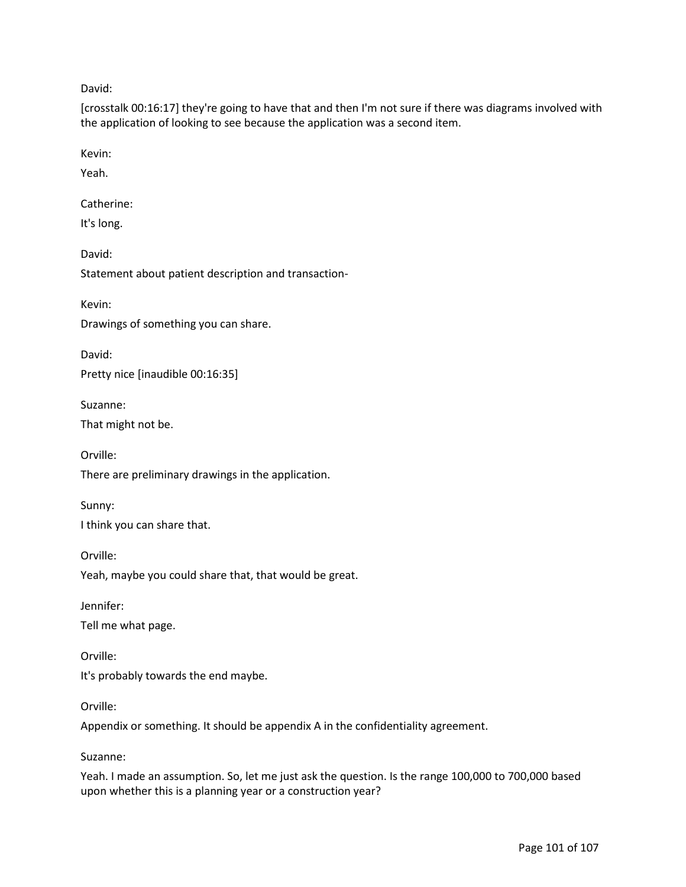David:

[crosstalk 00:16:17] they're going to have that and then I'm not sure if there was diagrams involved with the application of looking to see because the application was a second item.

Kevin:

Yeah.

Catherine:

It's long.

David:

Statement about patient description and transaction-

Kevin:

Drawings of something you can share.

David: Pretty nice [inaudible 00:16:35]

Suzanne: That might not be.

Orville:

There are preliminary drawings in the application.

Sunny:

I think you can share that.

Orville: Yeah, maybe you could share that, that would be great.

Jennifer:

Tell me what page.

Orville: It's probably towards the end maybe.

Orville:

Appendix or something. It should be appendix A in the confidentiality agreement.

Suzanne:

Yeah. I made an assumption. So, let me just ask the question. Is the range 100,000 to 700,000 based upon whether this is a planning year or a construction year?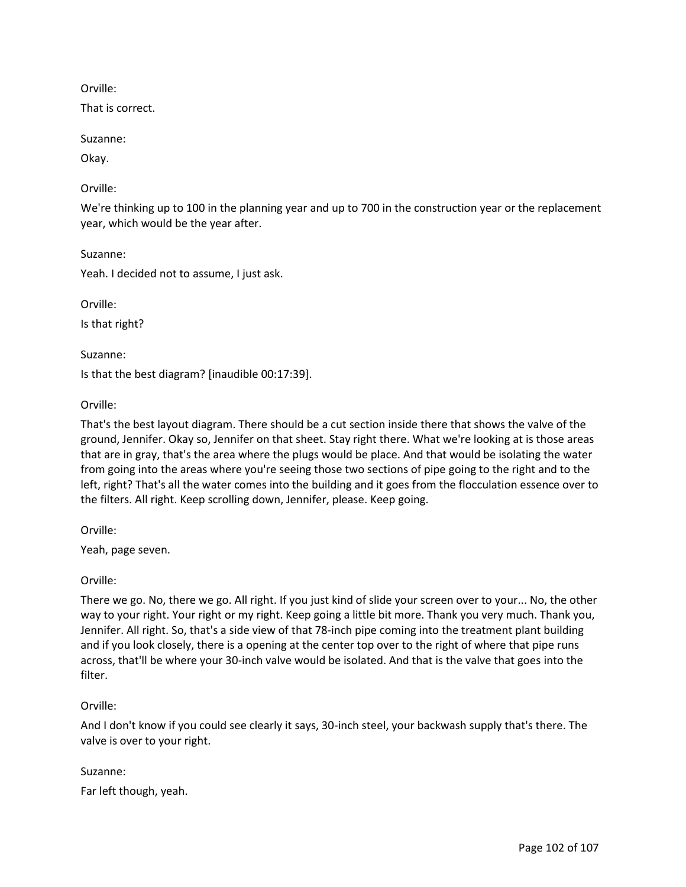Orville:

That is correct.

Suzanne:

Okay.

### Orville:

We're thinking up to 100 in the planning year and up to 700 in the construction year or the replacement year, which would be the year after.

Suzanne:

Yeah. I decided not to assume, I just ask.

Orville: Is that right?

Suzanne:

Is that the best diagram? [inaudible 00:17:39].

#### Orville:

That's the best layout diagram. There should be a cut section inside there that shows the valve of the ground, Jennifer. Okay so, Jennifer on that sheet. Stay right there. What we're looking at is those areas that are in gray, that's the area where the plugs would be place. And that would be isolating the water from going into the areas where you're seeing those two sections of pipe going to the right and to the left, right? That's all the water comes into the building and it goes from the flocculation essence over to the filters. All right. Keep scrolling down, Jennifer, please. Keep going.

Orville:

Yeah, page seven.

## Orville:

There we go. No, there we go. All right. If you just kind of slide your screen over to your... No, the other way to your right. Your right or my right. Keep going a little bit more. Thank you very much. Thank you, Jennifer. All right. So, that's a side view of that 78-inch pipe coming into the treatment plant building and if you look closely, there is a opening at the center top over to the right of where that pipe runs across, that'll be where your 30-inch valve would be isolated. And that is the valve that goes into the filter.

## Orville:

And I don't know if you could see clearly it says, 30-inch steel, your backwash supply that's there. The valve is over to your right.

#### Suzanne:

Far left though, yeah.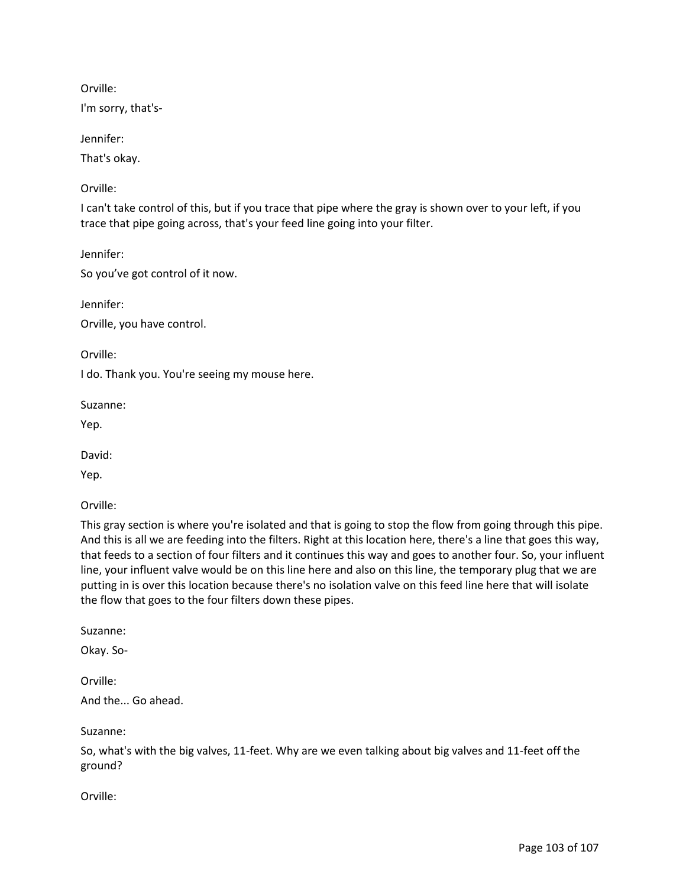Orville:

I'm sorry, that's-

Jennifer:

That's okay.

Orville:

I can't take control of this, but if you trace that pipe where the gray is shown over to your left, if you trace that pipe going across, that's your feed line going into your filter.

Jennifer:

So you've got control of it now.

Jennifer: Orville, you have control.

Orville:

I do. Thank you. You're seeing my mouse here.

Suzanne:

Yep.

David:

Yep.

Orville:

This gray section is where you're isolated and that is going to stop the flow from going through this pipe. And this is all we are feeding into the filters. Right at this location here, there's a line that goes this way, that feeds to a section of four filters and it continues this way and goes to another four. So, your influent line, your influent valve would be on this line here and also on this line, the temporary plug that we are putting in is over this location because there's no isolation valve on this feed line here that will isolate the flow that goes to the four filters down these pipes.

Suzanne:

Okay. So-

Orville:

And the... Go ahead.

Suzanne:

So, what's with the big valves, 11-feet. Why are we even talking about big valves and 11-feet off the ground?

Orville: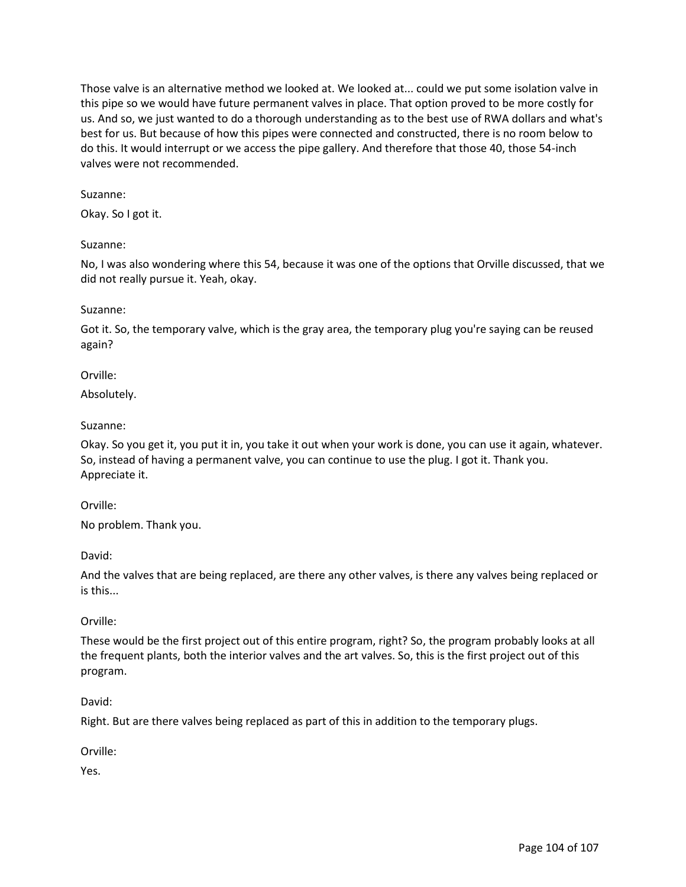Those valve is an alternative method we looked at. We looked at... could we put some isolation valve in this pipe so we would have future permanent valves in place. That option proved to be more costly for us. And so, we just wanted to do a thorough understanding as to the best use of RWA dollars and what's best for us. But because of how this pipes were connected and constructed, there is no room below to do this. It would interrupt or we access the pipe gallery. And therefore that those 40, those 54-inch valves were not recommended.

### Suzanne:

Okay. So I got it.

#### Suzanne:

No, I was also wondering where this 54, because it was one of the options that Orville discussed, that we did not really pursue it. Yeah, okay.

#### Suzanne:

Got it. So, the temporary valve, which is the gray area, the temporary plug you're saying can be reused again?

#### Orville:

Absolutely.

#### Suzanne:

Okay. So you get it, you put it in, you take it out when your work is done, you can use it again, whatever. So, instead of having a permanent valve, you can continue to use the plug. I got it. Thank you. Appreciate it.

#### Orville:

No problem. Thank you.

David:

And the valves that are being replaced, are there any other valves, is there any valves being replaced or is this...

## Orville:

These would be the first project out of this entire program, right? So, the program probably looks at all the frequent plants, both the interior valves and the art valves. So, this is the first project out of this program.

#### David:

Right. But are there valves being replaced as part of this in addition to the temporary plugs.

## Orville:

Yes.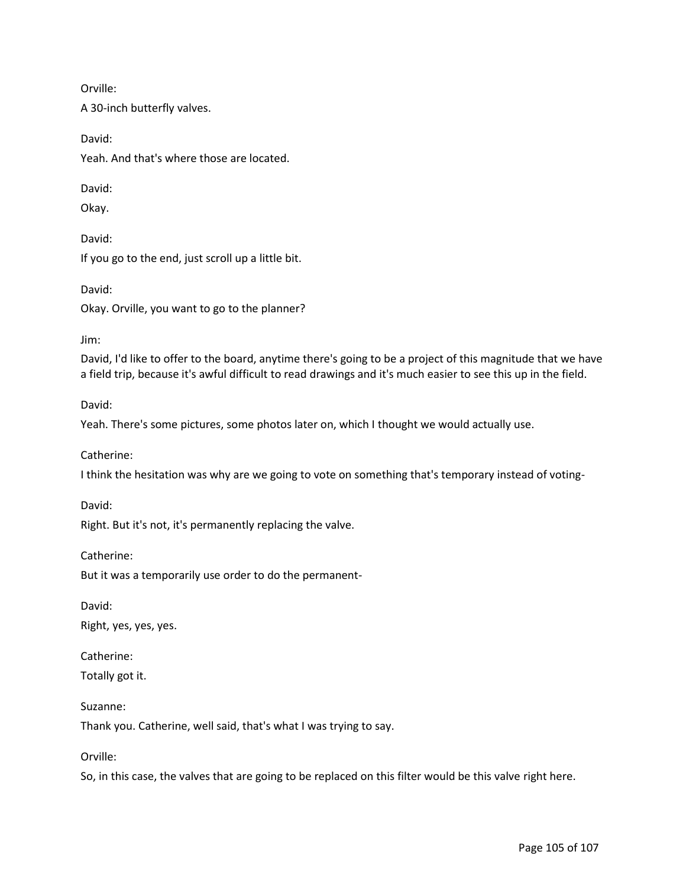Orville:

A 30-inch butterfly valves.

David: Yeah. And that's where those are located.

David:

Okay.

David:

If you go to the end, just scroll up a little bit.

David: Okay. Orville, you want to go to the planner?

Jim:

David, I'd like to offer to the board, anytime there's going to be a project of this magnitude that we have a field trip, because it's awful difficult to read drawings and it's much easier to see this up in the field.

David:

Yeah. There's some pictures, some photos later on, which I thought we would actually use.

Catherine:

I think the hesitation was why are we going to vote on something that's temporary instead of voting-

David:

Right. But it's not, it's permanently replacing the valve.

Catherine:

But it was a temporarily use order to do the permanent-

David:

Right, yes, yes, yes.

Catherine:

Totally got it.

Suzanne:

Thank you. Catherine, well said, that's what I was trying to say.

Orville:

So, in this case, the valves that are going to be replaced on this filter would be this valve right here.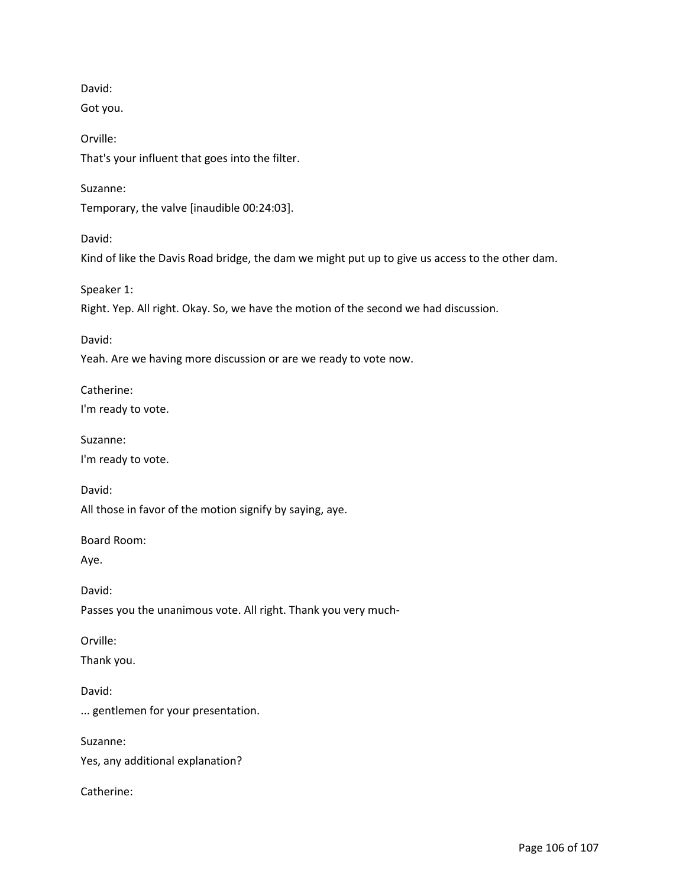David: Got you. Orville: That's your influent that goes into the filter. Suzanne: Temporary, the valve [inaudible 00:24:03]. David: Kind of like the Davis Road bridge, the dam we might put up to give us access to the other dam. Speaker 1: Right. Yep. All right. Okay. So, we have the motion of the second we had discussion. David: Yeah. Are we having more discussion or are we ready to vote now. Catherine: I'm ready to vote. Suzanne: I'm ready to vote. David: All those in favor of the motion signify by saying, aye. Board Room: Aye. David: Passes you the unanimous vote. All right. Thank you very much-Orville: Thank you. David: ... gentlemen for your presentation. Suzanne: Yes, any additional explanation?

Catherine: